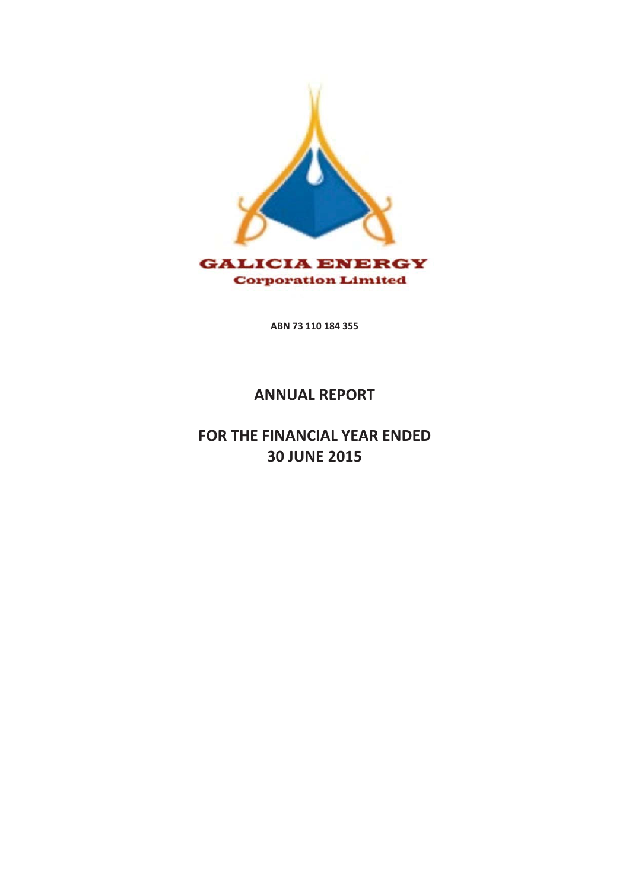

**ABN 73 110 184 355**

# **ANNUAL REPORT**

# **FOR THE FINANCIAL YEAR ENDED 30 JUNE 2015**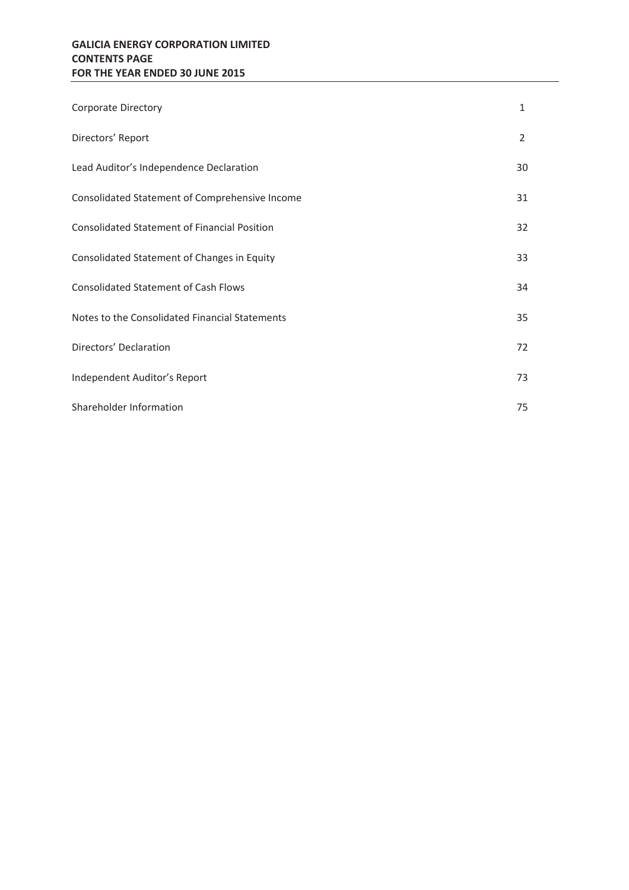# **GALICIA ENERGY CORPORATION LIMITED CONTENTS PAGE FOR THE YEAR ENDED 30 JUNE 2015**

| <b>Corporate Directory</b>                          | $\mathbf{1}$ |
|-----------------------------------------------------|--------------|
| Directors' Report                                   | 2            |
| Lead Auditor's Independence Declaration             | 30           |
| Consolidated Statement of Comprehensive Income      | 31           |
| <b>Consolidated Statement of Financial Position</b> | 32           |
| Consolidated Statement of Changes in Equity         | 33           |
| <b>Consolidated Statement of Cash Flows</b>         | 34           |
| Notes to the Consolidated Financial Statements      | 35           |
| Directors' Declaration                              | 72           |
| Independent Auditor's Report                        | 73           |
| Shareholder Information                             | 75           |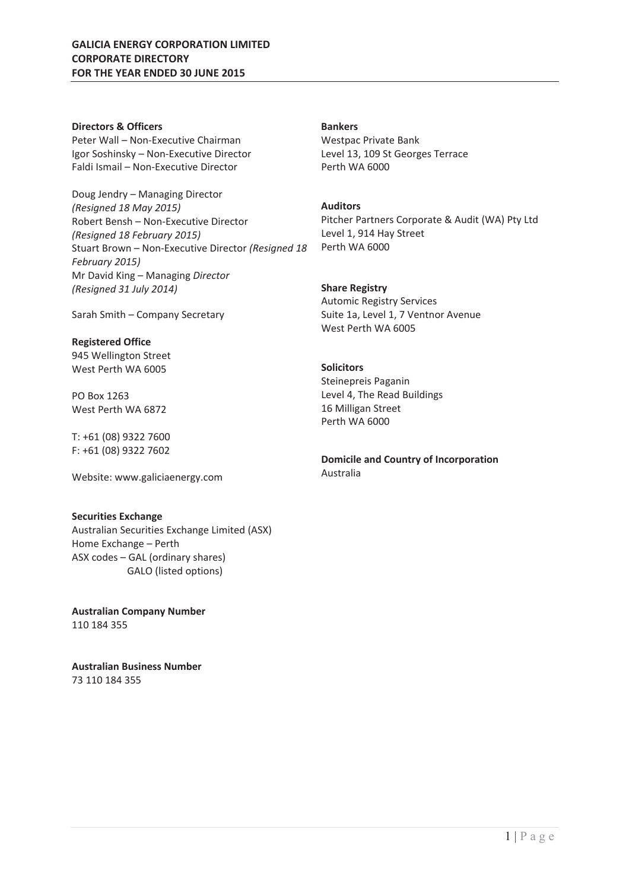**Directors & Officers** Peter Wall – Non-Executive Chairman Igor Soshinsky – Non-Executive Director Faldi Ismail – Non-Executive Director

Doug Jendry – Managing Director *(Resigned 18 May 2015)* Robert Bensh – Non-Executive Director *(Resigned 18 February 2015)* Stuart Brown - Non-Executive Director *(Resigned 18 February 2015)* Mr David King – Managing *Director (Resigned 31 July 2014)*

Sarah Smith – Company Secretary

**Registered Office** 945 Wellington Street West Perth WA 6005

PO Box 1263 West Perth WA 6872

T: +61 (08) 9322 7600 F: +61 (08) 9322 7602

Website: www.galiciaenergy.com

### **Securities Exchange**

Australian Securities Exchange Limited (ASX) Home Exchange – Perth ASX codes – GAL (ordinary shares) GALO (listed options)

**Australian Company Number** 110 184 355

**Australian Business Number** 73 110 184 355

**Bankers**

Westpac Private Bank Level 13, 109 St Georges Terrace Perth WA 6000

## **Auditors**

Pitcher Partners Corporate & Audit (WA) Pty Ltd Level 1, 914 Hay Street Perth WA 6000

## **Share Registry**

Automic Registry Services Suite 1a, Level 1, 7 Ventnor Avenue West Perth WA 6005

## **Solicitors**

Steinepreis Paganin Level 4, The Read Buildings 16 Milligan Street Perth WA 6000

**Domicile and Country of Incorporation** Australia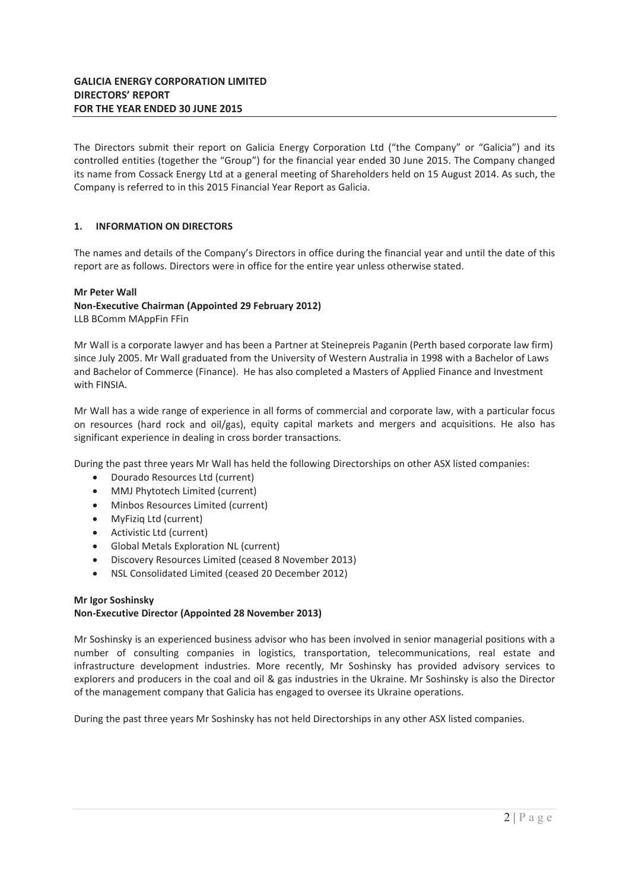The Directors submit their report on Galicia Energy Corporation Ltd ("the Company" or "Galicia") and its controlled entities (together the "Group") for the financial year ended 30 June 2015. The Company changed its name from Cossack Energy Ltd at a general meeting of Shareholders held on 15 August 2014. As such, the Company is referred to in this 2015 Financial Year Report as Galicia.

# **1. INFORMATION ON DIRECTORS**

The names and details of the Company's Directors in office during the financial year and until the date of this report are as follows. Directors were in office for the entire year unless otherwise stated.

#### **Mr Peter Wall**

#### **NonͲExecutive Chairman (Appointed 29 February 2012)** LLB BComm MAppFin FFin

Mr Wall is a corporate lawyer and has been a Partner at Steinepreis Paganin (Perth based corporate law firm) since July 2005. Mr Wall graduated from the University of Western Australia in 1998 with a Bachelor of Laws and Bachelor of Commerce (Finance). He has also completed a Masters of Applied Finance and Investment with FINSIA.

Mr Wall has a wide range of experience in all forms of commercial and corporate law, with a particular focus on resources (hard rock and oil/gas), equity capital markets and mergers and acquisitions. He also has significant experience in dealing in cross border transactions.

During the past three years Mr Wall has held the following Directorships on other ASX listed companies:

- Dourado Resources Ltd (current)
- MMJ Phytotech Limited (current)
- Minbos Resources Limited (current)
- MyFizig Ltd (current)
- Activistic Ltd (current)
- Global Metals Exploration NL (current)
- Discovery Resources Limited (ceased 8 November 2013)
- NSL Consolidated Limited (ceased 20 December 2012)

## **Mr Igor Soshinsky NonͲExecutive Director (Appointed 28 November 2013)**

Mr Soshinsky is an experienced business advisor who has been involved in senior managerial positions with a number of consulting companies in logistics, transportation, telecommunications, real estate and infrastructure development industries. More recently, Mr Soshinsky has provided advisory services to explorers and producers in the coal and oil & gas industries in the Ukraine. Mr Soshinsky is also the Director of the management company that Galicia has engaged to oversee its Ukraine operations.

During the past three years Mr Soshinsky has not held Directorships in any other ASX listed companies.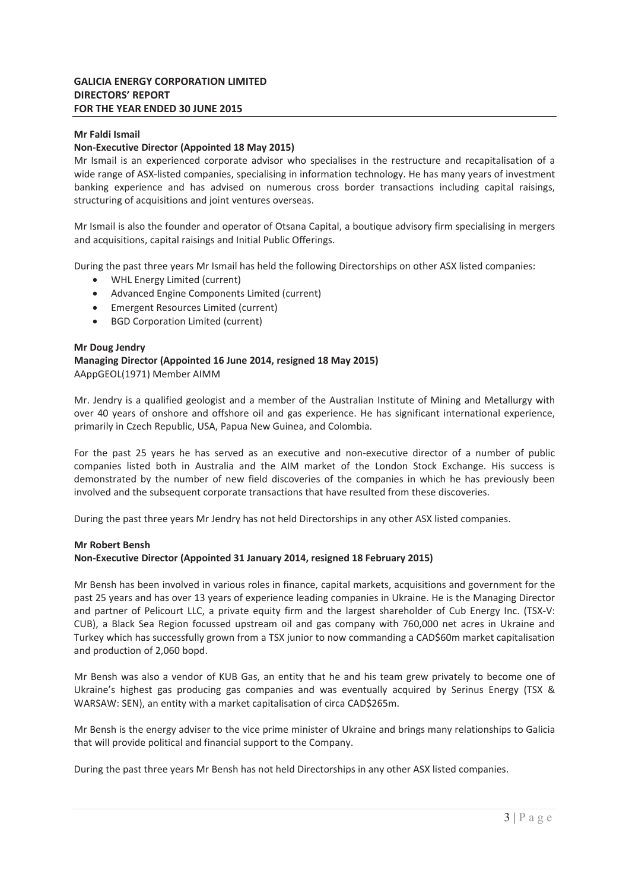#### **Mr Faldi Ismail**

#### **NonͲExecutive Director (Appointed 18 May 2015)**

Mr Ismail is an experienced corporate advisor who specialises in the restructure and recapitalisation of a wide range of ASX-listed companies, specialising in information technology. He has many years of investment banking experience and has advised on numerous cross border transactions including capital raisings, structuring of acquisitions and joint ventures overseas.

Mr Ismail is also the founder and operator of Otsana Capital, a boutique advisory firm specialising in mergers and acquisitions, capital raisings and Initial Public Offerings.

During the past three years Mr Ismail has held the following Directorships on other ASX listed companies:

- WHL Energy Limited (current)
- Advanced Engine Components Limited (current)
- **•** Emergent Resources Limited (current)
- BGD Corporation Limited (current)

## **Mr Doug Jendry Managing Director (Appointed 16 June 2014, resigned 18 May 2015)** AAppGEOL(1971) Member AIMM

Mr. Jendry is a qualified geologist and a member of the Australian Institute of Mining and Metallurgy with over 40 years of onshore and offshore oil and gas experience. He has significant international experience, primarily in Czech Republic, USA, Papua New Guinea, and Colombia.

For the past 25 years he has served as an executive and non-executive director of a number of public companies listed both in Australia and the AIM market of the London Stock Exchange. His success is demonstrated by the number of new field discoveries of the companies in which he has previously been involved and the subsequent corporate transactions that have resulted from these discoveries.

During the past three years Mr Jendry has not held Directorships in any other ASX listed companies.

### **Mr Robert Bensh**

### **NonͲExecutive Director (Appointed 31 January 2014, resigned 18 February 2015)**

Mr Bensh has been involved in various roles in finance, capital markets, acquisitions and government for the past 25 years and has over 13 years of experience leading companies in Ukraine. He is the Managing Director and partner of Pelicourt LLC, a private equity firm and the largest shareholder of Cub Energy Inc. (TSX-V: CUB), a Black Sea Region focussed upstream oil and gas company with 760,000 net acres in Ukraine and Turkey which has successfully grown from a TSX junior to now commanding a CAD\$60m market capitalisation and production of 2,060 bopd.

Mr Bensh was also a vendor of KUB Gas, an entity that he and his team grew privately to become one of Ukraine's highest gas producing gas companies and was eventually acquired by Serinus Energy (TSX & WARSAW: SEN), an entity with a market capitalisation of circa CAD\$265m.

Mr Bensh is the energy adviser to the vice prime minister of Ukraine and brings many relationships to Galicia that will provide political and financial support to the Company.

During the past three years Mr Bensh has not held Directorships in any other ASX listed companies.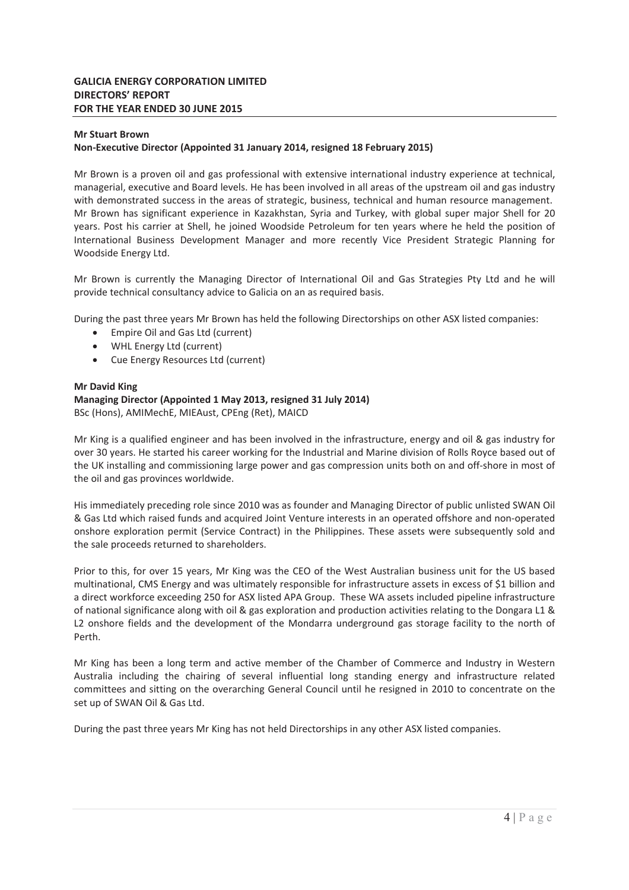#### **Mr Stuart Brown**

#### **NonͲExecutive Director (Appointed 31 January 2014, resigned 18 February 2015)**

Mr Brown is a proven oil and gas professional with extensive international industry experience at technical, managerial, executive and Board levels. He has been involved in all areas of the upstream oil and gas industry with demonstrated success in the areas of strategic, business, technical and human resource management. Mr Brown has significant experience in Kazakhstan, Syria and Turkey, with global super major Shell for 20 years. Post his carrier at Shell, he joined Woodside Petroleum for ten years where he held the position of International Business Development Manager and more recently Vice President Strategic Planning for Woodside Energy Ltd.

Mr Brown is currently the Managing Director of International Oil and Gas Strategies Pty Ltd and he will provide technical consultancy advice to Galicia on an as required basis.

During the past three years Mr Brown has held the following Directorships on other ASX listed companies:

- Empire Oil and Gas Ltd (current)
- WHL Energy Ltd (current)
- Cue Energy Resources Ltd (current)

#### **Mr David King**

## **Managing Director (Appointed 1 May 2013, resigned 31 July 2014)**

BSc (Hons), AMIMechE, MIEAust, CPEng (Ret), MAICD

Mr King is a qualified engineer and has been involved in the infrastructure, energy and oil & gas industry for over 30 years. He started his career working for the Industrial and Marine division of Rolls Royce based out of the UK installing and commissioning large power and gas compression units both on and off-shore in most of the oil and gas provinces worldwide.

His immediately preceding role since 2010 was as founder and Managing Director of public unlisted SWAN Oil & Gas Ltd which raised funds and acquired Joint Venture interests in an operated offshore and non-operated onshore exploration permit (Service Contract) in the Philippines. These assets were subsequently sold and the sale proceeds returned to shareholders.

Prior to this, for over 15 years, Mr King was the CEO of the West Australian business unit for the US based multinational, CMS Energy and was ultimately responsible for infrastructure assets in excess of \$1 billion and a direct workforce exceeding 250 for ASX listed APA Group. These WA assets included pipeline infrastructure of national significance along with oil & gas exploration and production activities relating to the Dongara L1 & L2 onshore fields and the development of the Mondarra underground gas storage facility to the north of Perth.

Mr King has been a long term and active member of the Chamber of Commerce and Industry in Western Australia including the chairing of several influential long standing energy and infrastructure related committees and sitting on the overarching General Council until he resigned in 2010 to concentrate on the set up of SWAN Oil & Gas Ltd.

During the past three years Mr King has not held Directorships in any other ASX listed companies.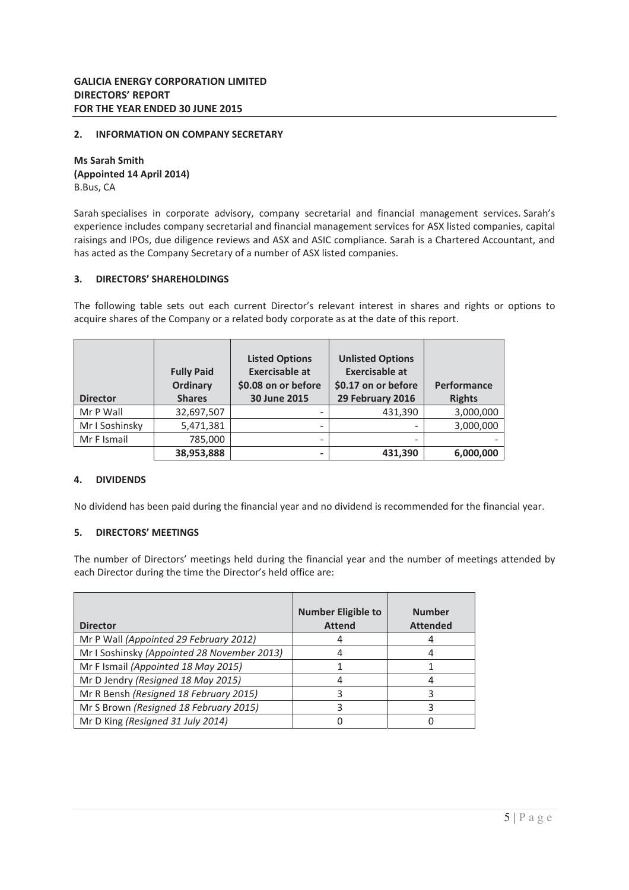# **2. INFORMATION ON COMPANY SECRETARY**

**Ms Sarah Smith (Appointed 14 April 2014)** B.Bus, CA

Sarah specialises in corporate advisory, company secretarial and financial management services. Sarah's experience includes company secretarial and financial management services for ASX listed companies, capital raisings and IPOs, due diligence reviews and ASX and ASIC compliance. Sarah is a Chartered Accountant, and has acted as the Company Secretary of a number of ASX listed companies.

### **3. DIRECTORS' SHAREHOLDINGS**

The following table sets out each current Director's relevant interest in shares and rights or options to acquire shares of the Company or a related body corporate as at the date of this report.

|                 | <b>Fully Paid</b><br><b>Ordinary</b> | <b>Listed Options</b><br><b>Exercisable at</b><br>\$0.08 on or before | <b>Unlisted Options</b><br><b>Exercisable at</b><br>\$0.17 on or before | Performance   |
|-----------------|--------------------------------------|-----------------------------------------------------------------------|-------------------------------------------------------------------------|---------------|
| <b>Director</b> | <b>Shares</b>                        | 30 June 2015                                                          | 29 February 2016                                                        | <b>Rights</b> |
| Mr P Wall       | 32,697,507                           |                                                                       | 431,390                                                                 | 3,000,000     |
| Mr I Soshinsky  | 5,471,381                            | -                                                                     |                                                                         | 3,000,000     |
| Mr F Ismail     | 785,000                              |                                                                       |                                                                         |               |
|                 | 38,953,888                           | -                                                                     | 431,390                                                                 | 6,000,000     |

## **4. DIVIDENDS**

No dividend has been paid during the financial year and no dividend is recommended for the financial year.

### **5. DIRECTORS' MEETINGS**

The number of Directors' meetings held during the financial year and the number of meetings attended by each Director during the time the Director's held office are:

| <b>Director</b>                             | <b>Number Eligible to</b><br><b>Attend</b> | <b>Number</b><br><b>Attended</b> |
|---------------------------------------------|--------------------------------------------|----------------------------------|
| Mr P Wall (Appointed 29 February 2012)      |                                            |                                  |
| Mr I Soshinsky (Appointed 28 November 2013) |                                            |                                  |
| Mr F Ismail (Appointed 18 May 2015)         |                                            |                                  |
| Mr D Jendry (Resigned 18 May 2015)          |                                            |                                  |
| Mr R Bensh (Resigned 18 February 2015)      |                                            |                                  |
| Mr S Brown (Resigned 18 February 2015)      |                                            |                                  |
| Mr D King (Resigned 31 July 2014)           |                                            |                                  |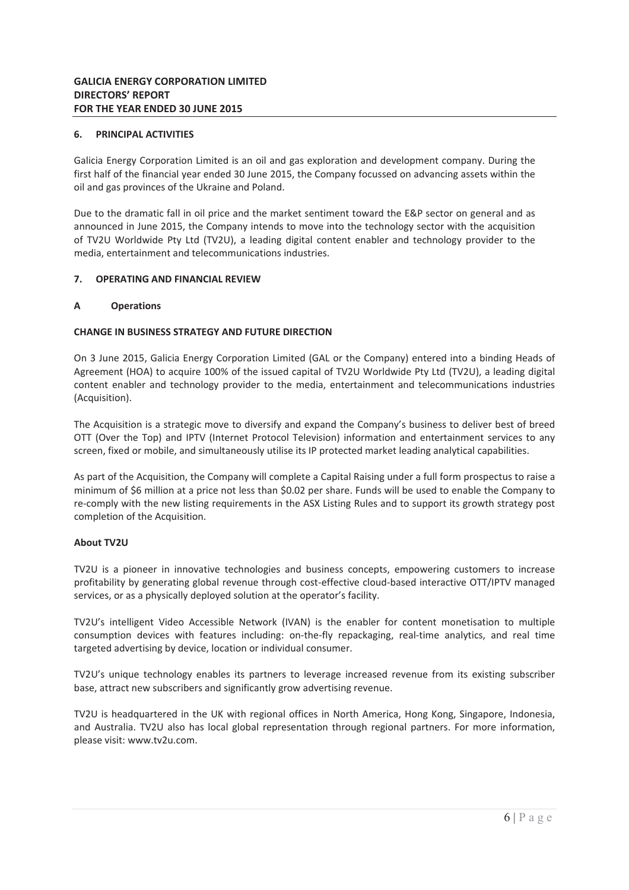#### **6. PRINCIPAL ACTIVITIES**

Galicia Energy Corporation Limited is an oil and gas exploration and development company. During the first half of the financial year ended 30 June 2015, the Company focussed on advancing assets within the oil and gas provinces of the Ukraine and Poland.

Due to the dramatic fall in oil price and the market sentiment toward the E&P sector on general and as announced in June 2015, the Company intends to move into the technology sector with the acquisition of TV2U Worldwide Pty Ltd (TV2U), a leading digital content enabler and technology provider to the media, entertainment and telecommunications industries.

#### **7. OPERATING AND FINANCIAL REVIEW**

#### **A Operations**

#### **CHANGE IN BUSINESS STRATEGY AND FUTURE DIRECTION**

On 3 June 2015, Galicia Energy Corporation Limited (GAL or the Company) entered into a binding Heads of Agreement (HOA) to acquire 100% of the issued capital of TV2U Worldwide Pty Ltd (TV2U), a leading digital content enabler and technology provider to the media, entertainment and telecommunications industries (Acquisition).

The Acquisition is a strategic move to diversify and expand the Company's business to deliver best of breed OTT (Over the Top) and IPTV (Internet Protocol Television) information and entertainment services to any screen, fixed or mobile, and simultaneously utilise its IP protected market leading analytical capabilities.

As part of the Acquisition, the Company will complete a Capital Raising under a full form prospectus to raise a minimum of \$6 million at a price not less than \$0.02 per share. Funds will be used to enable the Company to re-comply with the new listing requirements in the ASX Listing Rules and to support its growth strategy post completion of the Acquisition.

#### **About TV2U**

TV2U is a pioneer in innovative technologies and business concepts, empowering customers to increase profitability by generating global revenue through cost-effective cloud-based interactive OTT/IPTV managed services, or as a physically deployed solution at the operator's facility.

TV2U's intelligent Video Accessible Network (IVAN) is the enabler for content monetisation to multiple consumption devices with features including: on-the-fly repackaging, real-time analytics, and real time targeted advertising by device, location or individual consumer.

TV2U's unique technology enables its partners to leverage increased revenue from its existing subscriber base, attract new subscribers and significantly grow advertising revenue.

TV2U is headquartered in the UK with regional offices in North America, Hong Kong, Singapore, Indonesia, and Australia. TV2U also has local global representation through regional partners. For more information, please visit: www.tv2u.com.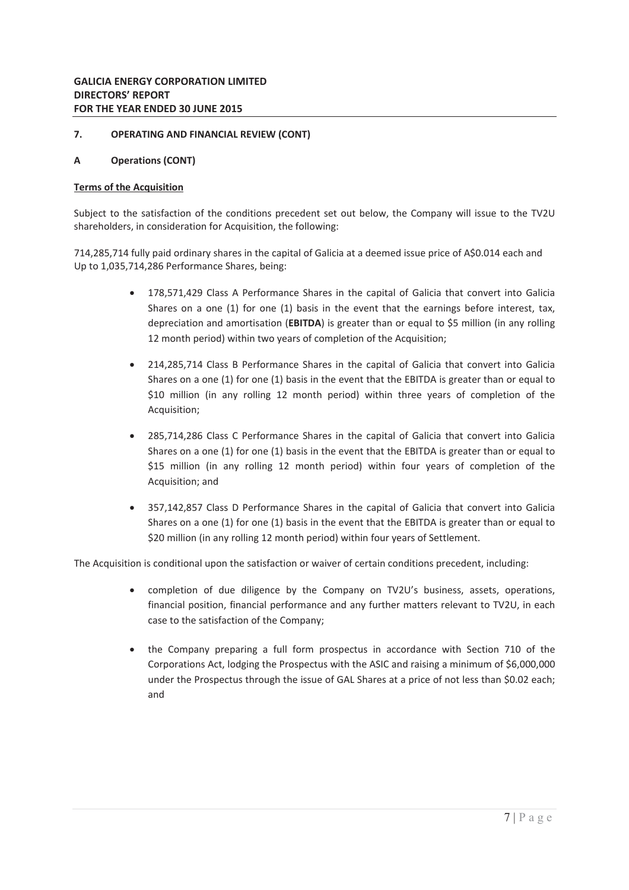### **A Operations (CONT)**

### **Terms of the Acquisition**

Subject to the satisfaction of the conditions precedent set out below, the Company will issue to the TV2U shareholders, in consideration for Acquisition, the following:

714,285,714 fully paid ordinary shares in the capital of Galicia at a deemed issue price of A\$0.014 each and Up to 1,035,714,286 Performance Shares, being:

- 178,571,429 Class A Performance Shares in the capital of Galicia that convert into Galicia Shares on a one (1) for one (1) basis in the event that the earnings before interest, tax, depreciation and amortisation (**EBITDA**) is greater than or equal to \$5 million (in any rolling 12 month period) within two years of completion of the Acquisition;
- x 214,285,714 Class B Performance Shares in the capital of Galicia that convert into Galicia Shares on a one (1) for one (1) basis in the event that the EBITDA is greater than or equal to \$10 million (in any rolling 12 month period) within three years of completion of the Acquisition;
- 285,714,286 Class C Performance Shares in the capital of Galicia that convert into Galicia Shares on a one (1) for one (1) basis in the event that the EBITDA is greater than or equal to \$15 million (in any rolling 12 month period) within four years of completion of the Acquisition; and
- 357,142,857 Class D Performance Shares in the capital of Galicia that convert into Galicia Shares on a one (1) for one (1) basis in the event that the EBITDA is greater than or equal to \$20 million (in any rolling 12 month period) within four years of Settlement.

The Acquisition is conditional upon the satisfaction or waiver of certain conditions precedent, including:

- completion of due diligence by the Company on TV2U's business, assets, operations, financial position, financial performance and any further matters relevant to TV2U, in each case to the satisfaction of the Company;
- x the Company preparing a full form prospectus in accordance with Section 710 of the Corporations Act, lodging the Prospectus with the ASIC and raising a minimum of \$6,000,000 under the Prospectus through the issue of GAL Shares at a price of not less than \$0.02 each; and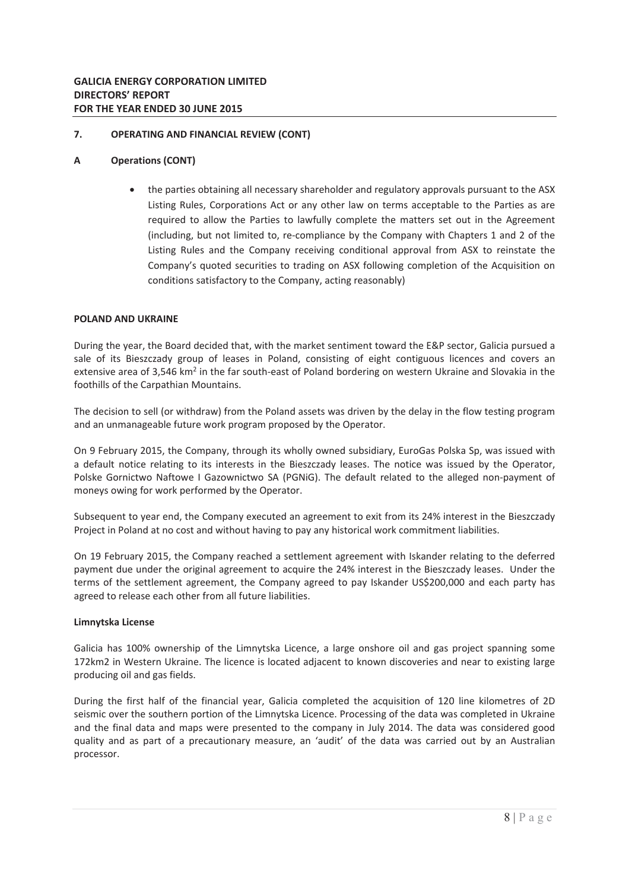## **A Operations (CONT)**

• the parties obtaining all necessary shareholder and regulatory approvals pursuant to the ASX Listing Rules, Corporations Act or any other law on terms acceptable to the Parties as are required to allow the Parties to lawfully complete the matters set out in the Agreement (including, but not limited to, re-compliance by the Company with Chapters 1 and 2 of the Listing Rules and the Company receiving conditional approval from ASX to reinstate the Company's quoted securities to trading on ASX following completion of the Acquisition on conditions satisfactory to the Company, acting reasonably)

## **POLAND AND UKRAINE**

During the year, the Board decided that, with the market sentiment toward the E&P sector, Galicia pursued a sale of its Bieszczady group of leases in Poland, consisting of eight contiguous licences and covers an extensive area of 3,546 km<sup>2</sup> in the far south-east of Poland bordering on western Ukraine and Slovakia in the foothills of the Carpathian Mountains.

The decision to sell (or withdraw) from the Poland assets was driven by the delay in the flow testing program and an unmanageable future work program proposed by the Operator.

On 9 February 2015, the Company, through its wholly owned subsidiary, EuroGas Polska Sp, was issued with a default notice relating to its interests in the Bieszczady leases. The notice was issued by the Operator, Polske Gornictwo Naftowe I Gazownictwo SA (PGNiG). The default related to the alleged non-payment of moneys owing for work performed by the Operator.

Subsequent to year end, the Company executed an agreement to exit from its 24% interest in the Bieszczady Project in Poland at no cost and without having to pay any historical work commitment liabilities.

On 19 February 2015, the Company reached a settlement agreement with Iskander relating to the deferred payment due under the original agreement to acquire the 24% interest in the Bieszczady leases. Under the terms of the settlement agreement, the Company agreed to pay Iskander US\$200,000 and each party has agreed to release each other from all future liabilities.

### **Limnytska License**

Galicia has 100% ownership of the Limnytska Licence, a large onshore oil and gas project spanning some 172km2 in Western Ukraine. The licence is located adjacent to known discoveries and near to existing large producing oil and gas fields.

During the first half of the financial year, Galicia completed the acquisition of 120 line kilometres of 2D seismic over the southern portion of the Limnytska Licence. Processing of the data was completed in Ukraine and the final data and maps were presented to the company in July 2014. The data was considered good quality and as part of a precautionary measure, an 'audit' of the data was carried out by an Australian processor.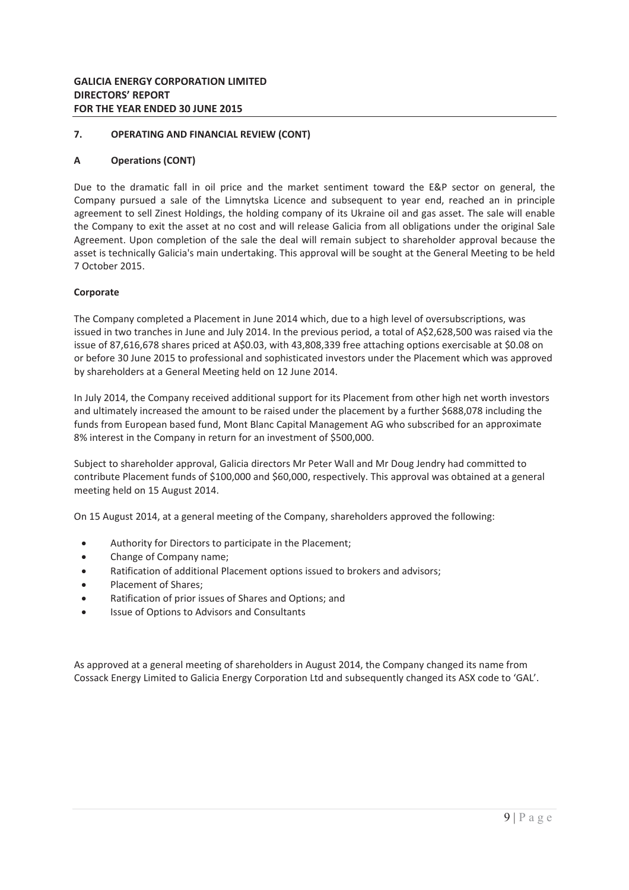### **A Operations (CONT)**

Due to the dramatic fall in oil price and the market sentiment toward the E&P sector on general, the Company pursued a sale of the Limnytska Licence and subsequent to year end, reached an in principle agreement to sell Zinest Holdings, the holding company of its Ukraine oil and gas asset. The sale will enable the Company to exit the asset at no cost and will release Galicia from all obligations under the original Sale Agreement. Upon completion of the sale the deal will remain subject to shareholder approval because the asset is technically Galicia's main undertaking. This approval will be sought at the General Meeting to be held 7 October 2015.

### **Corporate**

The Company completed a Placement in June 2014 which, due to a high level of oversubscriptions, was issued in two tranches in June and July 2014. In the previous period, a total of A\$2,628,500 was raised via the issue of 87,616,678 shares priced at A\$0.03, with 43,808,339 free attaching options exercisable at \$0.08 on or before 30 June 2015 to professional and sophisticated investors under the Placement which was approved by shareholders at a General Meeting held on 12 June 2014.

In July 2014, the Company received additional support for its Placement from other high net worth investors and ultimately increased the amount to be raised under the placement by a further \$688,078 including the funds from European based fund, Mont Blanc Capital Management AG who subscribed for an approximate 8% interest in the Company in return for an investment of \$500,000.

Subject to shareholder approval, Galicia directors Mr Peter Wall and Mr Doug Jendry had committed to contribute Placement funds of \$100,000 and \$60,000, respectively. This approval was obtained at a general meeting held on 15 August 2014.

On 15 August 2014, at a general meeting of the Company, shareholders approved the following:

- **•** Authority for Directors to participate in the Placement;
- Change of Company name;
- Ratification of additional Placement options issued to brokers and advisors;
- Placement of Shares;
- Ratification of prior issues of Shares and Options; and
- Issue of Options to Advisors and Consultants

As approved at a general meeting of shareholders in August 2014, the Company changed its name from Cossack Energy Limited to Galicia Energy Corporation Ltd and subsequently changed its ASX code to 'GAL'.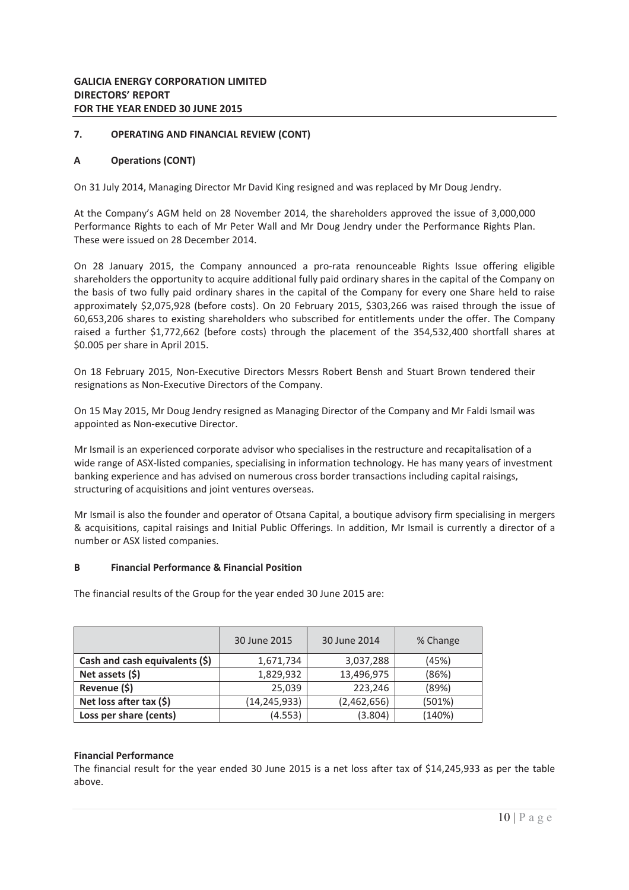### **A Operations (CONT)**

On 31 July 2014, Managing Director Mr David King resigned and was replaced by Mr Doug Jendry.

At the Company's AGM held on 28 November 2014, the shareholders approved the issue of 3,000,000 Performance Rights to each of Mr Peter Wall and Mr Doug Jendry under the Performance Rights Plan. These were issued on 28 December 2014.

On 28 January 2015, the Company announced a pro-rata renounceable Rights Issue offering eligible shareholders the opportunity to acquire additional fully paid ordinary shares in the capital of the Company on the basis of two fully paid ordinary shares in the capital of the Company for every one Share held to raise approximately \$2,075,928 (before costs). On 20 February 2015, \$303,266 was raised through the issue of 60,653,206 shares to existing shareholders who subscribed for entitlements under the offer. The Company raised a further \$1,772,662 (before costs) through the placement of the 354,532,400 shortfall shares at \$0.005 per share in April 2015.

On 18 February 2015, Non-Executive Directors Messrs Robert Bensh and Stuart Brown tendered their resignations as Non-Executive Directors of the Company.

On 15 May 2015, Mr Doug Jendry resigned as Managing Director of the Company and Mr Faldi Ismail was appointed as Non-executive Director.

Mr Ismail is an experienced corporate advisor who specialises in the restructure and recapitalisation of a wide range of ASX-listed companies, specialising in information technology. He has many years of investment banking experience and has advised on numerous cross border transactions including capital raisings, structuring of acquisitions and joint ventures overseas.

Mr Ismail is also the founder and operator of Otsana Capital, a boutique advisory firm specialising in mergers & acquisitions, capital raisings and Initial Public Offerings. In addition, Mr Ismail is currently a director of a number or ASX listed companies.

### **B Financial Performance & Financial Position**

The financial results of the Group for the year ended 30 June 2015 are:

|                                | 30 June 2015   | 30 June 2014 | % Change |
|--------------------------------|----------------|--------------|----------|
| Cash and cash equivalents (\$) | 1,671,734      | 3,037,288    | (45%)    |
| Net assets $(5)$               | 1,829,932      | 13,496,975   | (86%)    |
| Revenue (\$)                   | 25,039         | 223,246      | (89%)    |
| Net loss after tax $(5)$       | (14, 245, 933) | (2,462,656)  | (501%)   |
| Loss per share (cents)         | (4.553)        | (3.804)      | (140%)   |

### **Financial Performance**

The financial result for the year ended 30 June 2015 is a net loss after tax of \$14,245,933 as per the table above.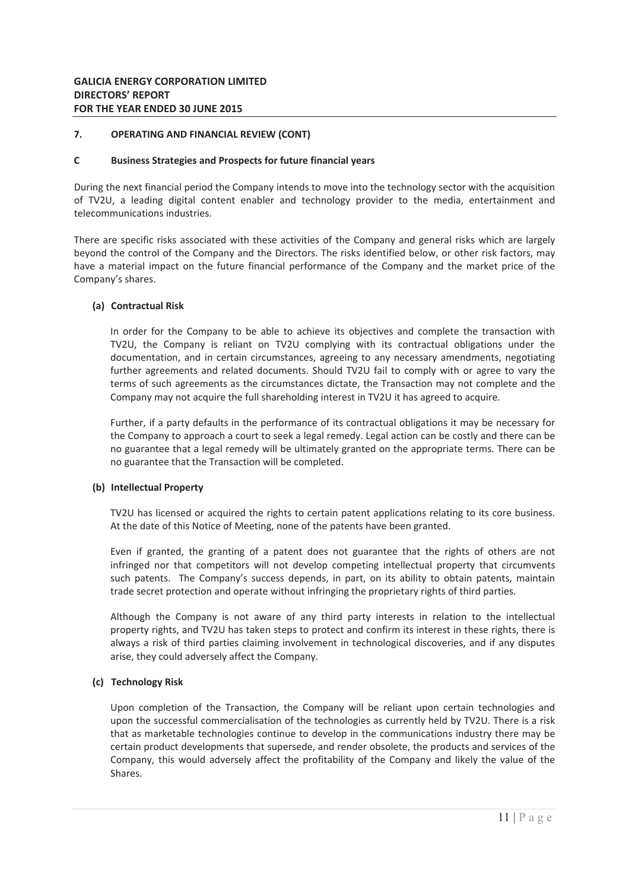#### **C Business Strategies and Prospects for future financial years**

During the next financial period the Company intends to move into the technology sector with the acquisition of TV2U, a leading digital content enabler and technology provider to the media, entertainment and telecommunications industries.

There are specific risks associated with these activities of the Company and general risks which are largely beyond the control of the Company and the Directors. The risks identified below, or other risk factors, may have a material impact on the future financial performance of the Company and the market price of the Company's shares.

### **(a) Contractual Risk**

In order for the Company to be able to achieve its objectives and complete the transaction with TV2U, the Company is reliant on TV2U complying with its contractual obligations under the documentation, and in certain circumstances, agreeing to any necessary amendments, negotiating further agreements and related documents. Should TV2U fail to comply with or agree to vary the terms of such agreements as the circumstances dictate, the Transaction may not complete and the Company may not acquire the full shareholding interest in TV2U it has agreed to acquire.

Further, if a party defaults in the performance of its contractual obligations it may be necessary for the Company to approach a court to seek a legal remedy. Legal action can be costly and there can be no guarantee that a legal remedy will be ultimately granted on the appropriate terms. There can be no guarantee that the Transaction will be completed.

### **(b) Intellectual Property**

TV2U has licensed or acquired the rights to certain patent applications relating to its core business. At the date of this Notice of Meeting, none of the patents have been granted.

Even if granted, the granting of a patent does not guarantee that the rights of others are not infringed nor that competitors will not develop competing intellectual property that circumvents such patents. The Company's success depends, in part, on its ability to obtain patents, maintain trade secret protection and operate without infringing the proprietary rights of third parties.

Although the Company is not aware of any third party interests in relation to the intellectual property rights, and TV2U has taken steps to protect and confirm its interest in these rights, there is always a risk of third parties claiming involvement in technological discoveries, and if any disputes arise, they could adversely affect the Company.

# **(c) Technology Risk**

Upon completion of the Transaction, the Company will be reliant upon certain technologies and upon the successful commercialisation of the technologies as currently held by TV2U. There is a risk that as marketable technologies continue to develop in the communications industry there may be certain product developments that supersede, and render obsolete, the products and services of the Company, this would adversely affect the profitability of the Company and likely the value of the Shares.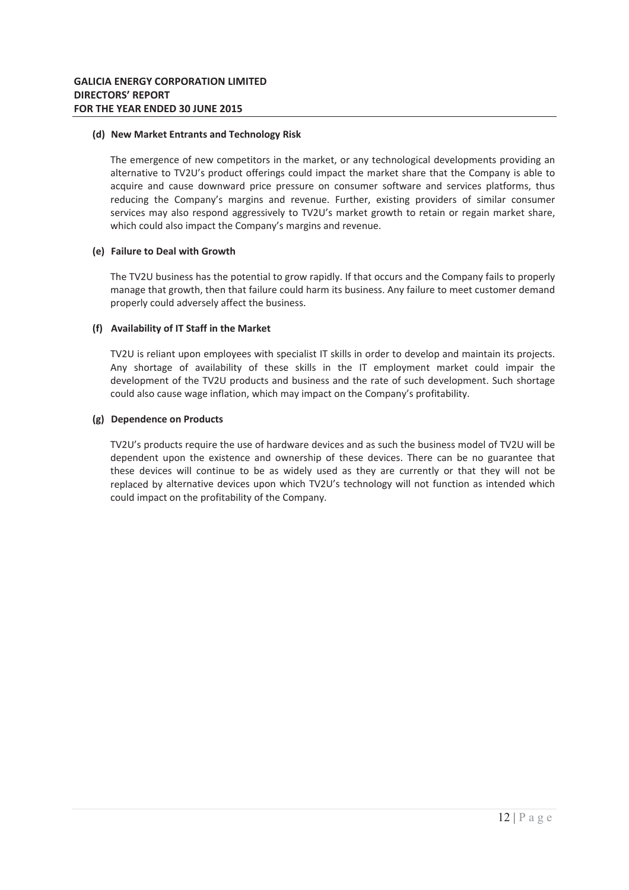#### **(d) New Market Entrants and Technology Risk**

The emergence of new competitors in the market, or any technological developments providing an alternative to TV2U's product offerings could impact the market share that the Company is able to acquire and cause downward price pressure on consumer software and services platforms, thus reducing the Company's margins and revenue. Further, existing providers of similar consumer services may also respond aggressively to TV2U's market growth to retain or regain market share, which could also impact the Company's margins and revenue.

#### **(e) Failure to Deal with Growth**

The TV2U business has the potential to grow rapidly. If that occurs and the Company fails to properly manage that growth, then that failure could harm its business. Any failure to meet customer demand properly could adversely affect the business.

### **(f) Availability of IT Staff in the Market**

TV2U is reliant upon employees with specialist IT skills in order to develop and maintain its projects. Any shortage of availability of these skills in the IT employment market could impair the development of the TV2U products and business and the rate of such development. Such shortage could also cause wage inflation, which may impact on the Company's profitability.

#### **(g) Dependence on Products**

TV2U's products require the use of hardware devices and as such the business model of TV2U will be dependent upon the existence and ownership of these devices. There can be no guarantee that these devices will continue to be as widely used as they are currently or that they will not be replaced by alternative devices upon which TV2U's technology will not function as intended which could impact on the profitability of the Company.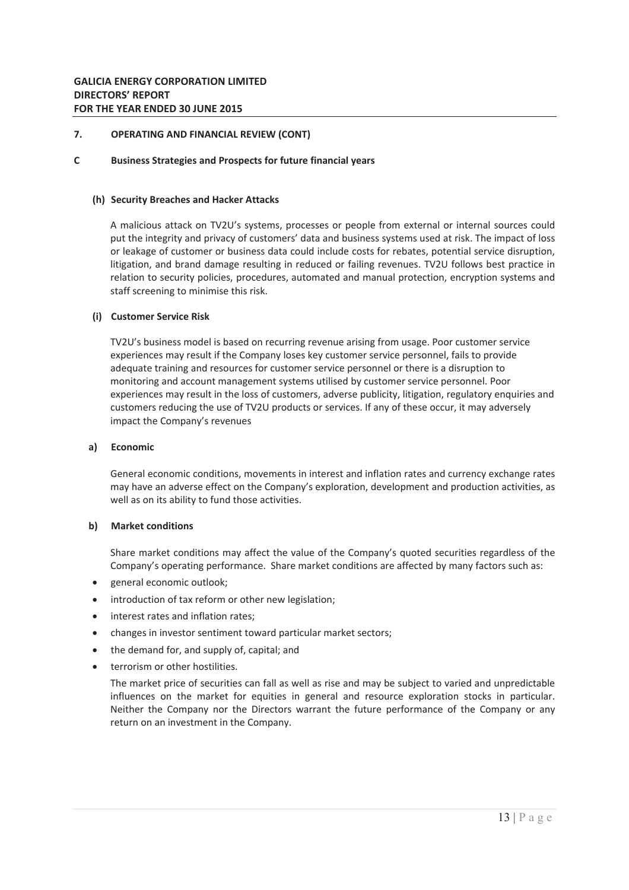#### **C Business Strategies and Prospects for future financial years**

#### **(h) Security Breaches and Hacker Attacks**

A malicious attack on TV2U's systems, processes or people from external or internal sources could put the integrity and privacy of customers' data and business systems used at risk. The impact of loss or leakage of customer or business data could include costs for rebates, potential service disruption, litigation, and brand damage resulting in reduced or failing revenues. TV2U follows best practice in relation to security policies, procedures, automated and manual protection, encryption systems and staff screening to minimise this risk.

#### **(i) Customer Service Risk**

TV2U's business model is based on recurring revenue arising from usage. Poor customer service experiences may result if the Company loses key customer service personnel, fails to provide adequate training and resources for customer service personnel or there is a disruption to monitoring and account management systems utilised by customer service personnel. Poor experiences may result in the loss of customers, adverse publicity, litigation, regulatory enquiries and customers reducing the use of TV2U products or services. If any of these occur, it may adversely impact the Company's revenues

#### **a) Economic**

General economic conditions, movements in interest and inflation rates and currency exchange rates may have an adverse effect on the Company's exploration, development and production activities, as well as on its ability to fund those activities.

#### **b) Market conditions**

Share market conditions may affect the value of the Company's quoted securities regardless of the Company's operating performance. Share market conditions are affected by many factors such as:

- general economic outlook;
- introduction of tax reform or other new legislation;
- interest rates and inflation rates;
- x changes in investor sentiment toward particular market sectors;
- the demand for, and supply of, capital; and
- x terrorism or other hostilities.

The market price of securities can fall as well as rise and may be subject to varied and unpredictable influences on the market for equities in general and resource exploration stocks in particular. Neither the Company nor the Directors warrant the future performance of the Company or any return on an investment in the Company.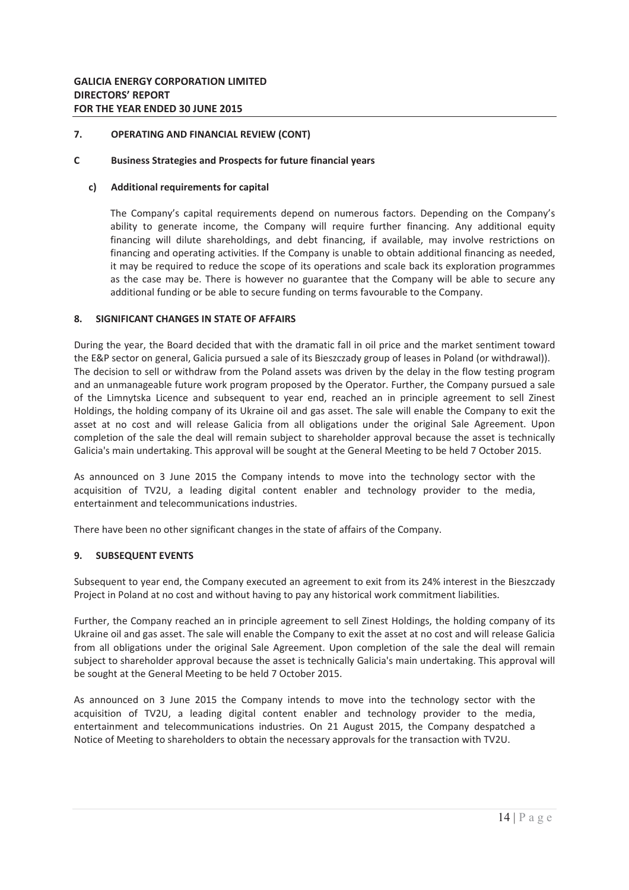#### **C Business Strategies and Prospects for future financial years**

#### **c) Additional requirements for capital**

The Company's capital requirements depend on numerous factors. Depending on the Company's ability to generate income, the Company will require further financing. Any additional equity financing will dilute shareholdings, and debt financing, if available, may involve restrictions on financing and operating activities. If the Company is unable to obtain additional financing as needed, it may be required to reduce the scope of its operations and scale back its exploration programmes as the case may be. There is however no guarantee that the Company will be able to secure any additional funding or be able to secure funding on terms favourable to the Company.

## **8. SIGNIFICANT CHANGES IN STATE OF AFFAIRS**

During the year, the Board decided that with the dramatic fall in oil price and the market sentiment toward the E&P sector on general, Galicia pursued a sale of its Bieszczady group of leases in Poland (or withdrawal)). The decision to sell or withdraw from the Poland assets was driven by the delay in the flow testing program and an unmanageable future work program proposed by the Operator. Further, the Company pursued a sale of the Limnytska Licence and subsequent to year end, reached an in principle agreement to sell Zinest Holdings, the holding company of its Ukraine oil and gas asset. The sale will enable the Company to exit the asset at no cost and will release Galicia from all obligations under the original Sale Agreement. Upon completion of the sale the deal will remain subject to shareholder approval because the asset is technically Galicia's main undertaking. This approval will be sought at the General Meeting to be held 7 October 2015.

As announced on 3 June 2015 the Company intends to move into the technology sector with the acquisition of TV2U, a leading digital content enabler and technology provider to the media, entertainment and telecommunications industries.

There have been no other significant changes in the state of affairs of the Company.

### **9. SUBSEQUENT EVENTS**

Subsequent to year end, the Company executed an agreement to exit from its 24% interest in the Bieszczady Project in Poland at no cost and without having to pay any historical work commitment liabilities.

Further, the Company reached an in principle agreement to sell Zinest Holdings, the holding company of its Ukraine oil and gas asset. The sale will enable the Company to exit the asset at no cost and will release Galicia from all obligations under the original Sale Agreement. Upon completion of the sale the deal will remain subject to shareholder approval because the asset is technically Galicia's main undertaking. This approval will be sought at the General Meeting to be held 7 October 2015.

As announced on 3 June 2015 the Company intends to move into the technology sector with the acquisition of TV2U, a leading digital content enabler and technology provider to the media, entertainment and telecommunications industries. On 21 August 2015, the Company despatched a Notice of Meeting to shareholders to obtain the necessary approvals for the transaction with TV2U.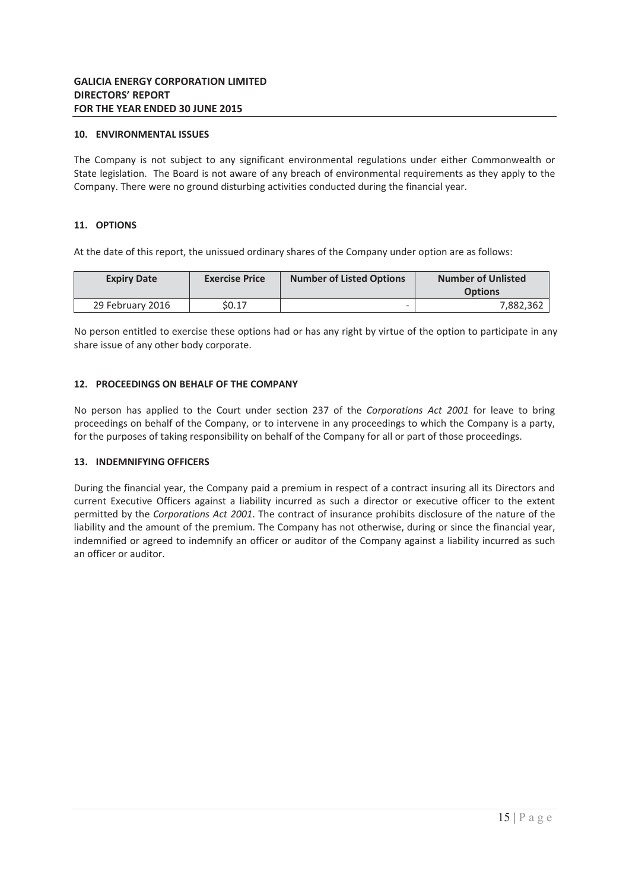#### **10. ENVIRONMENTAL ISSUES**

The Company is not subject to any significant environmental regulations under either Commonwealth or State legislation. The Board is not aware of any breach of environmental requirements as they apply to the Company. There were no ground disturbing activities conducted during the financial year.

### **11. OPTIONS**

At the date of this report, the unissued ordinary shares of the Company under option are as follows:

| <b>Expiry Date</b> | <b>Exercise Price</b> | <b>Number of Listed Options</b> | <b>Number of Unlisted</b><br><b>Options</b> |
|--------------------|-----------------------|---------------------------------|---------------------------------------------|
| 29 February 2016   | S0.17                 | -                               | 7,882,362                                   |

No person entitled to exercise these options had or has any right by virtue of the option to participate in any share issue of any other body corporate.

### **12. PROCEEDINGS ON BEHALF OF THE COMPANY**

No person has applied to the Court under section 237 of the *Corporations Act 2001* for leave to bring proceedings on behalf of the Company, or to intervene in any proceedings to which the Company is a party, for the purposes of taking responsibility on behalf of the Company for all or part of those proceedings.

### **13. INDEMNIFYING OFFICERS**

During the financial year, the Company paid a premium in respect of a contract insuring all its Directors and current Executive Officers against a liability incurred as such a director or executive officer to the extent permitted by the *Corporations Act 2001*. The contract of insurance prohibits disclosure of the nature of the liability and the amount of the premium. The Company has not otherwise, during or since the financial year, indemnified or agreed to indemnify an officer or auditor of the Company against a liability incurred as such an officer or auditor.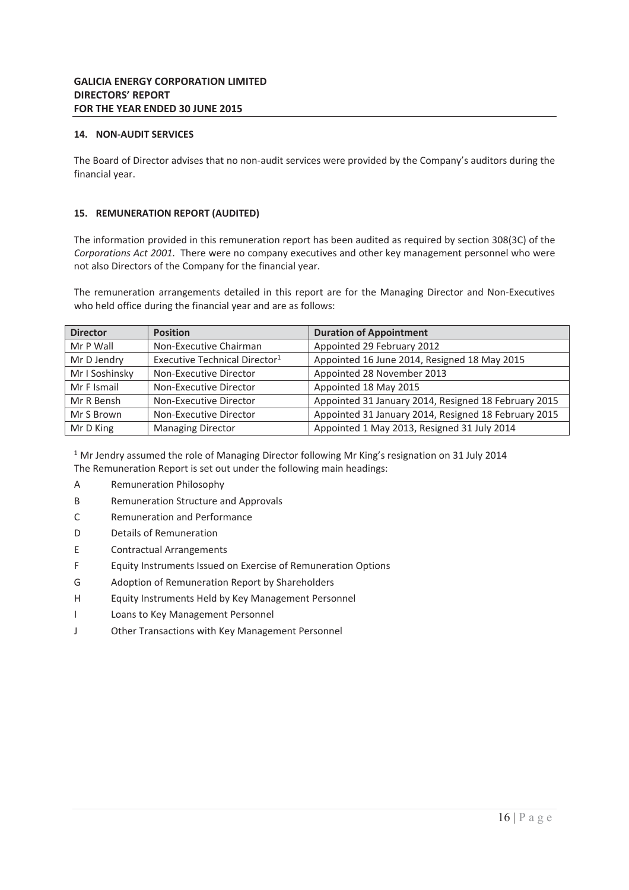## **14. NON-AUDIT SERVICES**

The Board of Director advises that no non-audit services were provided by the Company's auditors during the financial year.

### **15. REMUNERATION REPORT (AUDITED)**

The information provided in this remuneration report has been audited as required by section 308(3C) of the *Corporations Act 2001*. There were no company executives and other key management personnel who were not also Directors of the Company for the financial year.

The remuneration arrangements detailed in this report are for the Managing Director and Non-Executives who held office during the financial year and are as follows:

| <b>Director</b> | <b>Position</b>                           | <b>Duration of Appointment</b>                       |
|-----------------|-------------------------------------------|------------------------------------------------------|
| Mr P Wall       | Non-Executive Chairman                    | Appointed 29 February 2012                           |
| Mr D Jendry     | Executive Technical Director <sup>1</sup> | Appointed 16 June 2014, Resigned 18 May 2015         |
| Mr I Soshinsky  | Non-Executive Director                    | Appointed 28 November 2013                           |
| Mr F Ismail     | Non-Executive Director                    | Appointed 18 May 2015                                |
| Mr R Bensh      | Non-Executive Director                    | Appointed 31 January 2014, Resigned 18 February 2015 |
| Mr S Brown      | Non-Executive Director                    | Appointed 31 January 2014, Resigned 18 February 2015 |
| Mr D King       | <b>Managing Director</b>                  | Appointed 1 May 2013, Resigned 31 July 2014          |

<sup>1</sup> Mr Jendry assumed the role of Managing Director following Mr King's resignation on 31 July 2014 The Remuneration Report is set out under the following main headings:

- A Remuneration Philosophy
- B Remuneration Structure and Approvals
- C Remuneration and Performance
- D Details of Remuneration
- E Contractual Arrangements
- F Equity Instruments Issued on Exercise of Remuneration Options
- G Adoption of Remuneration Report by Shareholders
- H Equity Instruments Held by Key Management Personnel
- I Loans to Key Management Personnel
- J Other Transactions with Key Management Personnel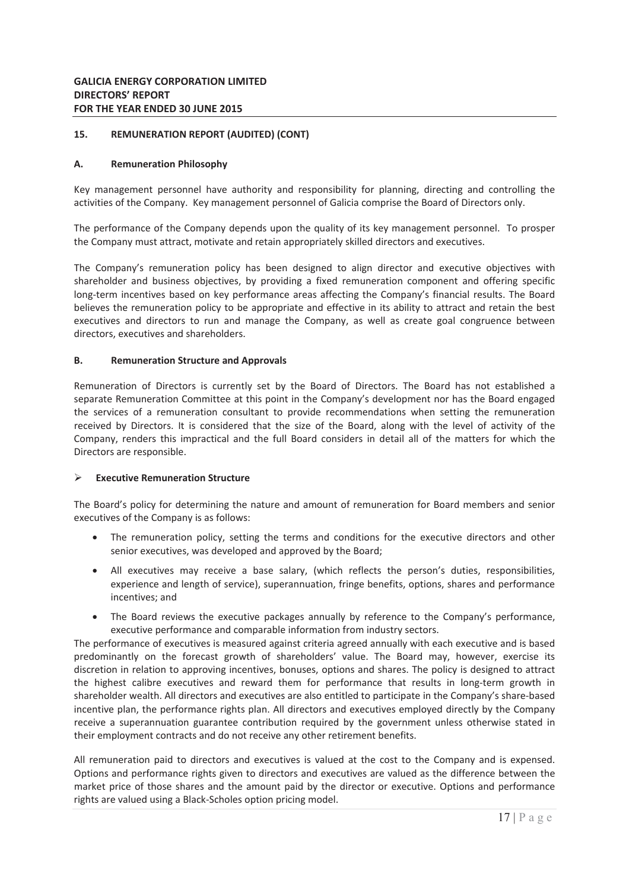#### **A. Remuneration Philosophy**

Key management personnel have authority and responsibility for planning, directing and controlling the activities of the Company. Key management personnel of Galicia comprise the Board of Directors only.

The performance of the Company depends upon the quality of its key management personnel. To prosper the Company must attract, motivate and retain appropriately skilled directors and executives.

The Company's remuneration policy has been designed to align director and executive objectives with shareholder and business objectives, by providing a fixed remuneration component and offering specific long-term incentives based on key performance areas affecting the Company's financial results. The Board believes the remuneration policy to be appropriate and effective in its ability to attract and retain the best executives and directors to run and manage the Company, as well as create goal congruence between directors, executives and shareholders.

#### **B. Remuneration Structure and Approvals**

Remuneration of Directors is currently set by the Board of Directors. The Board has not established a separate Remuneration Committee at this point in the Company's development nor has the Board engaged the services of a remuneration consultant to provide recommendations when setting the remuneration received by Directors. It is considered that the size of the Board, along with the level of activity of the Company, renders this impractical and the full Board considers in detail all of the matters for which the Directors are responsible.

### ¾ **Executive Remuneration Structure**

The Board's policy for determining the nature and amount of remuneration for Board members and senior executives of the Company is as follows:

- The remuneration policy, setting the terms and conditions for the executive directors and other senior executives, was developed and approved by the Board;
- All executives may receive a base salary, (which reflects the person's duties, responsibilities, experience and length of service), superannuation, fringe benefits, options, shares and performance incentives; and
- The Board reviews the executive packages annually by reference to the Company's performance, executive performance and comparable information from industry sectors.

The performance of executives is measured against criteria agreed annually with each executive and is based predominantly on the forecast growth of shareholders' value. The Board may, however, exercise its discretion in relation to approving incentives, bonuses, options and shares. The policy is designed to attract the highest calibre executives and reward them for performance that results in long-term growth in shareholder wealth. All directors and executives are also entitled to participate in the Company's share-based incentive plan, the performance rights plan. All directors and executives employed directly by the Company receive a superannuation guarantee contribution required by the government unless otherwise stated in their employment contracts and do not receive any other retirement benefits.

All remuneration paid to directors and executives is valued at the cost to the Company and is expensed. Options and performance rights given to directors and executives are valued as the difference between the market price of those shares and the amount paid by the director or executive. Options and performance rights are valued using a Black-Scholes option pricing model.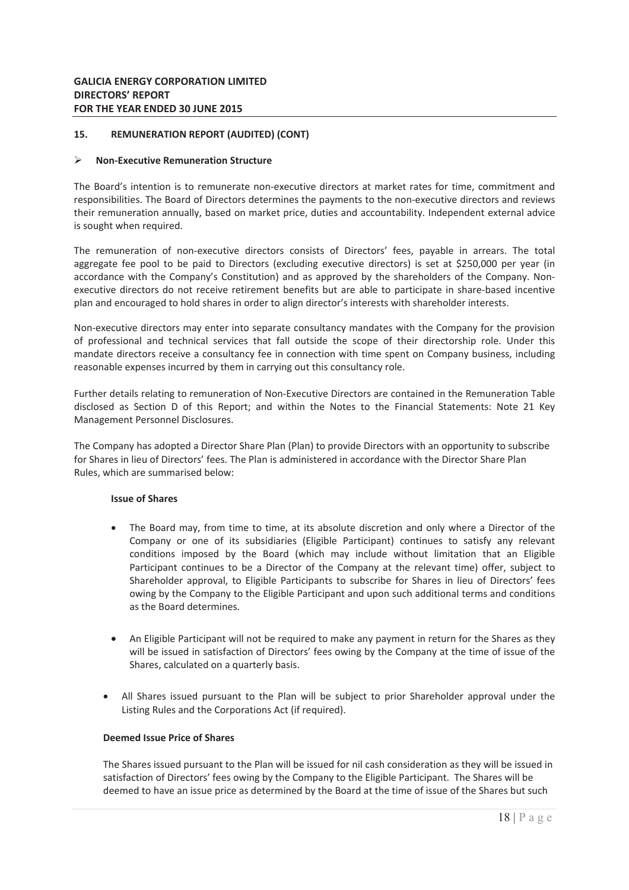#### ¾ **NonͲExecutive Remuneration Structure**

The Board's intention is to remunerate non-executive directors at market rates for time, commitment and responsibilities. The Board of Directors determines the payments to the non-executive directors and reviews their remuneration annually, based on market price, duties and accountability. Independent external advice is sought when required.

The remuneration of non-executive directors consists of Directors' fees, payable in arrears. The total aggregate fee pool to be paid to Directors (excluding executive directors) is set at \$250,000 per year (in accordance with the Company's Constitution) and as approved by the shareholders of the Company. Nonexecutive directors do not receive retirement benefits but are able to participate in share-based incentive plan and encouraged to hold shares in order to align director's interests with shareholder interests.

Non-executive directors may enter into separate consultancy mandates with the Company for the provision of professional and technical services that fall outside the scope of their directorship role. Under this mandate directors receive a consultancy fee in connection with time spent on Company business, including reasonable expenses incurred by them in carrying out this consultancy role.

Further details relating to remuneration of Non-Executive Directors are contained in the Remuneration Table disclosed as Section D of this Report; and within the Notes to the Financial Statements: Note 21 Key Management Personnel Disclosures.

The Company has adopted a Director Share Plan (Plan) to provide Directors with an opportunity to subscribe for Shares in lieu of Directors' fees. The Plan is administered in accordance with the Director Share Plan Rules, which are summarised below:

### **Issue of Shares**

- The Board may, from time to time, at its absolute discretion and only where a Director of the Company or one of its subsidiaries (Eligible Participant) continues to satisfy any relevant conditions imposed by the Board (which may include without limitation that an Eligible Participant continues to be a Director of the Company at the relevant time) offer, subject to Shareholder approval, to Eligible Participants to subscribe for Shares in lieu of Directors' fees owing by the Company to the Eligible Participant and upon such additional terms and conditions as the Board determines.
- An Eligible Participant will not be required to make any payment in return for the Shares as they will be issued in satisfaction of Directors' fees owing by the Company at the time of issue of the Shares, calculated on a quarterly basis.
- All Shares issued pursuant to the Plan will be subject to prior Shareholder approval under the Listing Rules and the Corporations Act (if required).

#### **Deemed Issue Price of Shares**

The Shares issued pursuant to the Plan will be issued for nil cash consideration as they will be issued in satisfaction of Directors' fees owing by the Company to the Eligible Participant. The Shares will be deemed to have an issue price as determined by the Board at the time of issue of the Shares but such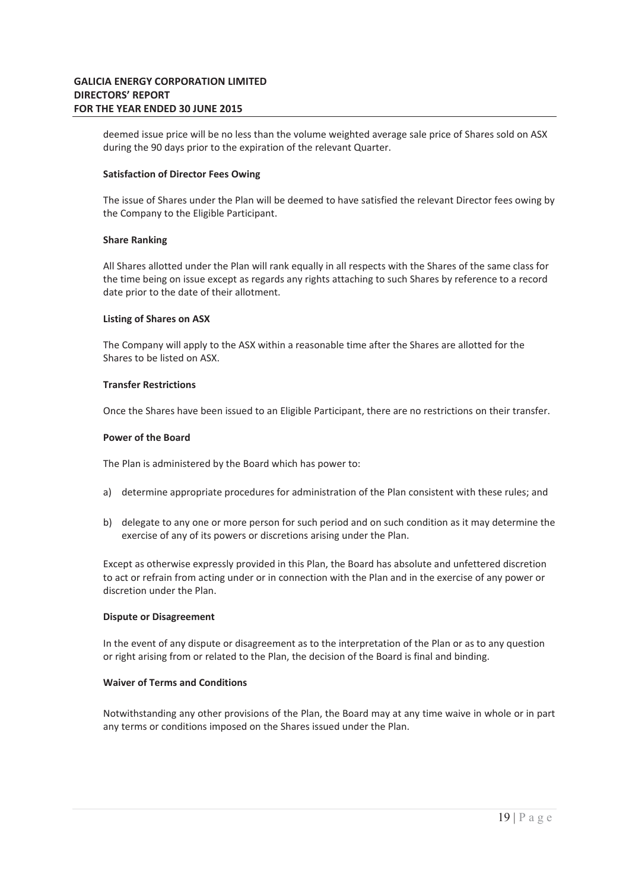deemed issue price will be no less than the volume weighted average sale price of Shares sold on ASX during the 90 days prior to the expiration of the relevant Quarter.

#### **Satisfaction of Director Fees Owing**

The issue of Shares under the Plan will be deemed to have satisfied the relevant Director fees owing by the Company to the Eligible Participant.

#### **Share Ranking**

All Shares allotted under the Plan will rank equally in all respects with the Shares of the same class for the time being on issue except as regards any rights attaching to such Shares by reference to a record date prior to the date of their allotment.

#### **Listing of Shares on ASX**

The Company will apply to the ASX within a reasonable time after the Shares are allotted for the Shares to be listed on ASX.

#### **Transfer Restrictions**

Once the Shares have been issued to an Eligible Participant, there are no restrictions on their transfer.

#### **Power of the Board**

The Plan is administered by the Board which has power to:

- a) determine appropriate procedures for administration of the Plan consistent with these rules; and
- b) delegate to any one or more person for such period and on such condition as it may determine the exercise of any of its powers or discretions arising under the Plan.

Except as otherwise expressly provided in this Plan, the Board has absolute and unfettered discretion to act or refrain from acting under or in connection with the Plan and in the exercise of any power or discretion under the Plan.

#### **Dispute or Disagreement**

In the event of any dispute or disagreement as to the interpretation of the Plan or as to any question or right arising from or related to the Plan, the decision of the Board is final and binding.

### **Waiver of Terms and Conditions**

Notwithstanding any other provisions of the Plan, the Board may at any time waive in whole or in part any terms or conditions imposed on the Shares issued under the Plan.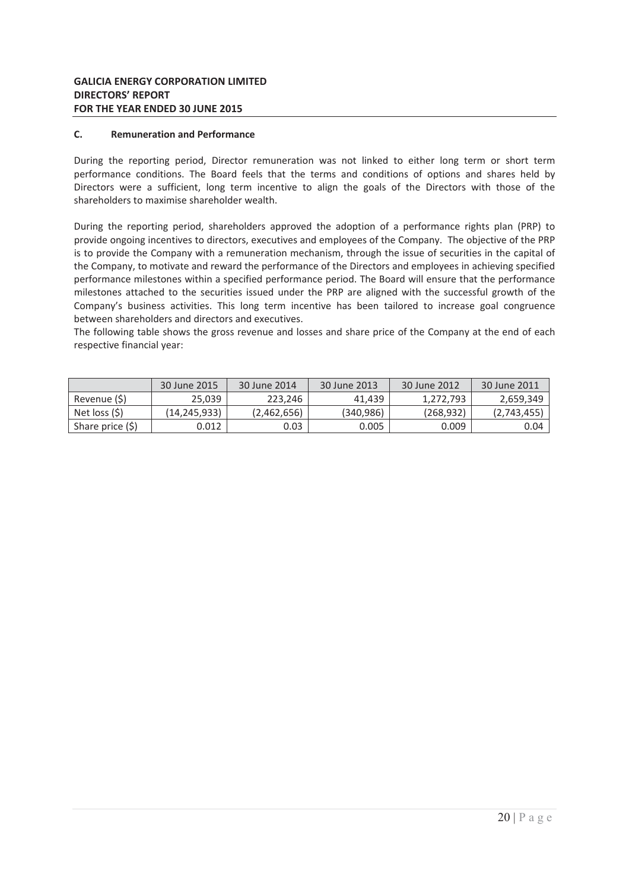### **C. Remuneration and Performance**

During the reporting period, Director remuneration was not linked to either long term or short term performance conditions. The Board feels that the terms and conditions of options and shares held by Directors were a sufficient, long term incentive to align the goals of the Directors with those of the shareholders to maximise shareholder wealth.

During the reporting period, shareholders approved the adoption of a performance rights plan (PRP) to provide ongoing incentives to directors, executives and employees of the Company.The objective of the PRP is to provide the Company with a remuneration mechanism, through the issue of securities in the capital of the Company, to motivate and reward the performance of the Directors and employees in achieving specified performance milestones within a specified performance period. The Board will ensure that the performance milestones attached to the securities issued under the PRP are aligned with the successful growth of the Company's business activities. This long term incentive has been tailored to increase goal congruence between shareholders and directors and executives.

The following table shows the gross revenue and losses and share price of the Company at the end of each respective financial year:

|                  | 30 June 2015   | 30 June 2014 | 30 June 2013 | 30 June 2012 | 30 June 2011 |
|------------------|----------------|--------------|--------------|--------------|--------------|
| Revenue (\$)     | 25.039         | 223.246      | 41.439       | 1,272,793    | 2,659,349    |
| Net loss $(5)$   | (14, 245, 933) | (2,462,656)  | (340,986)    | (268, 932)   | (2,743,455)  |
| Share price (\$) | 0.012          | 0.03         | 0.005        | 0.009        | 0.04         |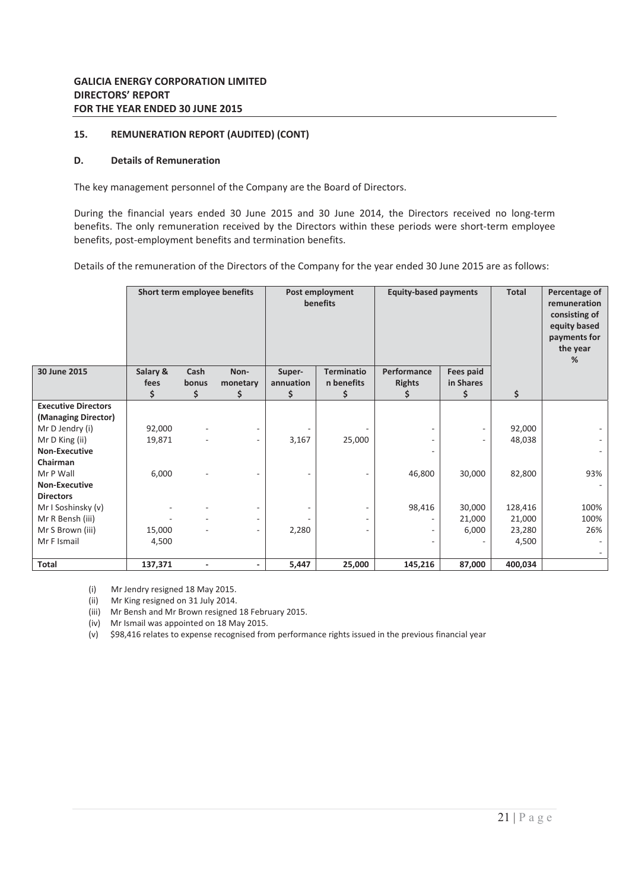#### **D. Details of Remuneration**

The key management personnel of the Company are the Board of Directors.

During the financial years ended 30 June 2015 and 30 June 2014, the Directors received no long-term benefits. The only remuneration received by the Directors within these periods were short-term employee benefits, post-employment benefits and termination benefits.

Details of the remuneration of the Directors of the Company for the year ended 30 June 2015 are as follows:

|                                 |                  |               | Short term employee benefits | Post employment<br>benefits |                                 | <b>Equity-based payments</b> |                        | <b>Total</b>    | Percentage of<br>remuneration<br>consisting of<br>equity based<br>payments for<br>the year<br>% |
|---------------------------------|------------------|---------------|------------------------------|-----------------------------|---------------------------------|------------------------------|------------------------|-----------------|-------------------------------------------------------------------------------------------------|
| 30 June 2015                    | Salary &<br>fees | Cash<br>bonus | Non-<br>monetary             | Super-<br>annuation         | <b>Terminatio</b><br>n benefits | Performance<br><b>Rights</b> | Fees paid<br>in Shares |                 |                                                                                                 |
|                                 | \$               | Ś             | S                            | \$                          | S                               |                              | \$                     | \$              |                                                                                                 |
| <b>Executive Directors</b>      |                  |               |                              |                             |                                 |                              |                        |                 |                                                                                                 |
| (Managing Director)             |                  |               |                              |                             |                                 |                              |                        |                 |                                                                                                 |
| Mr D Jendry (i)                 | 92,000           |               |                              |                             |                                 |                              |                        | 92,000          |                                                                                                 |
| Mr D King (ii)                  | 19,871           |               |                              | 3,167                       | 25,000                          |                              |                        | 48,038          |                                                                                                 |
| <b>Non-Executive</b>            |                  |               |                              |                             |                                 |                              |                        |                 |                                                                                                 |
| Chairman                        |                  |               |                              |                             |                                 |                              |                        |                 |                                                                                                 |
| Mr P Wall                       | 6,000            |               |                              |                             |                                 | 46,800                       | 30,000                 | 82,800          | 93%                                                                                             |
| <b>Non-Executive</b>            |                  |               |                              |                             |                                 |                              |                        |                 |                                                                                                 |
| <b>Directors</b>                |                  |               |                              |                             |                                 |                              |                        |                 |                                                                                                 |
| Mr I Soshinsky (v)              |                  |               |                              |                             |                                 | 98,416                       | 30,000                 | 128,416         | 100%                                                                                            |
| Mr R Bensh (iii)                |                  |               |                              |                             |                                 |                              | 21,000                 | 21,000          | 100%                                                                                            |
| Mr S Brown (iii)<br>Mr F Ismail | 15,000           |               | $\overline{\phantom{a}}$     | 2,280                       |                                 | $\overline{\phantom{0}}$     | 6,000                  | 23,280<br>4,500 | 26%                                                                                             |
|                                 | 4,500            |               |                              |                             |                                 |                              |                        |                 |                                                                                                 |
| <b>Total</b>                    | 137,371          |               | $\overline{\phantom{a}}$     | 5,447                       | 25,000                          | 145,216                      | 87,000                 | 400,034         |                                                                                                 |

(i) Mr Jendry resigned 18 May 2015.

(ii) Mr King resigned on 31 July 2014.

(iii) Mr Bensh and Mr Brown resigned 18 February 2015.

(iv) Mr Ismail was appointed on 18 May 2015.

(v) \$98,416 relates to expense recognised from performance rights issued in the previous financial year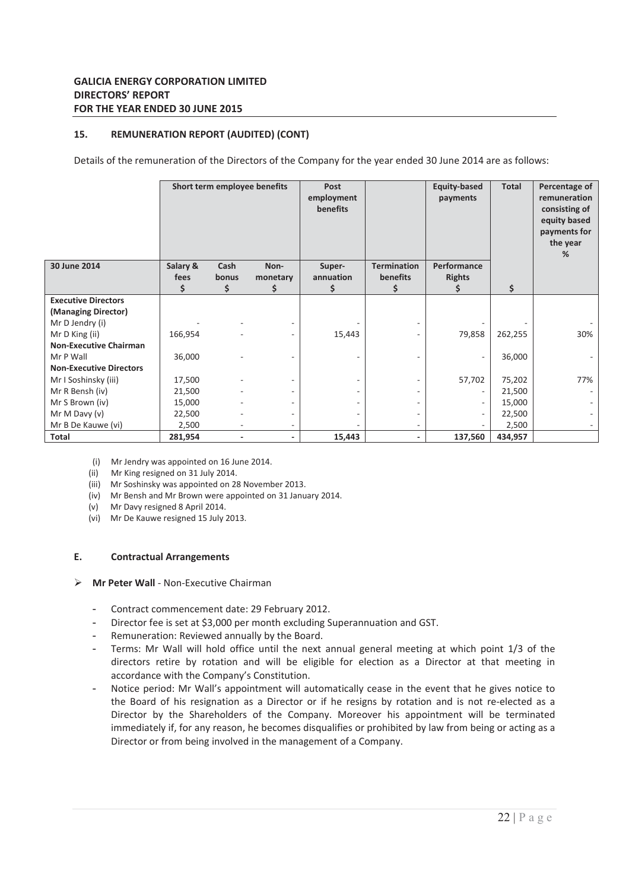# **GALICIA ENERGY CORPORATION LIMITED DIRECTORS' REPORT FOR THE YEAR ENDED 30 JUNE 2015**

# **15. REMUNERATION REPORT (AUDITED) (CONT)**

Details of the remuneration of the Directors of the Company for the year ended 30 June 2014 are as follows:

|                                | Short term employee benefits |            | Post<br>employment<br><b>benefits</b> |                              | <b>Equity-based</b><br>payments | <b>Total</b>       | Percentage of<br>remuneration<br>consisting of<br>equity based<br>payments for<br>the year<br>% |     |
|--------------------------------|------------------------------|------------|---------------------------------------|------------------------------|---------------------------------|--------------------|-------------------------------------------------------------------------------------------------|-----|
| 30 June 2014                   | Salary &                     | Cash       | Non-                                  | Super-                       | <b>Termination</b>              | Performance        |                                                                                                 |     |
|                                | fees<br>S.                   | bonus<br>S | monetary                              | annuation<br>S               | <b>benefits</b><br>S            | <b>Rights</b><br>s | Ś.                                                                                              |     |
| <b>Executive Directors</b>     |                              |            |                                       |                              |                                 |                    |                                                                                                 |     |
| (Managing Director)            |                              |            |                                       |                              |                                 |                    |                                                                                                 |     |
| Mr D Jendry (i)                |                              |            |                                       |                              |                                 |                    |                                                                                                 |     |
| Mr D King (ii)                 | 166,954                      |            |                                       | 15,443                       |                                 | 79,858             | 262,255                                                                                         | 30% |
| <b>Non-Executive Chairman</b>  |                              |            |                                       |                              |                                 |                    |                                                                                                 |     |
| Mr P Wall                      | 36,000                       |            |                                       |                              |                                 |                    | 36,000                                                                                          |     |
| <b>Non-Executive Directors</b> |                              |            |                                       |                              |                                 |                    |                                                                                                 |     |
| Mr I Soshinsky (iii)           | 17,500                       |            |                                       |                              |                                 | 57,702             | 75,202                                                                                          | 77% |
| Mr R Bensh (iv)                | 21,500                       |            |                                       |                              |                                 |                    | 21,500                                                                                          |     |
| Mr S Brown (iv)                | 15,000                       |            |                                       |                              |                                 |                    | 15,000                                                                                          |     |
| Mr M Davy $(v)$                | 22,500                       |            |                                       | $\qquad \qquad \blacksquare$ |                                 |                    | 22,500                                                                                          |     |
| Mr B De Kauwe (vi)             | 2,500                        |            |                                       |                              |                                 |                    | 2,500                                                                                           |     |
| <b>Total</b>                   | 281,954                      |            |                                       | 15,443                       |                                 | 137,560            | 434,957                                                                                         |     |

(i) Mr Jendry was appointed on 16 June 2014.

(ii) Mr King resigned on 31 July 2014.

(iii) Mr Soshinsky was appointed on 28 November 2013.

(iv) Mr Bensh and Mr Brown were appointed on 31 January 2014.

(v) Mr Davy resigned 8 April 2014.

(vi) Mr De Kauwe resigned 15 July 2013.

# **E. Contractual Arrangements**

### ¾ **Mr Peter Wall**ͲNonͲExecutive Chairman

- Contract commencement date: 29 February 2012.
- Director fee is set at \$3,000 per month excluding Superannuation and GST.
- Remuneration: Reviewed annually by the Board.
- Terms: Mr Wall will hold office until the next annual general meeting at which point 1/3 of the directors retire by rotation and will be eligible for election as a Director at that meeting in accordance with the Company's Constitution.
- Notice period: Mr Wall's appointment will automatically cease in the event that he gives notice to the Board of his resignation as a Director or if he resigns by rotation and is not re-elected as a Director by the Shareholders of the Company. Moreover his appointment will be terminated immediately if, for any reason, he becomes disqualifies or prohibited by law from being or acting as a Director or from being involved in the management of a Company.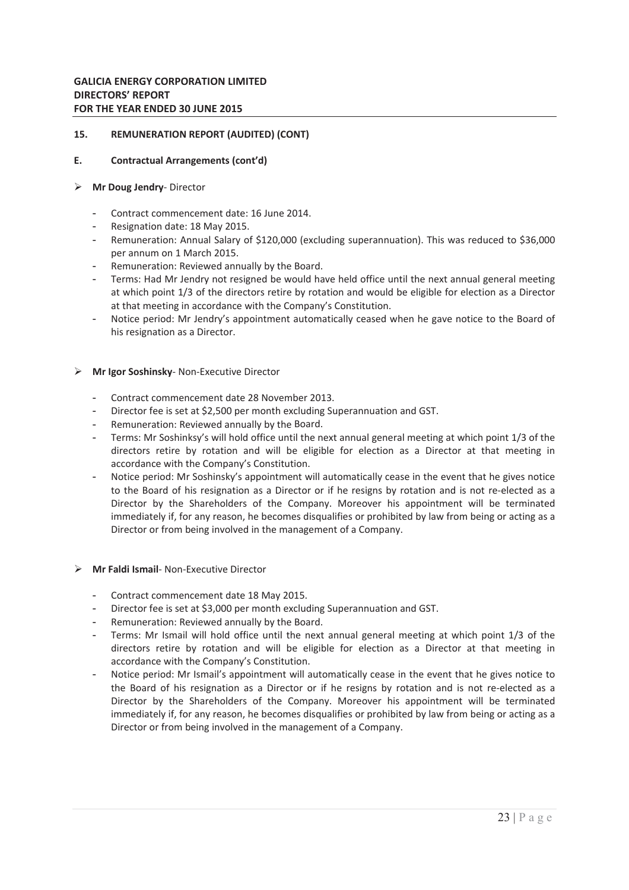## **E. Contractual Arrangements (cont'd)**

## ¾ **Mr Doug Jendry**ͲDirector

- Contract commencement date: 16 June 2014.
- Resignation date: 18 May 2015.
- Remuneration: Annual Salary of \$120,000 (excluding superannuation). This was reduced to \$36,000 per annum on 1 March 2015.
- Remuneration: Reviewed annually by the Board.
- Terms: Had Mr Jendry not resigned be would have held office until the next annual general meeting at which point 1/3 of the directors retire by rotation and would be eligible for election as a Director at that meeting in accordance with the Company's Constitution.
- Notice period: Mr Jendry's appointment automatically ceased when he gave notice to the Board of his resignation as a Director.

### ¾ **Mr Igor Soshinsky**ͲNonͲExecutive Director

- Contract commencement date 28 November 2013.
- Director fee is set at \$2,500 per month excluding Superannuation and GST.
- Remuneration: Reviewed annually by the Board.
- Terms: Mr Soshinksy's will hold office until the next annual general meeting at which point 1/3 of the directors retire by rotation and will be eligible for election as a Director at that meeting in accordance with the Company's Constitution.
- Notice period: Mr Soshinsky's appointment will automatically cease in the event that he gives notice to the Board of his resignation as a Director or if he resigns by rotation and is not re-elected as a Director by the Shareholders of the Company. Moreover his appointment will be terminated immediately if, for any reason, he becomes disqualifies or prohibited by law from being or acting as a Director or from being involved in the management of a Company.
- ¾ **Mr Faldi Ismail**ͲNonͲExecutive Director
	- Contract commencement date 18 May 2015.
	- Director fee is set at \$3,000 per month excluding Superannuation and GST.
	- Remuneration: Reviewed annually by the Board.
	- Terms: Mr Ismail will hold office until the next annual general meeting at which point 1/3 of the directors retire by rotation and will be eligible for election as a Director at that meeting in accordance with the Company's Constitution.
	- Notice period: Mr Ismail's appointment will automatically cease in the event that he gives notice to the Board of his resignation as a Director or if he resigns by rotation and is not re-elected as a Director by the Shareholders of the Company. Moreover his appointment will be terminated immediately if, for any reason, he becomes disqualifies or prohibited by law from being or acting as a Director or from being involved in the management of a Company.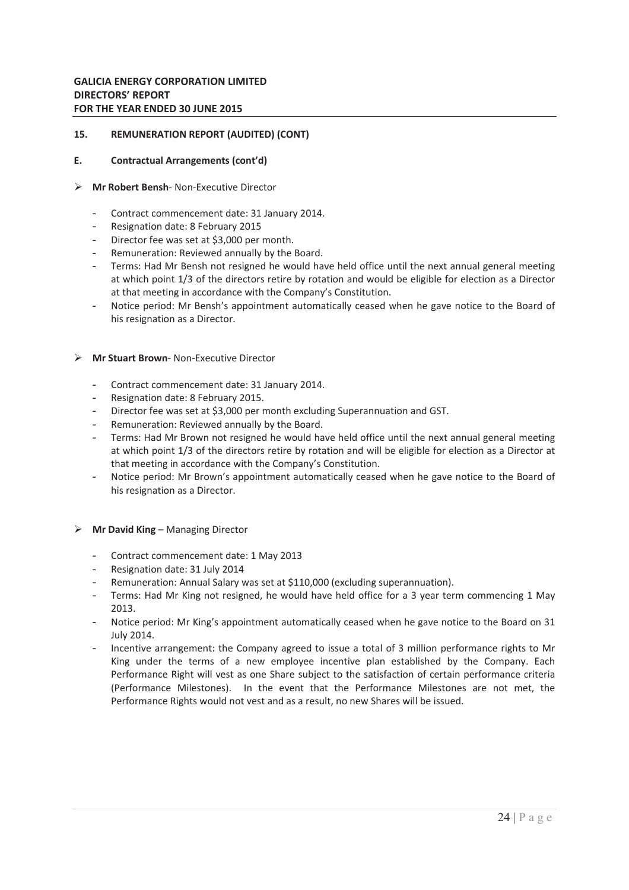## **E. Contractual Arrangements (cont'd)**

## ¾ **Mr Robert Bensh**ͲNonͲExecutive Director

- Contract commencement date: 31 January 2014.
- Resignation date: 8 February 2015
- Director fee was set at \$3,000 per month.
- Remuneration: Reviewed annually by the Board.
- Terms: Had Mr Bensh not resigned he would have held office until the next annual general meeting at which point 1/3 of the directors retire by rotation and would be eligible for election as a Director at that meeting in accordance with the Company's Constitution.
- Notice period: Mr Bensh's appointment automatically ceased when he gave notice to the Board of his resignation as a Director.
- ¾ **Mr Stuart Brown**ͲNonͲExecutive Director
	- Contract commencement date: 31 January 2014.
	- Resignation date: 8 February 2015.
	- Director fee was set at \$3,000 per month excluding Superannuation and GST.
	- Remuneration: Reviewed annually by the Board.
	- Terms: Had Mr Brown not resigned he would have held office until the next annual general meeting at which point 1/3 of the directors retire by rotation and will be eligible for election as a Director at that meeting in accordance with the Company's Constitution.
	- Notice period: Mr Brown's appointment automatically ceased when he gave notice to the Board of his resignation as a Director.
- ¾ **Mr David King** Managing Director
	- Contract commencement date: 1 May 2013
	- Resignation date: 31 July 2014
	- Remuneration: Annual Salary was set at \$110,000 (excluding superannuation).
	- Terms: Had Mr King not resigned, he would have held office for a 3 year term commencing 1 May 2013.
	- Notice period: Mr King's appointment automatically ceased when he gave notice to the Board on 31 July 2014.
	- Incentive arrangement: the Company agreed to issue a total of 3 million performance rights to Mr King under the terms of a new employee incentive plan established by the Company. Each Performance Right will vest as one Share subject to the satisfaction of certain performance criteria (Performance Milestones). In the event that the Performance Milestones are not met, the Performance Rights would not vest and as a result, no new Shares will be issued.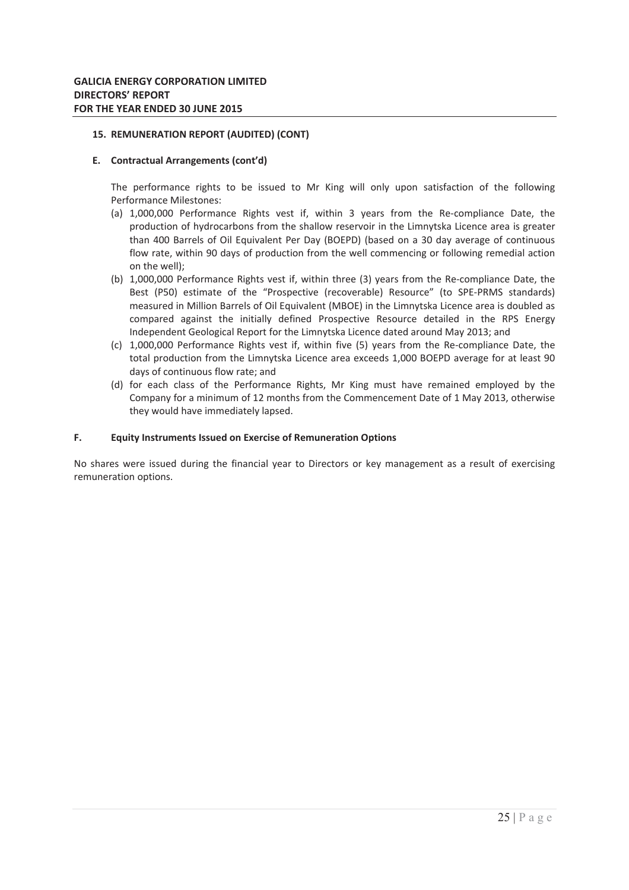### **E. Contractual Arrangements (cont'd)**

The performance rights to be issued to Mr King will only upon satisfaction of the following Performance Milestones:

- (a) 1,000,000 Performance Rights vest if, within 3 years from the Re-compliance Date, the production of hydrocarbons from the shallow reservoir in the Limnytska Licence area is greater than 400 Barrels of Oil Equivalent Per Day (BOEPD) (based on a 30 day average of continuous flow rate, within 90 days of production from the well commencing or following remedial action on the well);
- (b) 1,000,000 Performance Rights vest if, within three (3) years from the Re-compliance Date, the Best (P50) estimate of the "Prospective (recoverable) Resource" (to SPE-PRMS standards) measured in Million Barrels of Oil Equivalent (MBOE) in the Limnytska Licence area is doubled as compared against the initially defined Prospective Resource detailed in the RPS Energy Independent Geological Report for the Limnytska Licence dated around May 2013; and
- (c) 1,000,000 Performance Rights vest if, within five (5) years from the Re-compliance Date, the total production from the Limnytska Licence area exceeds 1,000 BOEPD average for at least 90 days of continuous flow rate; and
- (d) for each class of the Performance Rights, Mr King must have remained employed by the Company for a minimum of 12 months from the Commencement Date of 1 May 2013, otherwise they would have immediately lapsed.

#### **F. Equity Instruments Issued on Exercise of Remuneration Options**

No shares were issued during the financial year to Directors or key management as a result of exercising remuneration options.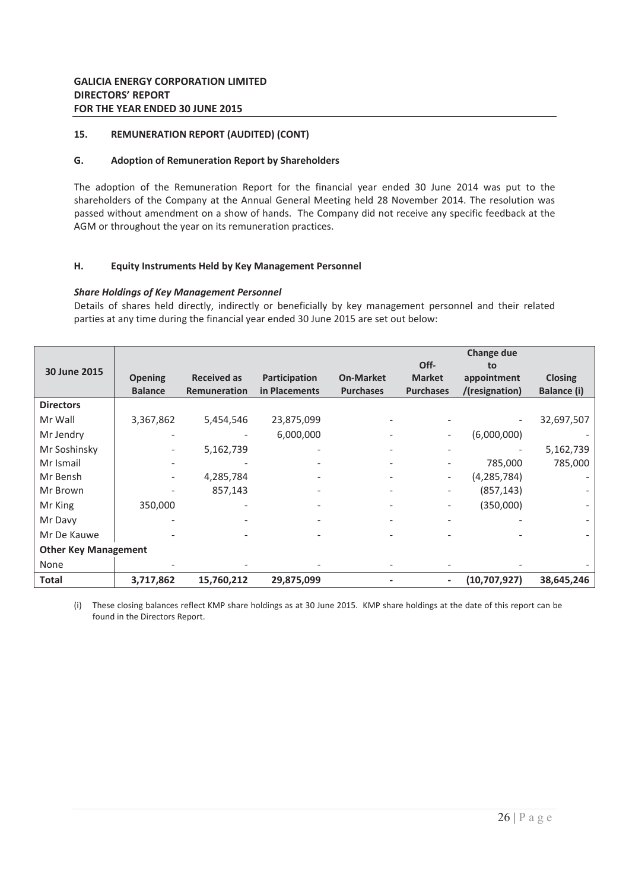### **G. Adoption of Remuneration Report by Shareholders**

The adoption of the Remuneration Report for the financial year ended 30 June 2014 was put to the shareholders of the Company at the Annual General Meeting held 28 November 2014. The resolution was passed without amendment on a show of hands. The Company did not receive any specific feedback at the AGM or throughout the year on its remuneration practices.

## **H. Equity Instruments Held by Key Management Personnel**

#### *Share Holdings of Key Management Personnel*

Details of shares held directly, indirectly or beneficially by key management personnel and their related parties at any time during the financial year ended 30 June 2015 are set out below:

|                             |                |                    |               |                  |                          | <b>Change due</b> |                    |
|-----------------------------|----------------|--------------------|---------------|------------------|--------------------------|-------------------|--------------------|
| 30 June 2015                |                |                    |               |                  | Off-                     | to                |                    |
|                             | <b>Opening</b> | <b>Received as</b> | Participation | <b>On-Market</b> | <b>Market</b>            | appointment       | <b>Closing</b>     |
|                             | <b>Balance</b> | Remuneration       | in Placements | <b>Purchases</b> | <b>Purchases</b>         | /(resignation)    | <b>Balance (i)</b> |
| <b>Directors</b>            |                |                    |               |                  |                          |                   |                    |
| Mr Wall                     | 3,367,862      | 5,454,546          | 23,875,099    |                  |                          |                   | 32,697,507         |
| Mr Jendry                   |                |                    | 6,000,000     |                  |                          | (6,000,000)       |                    |
| Mr Soshinsky                |                | 5,162,739          |               |                  |                          |                   | 5,162,739          |
| Mr Ismail                   |                |                    |               |                  |                          | 785,000           | 785,000            |
| Mr Bensh                    |                | 4,285,784          |               |                  | $\overline{\phantom{0}}$ | (4, 285, 784)     |                    |
| Mr Brown                    |                | 857,143            |               |                  | -                        | (857, 143)        |                    |
| Mr King                     | 350,000        |                    |               |                  | -                        | (350,000)         |                    |
| Mr Davy                     |                |                    |               |                  |                          |                   |                    |
| Mr De Kauwe                 |                |                    |               |                  |                          |                   |                    |
| <b>Other Key Management</b> |                |                    |               |                  |                          |                   |                    |
| None                        |                |                    |               |                  |                          |                   |                    |
| <b>Total</b>                | 3,717,862      | 15,760,212         | 29,875,099    |                  | ٠                        | (10, 707, 927)    | 38,645,246         |

(i) These closing balances reflect KMP share holdings as at 30 June 2015.KMP share holdings at the date of this report can be found in the Directors Report.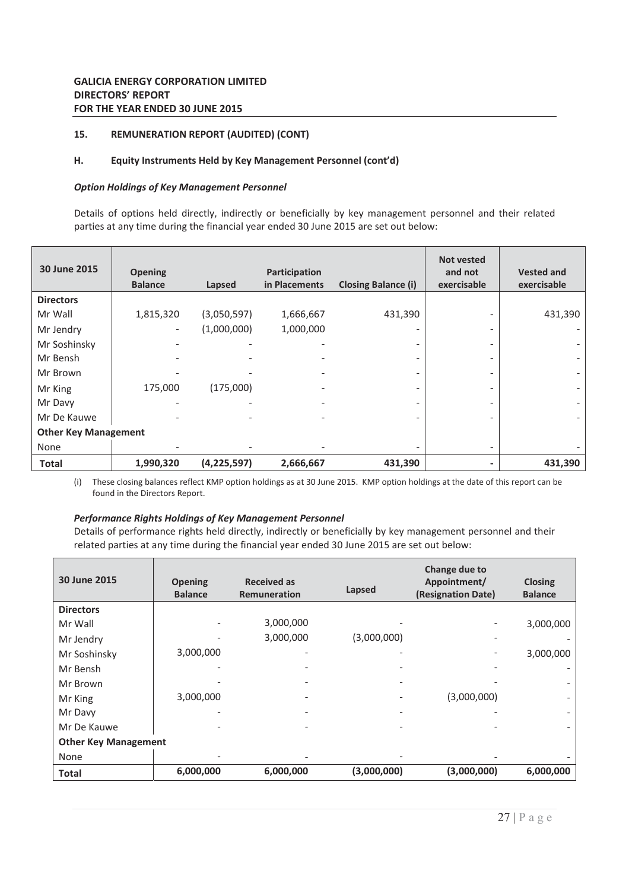### **H. Equity Instruments Held by Key Management Personnel (cont'd)**

### *Option Holdings of Key Management Personnel*

Details of options held directly, indirectly or beneficially by key management personnel and their related parties at any time during the financial year ended 30 June 2015 are set out below:

| 30 June 2015                | <b>Opening</b><br><b>Balance</b> | Lapsed        | Participation<br>in Placements | <b>Closing Balance (i)</b> | Not vested<br>and not<br>exercisable | <b>Vested and</b><br>exercisable |  |
|-----------------------------|----------------------------------|---------------|--------------------------------|----------------------------|--------------------------------------|----------------------------------|--|
| <b>Directors</b>            |                                  |               |                                |                            |                                      |                                  |  |
| Mr Wall                     | 1,815,320                        | (3,050,597)   | 1,666,667                      | 431,390                    |                                      | 431,390                          |  |
| Mr Jendry                   | ۰.                               | (1,000,000)   | 1,000,000                      | ٠                          |                                      |                                  |  |
| Mr Soshinsky                |                                  |               |                                |                            |                                      |                                  |  |
| Mr Bensh                    |                                  |               |                                |                            |                                      |                                  |  |
| Mr Brown                    |                                  |               |                                |                            |                                      |                                  |  |
| Mr King                     | 175,000                          | (175,000)     |                                | ٠                          |                                      |                                  |  |
| Mr Davy                     |                                  |               |                                |                            |                                      |                                  |  |
| Mr De Kauwe                 |                                  |               |                                |                            |                                      |                                  |  |
| <b>Other Key Management</b> |                                  |               |                                |                            |                                      |                                  |  |
| None                        |                                  |               |                                |                            |                                      |                                  |  |
| <b>Total</b>                | 1,990,320                        | (4, 225, 597) | 2,666,667                      | 431,390                    |                                      | 431,390                          |  |

(i) These closing balances reflect KMP option holdings as at 30 June 2015.KMP option holdings at the date of this report can be found in the Directors Report.

### *Performance Rights Holdings of Key Management Personnel*

Details of performance rights held directly, indirectly or beneficially by key management personnel and their related parties at any time during the financial year ended 30 June 2015 are set out below:

| 30 June 2015                | <b>Opening</b><br><b>Balance</b> | <b>Received as</b><br>Remuneration | Lapsed      | Change due to<br>Appointment/<br>(Resignation Date) | <b>Closing</b><br><b>Balance</b> |  |
|-----------------------------|----------------------------------|------------------------------------|-------------|-----------------------------------------------------|----------------------------------|--|
| <b>Directors</b>            |                                  |                                    |             |                                                     |                                  |  |
| Mr Wall                     |                                  | 3,000,000                          |             |                                                     | 3,000,000                        |  |
| Mr Jendry                   |                                  | 3,000,000                          | (3,000,000) |                                                     |                                  |  |
| Mr Soshinsky                | 3,000,000                        |                                    |             |                                                     | 3,000,000                        |  |
| Mr Bensh                    |                                  |                                    |             |                                                     |                                  |  |
| Mr Brown                    |                                  |                                    |             |                                                     |                                  |  |
| Mr King                     | 3,000,000                        |                                    |             | (3,000,000)                                         |                                  |  |
| Mr Davy                     |                                  |                                    |             |                                                     |                                  |  |
| Mr De Kauwe                 |                                  |                                    |             |                                                     |                                  |  |
| <b>Other Key Management</b> |                                  |                                    |             |                                                     |                                  |  |
| None                        |                                  |                                    |             |                                                     |                                  |  |
| <b>Total</b>                | 6,000,000                        | 6,000,000                          | (3,000,000) | (3,000,000)                                         | 6,000,000                        |  |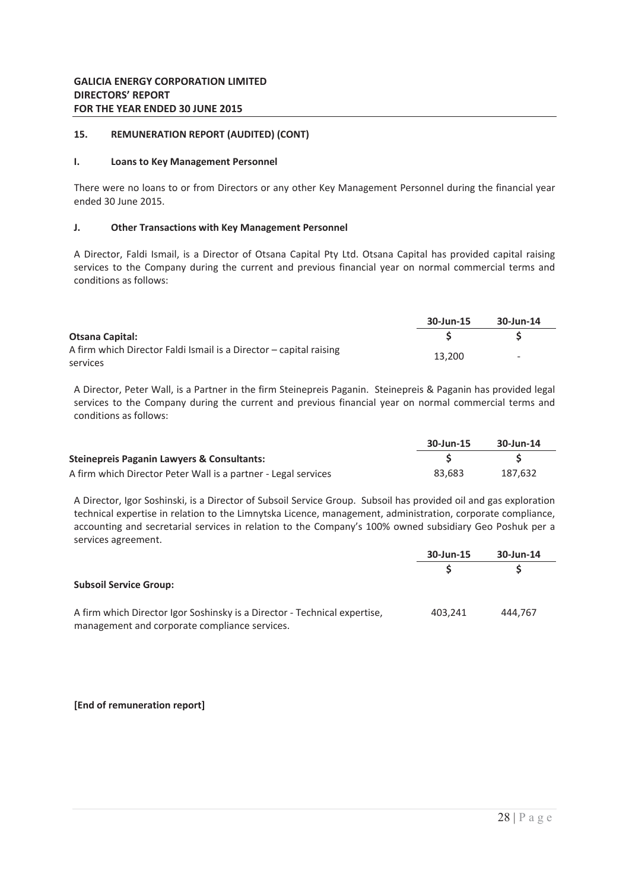#### **I. Loans to Key Management Personnel**

There were no loans to or from Directors or any other Key Management Personnel during the financial year ended 30 June 2015.

#### **J. Other Transactions with Key Management Personnel**

A Director, Faldi Ismail, is a Director of Otsana Capital Pty Ltd. Otsana Capital has provided capital raising services to the Company during the current and previous financial year on normal commercial terms and conditions as follows:

|                                                                                | 30-Jun-15 | 30-Jun-14                |  |
|--------------------------------------------------------------------------------|-----------|--------------------------|--|
| Otsana Capital:                                                                |           |                          |  |
| A firm which Director Faldi Ismail is a Director – capital raising<br>services | 13.200    | $\overline{\phantom{0}}$ |  |

A Director, Peter Wall, is a Partner in the firm Steinepreis Paganin. Steinepreis & Paganin has provided legal services to the Company during the current and previous financial year on normal commercial terms and conditions as follows:

|                                                                | 30-Jun-15 | 30-Jun-14 |  |
|----------------------------------------------------------------|-----------|-----------|--|
| Steinepreis Paganin Lawyers & Consultants:                     |           |           |  |
| A firm which Director Peter Wall is a partner - Legal services | 83.683    | 187.632   |  |

A Director, Igor Soshinski, is a Director of Subsoil Service Group. Subsoil has provided oil and gas exploration technical expertise in relation to the Limnytska Licence, management, administration, corporate compliance, accounting and secretarial services in relation to the Company's 100% owned subsidiary Geo Poshuk per a services agreement.

|                                                                                                                            | 30-Jun-15 | 30-Jun-14 |  |
|----------------------------------------------------------------------------------------------------------------------------|-----------|-----------|--|
|                                                                                                                            |           |           |  |
| <b>Subsoil Service Group:</b>                                                                                              |           |           |  |
| A firm which Director Igor Soshinsky is a Director - Technical expertise.<br>management and corporate compliance services. | 403.241   | 444.767   |  |

### **[End of remuneration report]**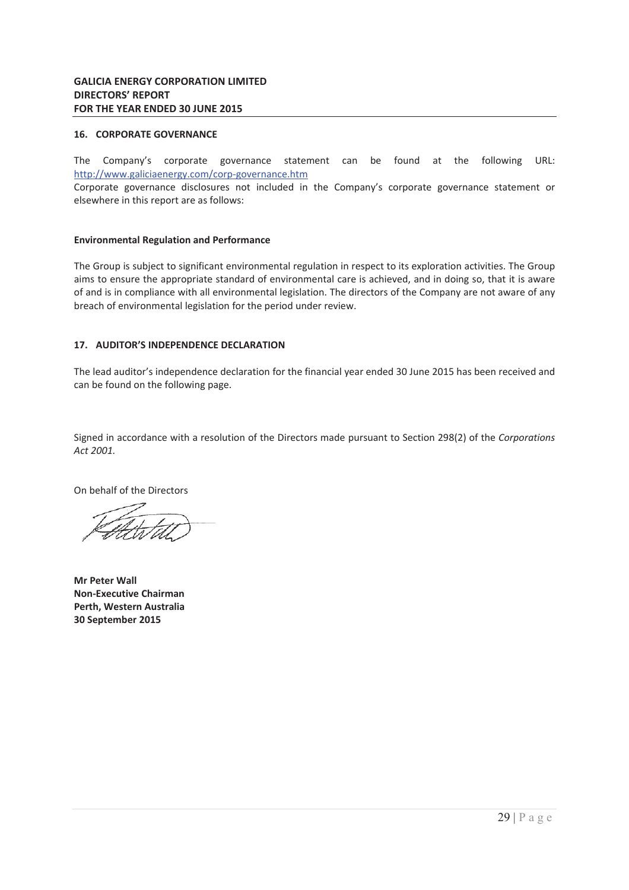## **16. CORPORATE GOVERNANCE**

The Company's corporate governance statement can be found at the following URL: http://www.galiciaenergy.com/corp-governance.htm

Corporate governance disclosures not included in the Company's corporate governance statement or elsewhere in this report are as follows:

#### **Environmental Regulation and Performance**

The Group is subject to significant environmental regulation in respect to its exploration activities. The Group aims to ensure the appropriate standard of environmental care is achieved, and in doing so, that it is aware of and is in compliance with all environmental legislation. The directors of the Company are not aware of any breach of environmental legislation for the period under review.

### **17. AUDITOR'S INDEPENDENCE DECLARATION**

The lead auditor's independence declaration for the financial year ended 30 June 2015 has been received and can be found on the following page.

Signed in accordance with a resolution of the Directors made pursuant to Section 298(2) of the *Corporations Act 2001.*

On behalf of the Directors

**Mr Peter Wall Non-Executive Chairman Perth, Western Australia 30 September 2015**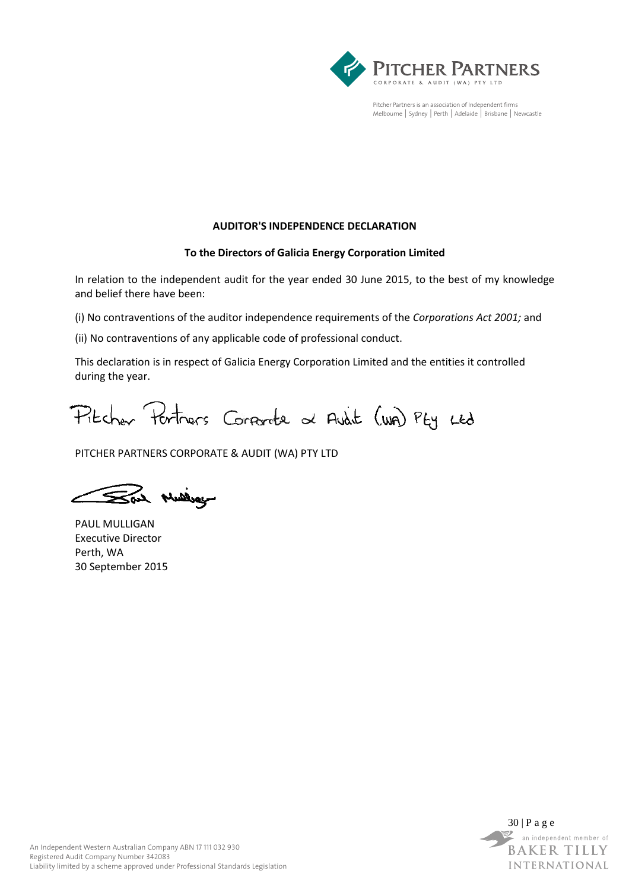

Pitcher Partners is an association of Independent firms Melbourne | Sydney | Perth | Adelaide | Brisbane | Newcastle

# **AUDITOR'S INDEPENDENCE DECLARATION**

# **To the Directors of Galicia Energy Corporation Limited**

In relation to the independent audit for the year ended 30 June 2015, to the best of my knowledge and belief there have been:

(i) No contraventions of the auditor independence requirements of the *Corporations Act 2001;* and

(ii) No contraventions of any applicable code of professional conduct.

This declaration is in respect of Galicia Energy Corporation Limited and the entities it controlled during the year.

Pilcher Pertners Corporate at Audit (WA) Pty Ltd

PITCHER PARTNERS CORPORATE & AUDIT (WA) PTY LTD

Sal Nulley

PAUL MULLIGAN Executive Director Perth, WA 30 September 2015

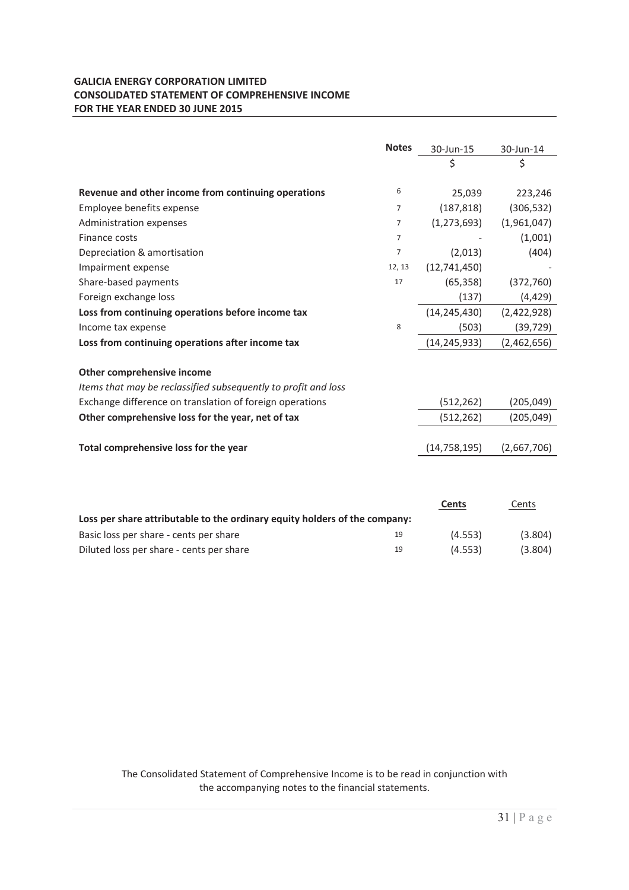# **GALICIA ENERGY CORPORATION LIMITED CONSOLIDATED STATEMENT OF COMPREHENSIVE INCOME FOR THE YEAR ENDED 30 JUNE 2015**

|                                                                | <b>Notes</b>   | 30-Jun-15      | 30-Jun-14   |
|----------------------------------------------------------------|----------------|----------------|-------------|
|                                                                |                | \$             | \$          |
|                                                                |                |                |             |
| Revenue and other income from continuing operations            | 6              | 25,039         | 223,246     |
| Employee benefits expense                                      | $\overline{7}$ | (187, 818)     | (306, 532)  |
| Administration expenses                                        | $\overline{7}$ | (1, 273, 693)  | (1,961,047) |
| Finance costs                                                  | 7              |                | (1,001)     |
| Depreciation & amortisation                                    | 7              | (2,013)        | (404)       |
| Impairment expense                                             | 12, 13         | (12,741,450)   |             |
| Share-based payments                                           | 17             | (65, 358)      | (372, 760)  |
| Foreign exchange loss                                          |                | (137)          | (4, 429)    |
| Loss from continuing operations before income tax              |                | (14, 245, 430) | (2,422,928) |
| Income tax expense                                             | 8              | (503)          | (39, 729)   |
| Loss from continuing operations after income tax               |                | (14, 245, 933) | (2,462,656) |
|                                                                |                |                |             |
| Other comprehensive income                                     |                |                |             |
| Items that may be reclassified subsequently to profit and loss |                |                |             |
| Exchange difference on translation of foreign operations       |                | (512, 262)     | (205, 049)  |
| Other comprehensive loss for the year, net of tax              |                | (512,262)      | (205, 049)  |
|                                                                |                |                |             |
| Total comprehensive loss for the year                          |                | (14,758,195)   | (2,667,706) |
|                                                                |                |                |             |

|                                                                            |    | Cents   | <u>Cents</u> |
|----------------------------------------------------------------------------|----|---------|--------------|
| Loss per share attributable to the ordinary equity holders of the company: |    |         |              |
| Basic loss per share - cents per share                                     | 19 | (4.553) | (3.804)      |
| Diluted loss per share - cents per share                                   | 19 | (4.553) | (3.804)      |

The Consolidated Statement of Comprehensive Income is to be read in conjunction with the accompanying notes to the financial statements.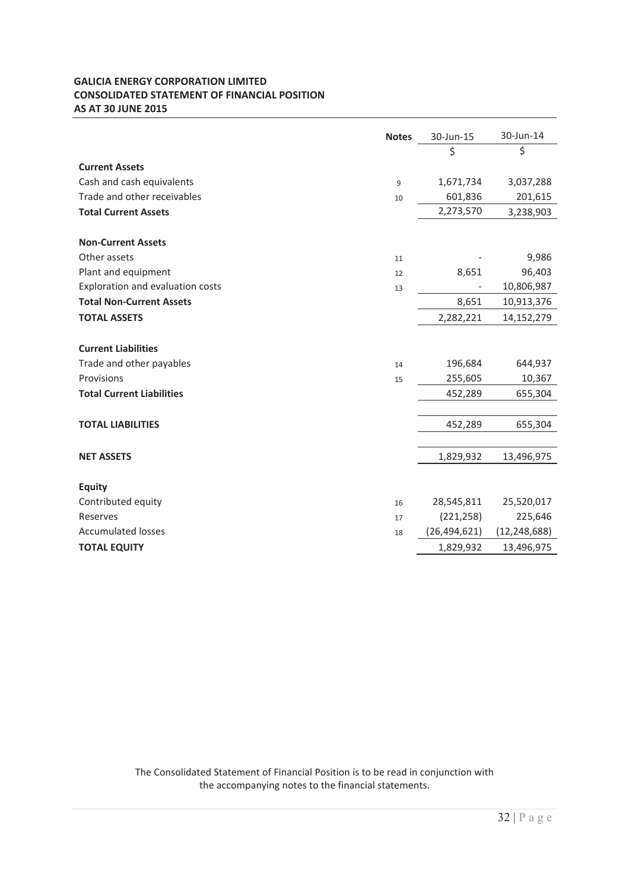# **GALICIA ENERGY CORPORATION LIMITED CONSOLIDATED STATEMENT OF FINANCIAL POSITION AS AT 30 JUNE 2015**

|                                  | <b>Notes</b> | 30-Jun-15      | 30-Jun-14      |
|----------------------------------|--------------|----------------|----------------|
|                                  |              | \$             | \$             |
| <b>Current Assets</b>            |              |                |                |
| Cash and cash equivalents        | 9            | 1,671,734      | 3,037,288      |
| Trade and other receivables      | 10           | 601,836        | 201,615        |
| <b>Total Current Assets</b>      |              | 2,273,570      | 3,238,903      |
|                                  |              |                |                |
| <b>Non-Current Assets</b>        |              |                |                |
| Other assets                     | 11           |                | 9,986          |
| Plant and equipment              | 12           | 8,651          | 96,403         |
| Exploration and evaluation costs | 13           |                | 10,806,987     |
| <b>Total Non-Current Assets</b>  |              | 8,651          | 10,913,376     |
| <b>TOTAL ASSETS</b>              |              | 2,282,221      | 14,152,279     |
|                                  |              |                |                |
| <b>Current Liabilities</b>       |              |                |                |
| Trade and other payables         | 14           | 196,684        | 644,937        |
| Provisions                       | 15           | 255,605        | 10,367         |
| <b>Total Current Liabilities</b> |              | 452,289        | 655,304        |
|                                  |              |                |                |
| <b>TOTAL LIABILITIES</b>         |              | 452,289        | 655,304        |
|                                  |              |                |                |
| <b>NET ASSETS</b>                |              | 1,829,932      | 13,496,975     |
|                                  |              |                |                |
| <b>Equity</b>                    |              |                |                |
| Contributed equity               | 16           | 28,545,811     | 25,520,017     |
| Reserves                         | 17           | (221, 258)     | 225,646        |
| <b>Accumulated losses</b>        | 18           | (26, 494, 621) | (12, 248, 688) |
| <b>TOTAL EQUITY</b>              |              | 1,829,932      | 13,496,975     |

The Consolidated Statement of Financial Position is to be read in conjunction with the accompanying notes to the financial statements.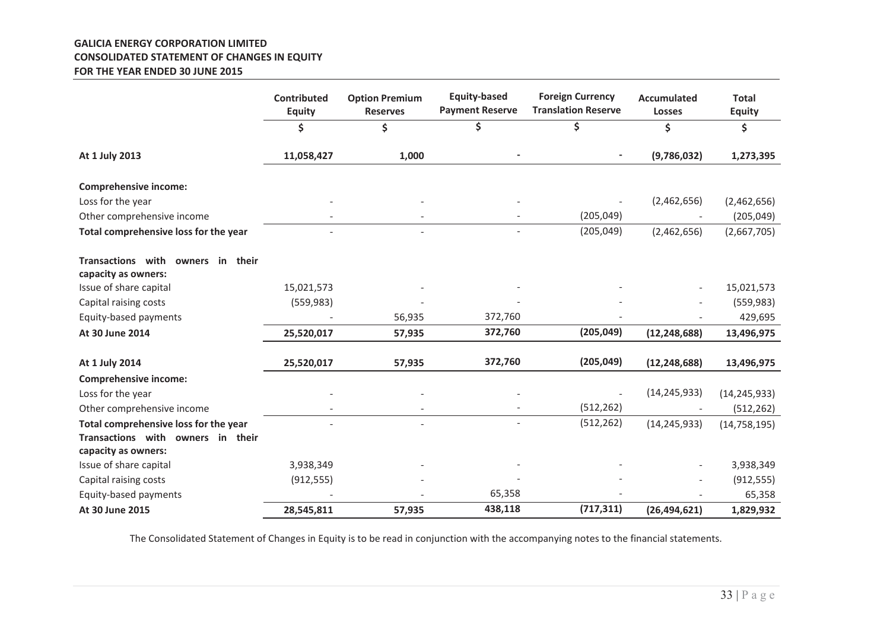## **GALICIA ENERGY CORPORATION LIMITED CONSOLIDATED STATEMENT OF CHANGES IN EQUITY FOR THE YEAR ENDED 30 JUNE 2015**

|                                                             | <b>Contributed</b><br><b>Equity</b> | <b>Option Premium</b><br><b>Reserves</b> | <b>Equity-based</b><br><b>Payment Reserve</b> | <b>Foreign Currency</b><br><b>Translation Reserve</b> | <b>Accumulated</b><br><b>Losses</b> | <b>Total</b><br>Equity |
|-------------------------------------------------------------|-------------------------------------|------------------------------------------|-----------------------------------------------|-------------------------------------------------------|-------------------------------------|------------------------|
|                                                             | Ś                                   | \$                                       | \$                                            | \$                                                    | \$                                  | \$                     |
| At 1 July 2013                                              | 11,058,427                          | 1,000                                    |                                               |                                                       | (9,786,032)                         | 1,273,395              |
| <b>Comprehensive income:</b>                                |                                     |                                          |                                               |                                                       |                                     |                        |
| Loss for the year                                           |                                     |                                          |                                               |                                                       | (2,462,656)                         | (2,462,656)            |
| Other comprehensive income                                  |                                     |                                          |                                               | (205, 049)                                            |                                     | (205, 049)             |
| Total comprehensive loss for the year                       |                                     |                                          |                                               | (205, 049)                                            | (2,462,656)                         | (2,667,705)            |
| Transactions with owners<br>in their<br>capacity as owners: |                                     |                                          |                                               |                                                       |                                     |                        |
| Issue of share capital                                      | 15,021,573                          |                                          |                                               |                                                       |                                     | 15,021,573             |
| Capital raising costs                                       | (559, 983)                          |                                          |                                               |                                                       |                                     | (559, 983)             |
| Equity-based payments                                       |                                     | 56,935                                   | 372,760                                       |                                                       |                                     | 429,695                |
| At 30 June 2014                                             | 25,520,017                          | 57,935                                   | 372,760                                       | (205, 049)                                            | (12, 248, 688)                      | 13,496,975             |
| At 1 July 2014                                              | 25,520,017                          | 57,935                                   | 372,760                                       | (205, 049)                                            | (12, 248, 688)                      | 13,496,975             |
| <b>Comprehensive income:</b>                                |                                     |                                          |                                               |                                                       |                                     |                        |
| Loss for the year                                           |                                     |                                          |                                               |                                                       | (14, 245, 933)                      | (14, 245, 933)         |
| Other comprehensive income                                  |                                     |                                          |                                               | (512, 262)                                            |                                     | (512, 262)             |
| Total comprehensive loss for the year                       |                                     |                                          |                                               | (512, 262)                                            | (14, 245, 933)                      | (14, 758, 195)         |
| Transactions with owners in their                           |                                     |                                          |                                               |                                                       |                                     |                        |
| capacity as owners:                                         |                                     |                                          |                                               |                                                       |                                     |                        |
| Issue of share capital                                      | 3,938,349                           |                                          |                                               |                                                       |                                     | 3,938,349              |
| Capital raising costs                                       | (912, 555)                          |                                          |                                               |                                                       |                                     | (912, 555)             |
| Equity-based payments                                       |                                     |                                          | 65,358                                        |                                                       |                                     | 65,358                 |
| At 30 June 2015                                             | 28,545,811                          | 57,935                                   | 438,118                                       | (717, 311)                                            | (26, 494, 621)                      | 1,829,932              |

The Consolidated Statement of Changes in Equity is to be read in conjunction with the accompanying notes to the financial statements.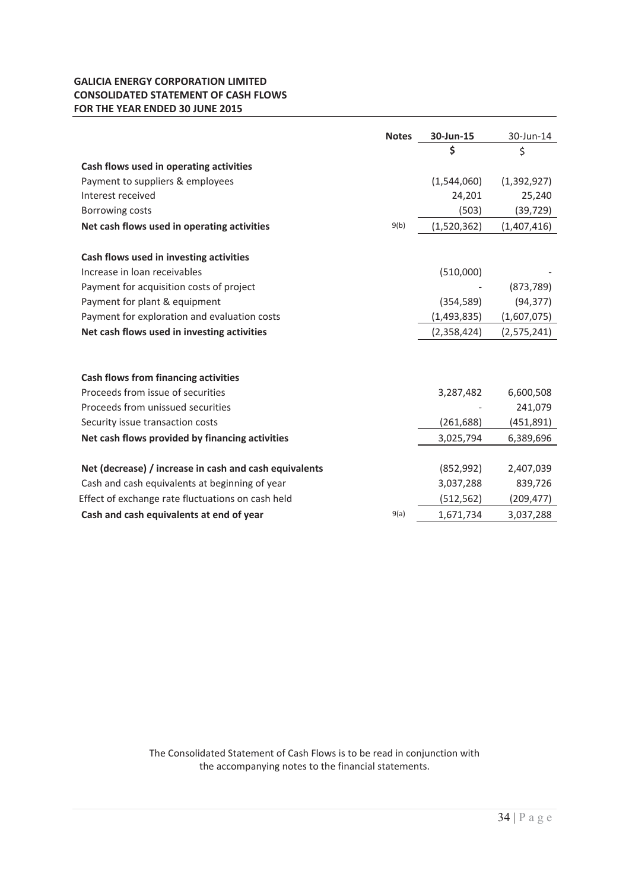# **GALICIA ENERGY CORPORATION LIMITED CONSOLIDATED STATEMENT OF CASH FLOWS FOR THE YEAR ENDED 30 JUNE 2015**

|                                                        | <b>Notes</b> | 30-Jun-15     | 30-Jun-14   |
|--------------------------------------------------------|--------------|---------------|-------------|
|                                                        |              | \$            | \$          |
| Cash flows used in operating activities                |              |               |             |
| Payment to suppliers & employees                       |              | (1,544,060)   | (1,392,927) |
| Interest received                                      |              | 24,201        | 25,240      |
| Borrowing costs                                        |              | (503)         | (39, 729)   |
| Net cash flows used in operating activities            | 9(b)         | (1,520,362)   | (1,407,416) |
| Cash flows used in investing activities                |              |               |             |
| Increase in loan receivables                           |              | (510,000)     |             |
| Payment for acquisition costs of project               |              |               | (873, 789)  |
| Payment for plant & equipment                          |              | (354, 589)    | (94, 377)   |
| Payment for exploration and evaluation costs           |              | (1, 493, 835) | (1,607,075) |
| Net cash flows used in investing activities            |              | (2,358,424)   | (2,575,241) |
|                                                        |              |               |             |
| <b>Cash flows from financing activities</b>            |              |               |             |
| Proceeds from issue of securities                      |              | 3,287,482     | 6,600,508   |
| Proceeds from unissued securities                      |              |               | 241,079     |
| Security issue transaction costs                       |              | (261, 688)    | (451,891)   |
| Net cash flows provided by financing activities        |              | 3,025,794     | 6,389,696   |
|                                                        |              |               |             |
| Net (decrease) / increase in cash and cash equivalents |              | (852, 992)    | 2,407,039   |
| Cash and cash equivalents at beginning of year         |              | 3,037,288     | 839,726     |
| Effect of exchange rate fluctuations on cash held      |              | (512, 562)    | (209, 477)  |
| Cash and cash equivalents at end of year               | 9(a)         | 1,671,734     | 3,037,288   |

The Consolidated Statement of Cash Flows is to be read in conjunction with the accompanying notes to the financial statements.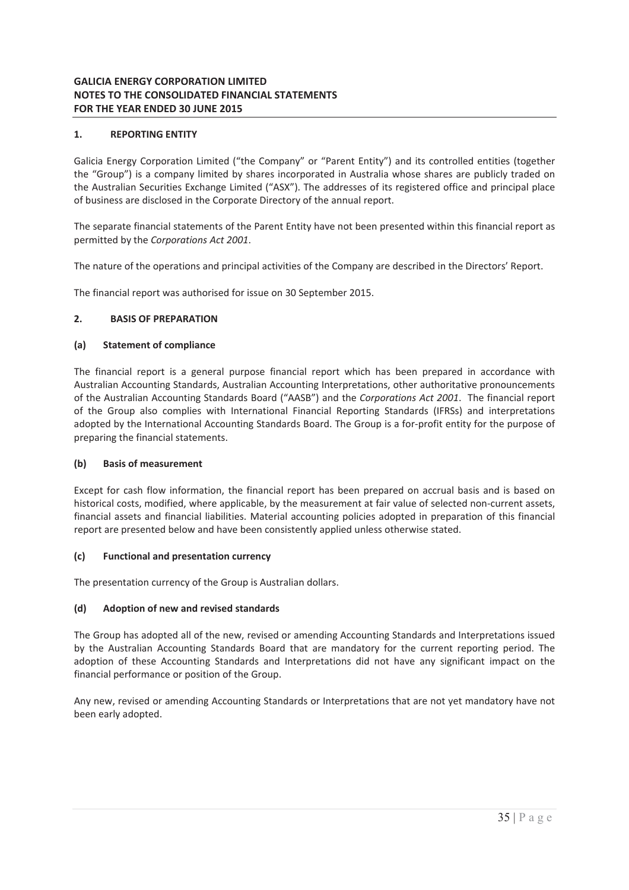# **1. REPORTING ENTITY**

Galicia Energy Corporation Limited ("the Company" or "Parent Entity") and its controlled entities (together the "Group") is a company limited by shares incorporated in Australia whose shares are publicly traded on the Australian Securities Exchange Limited ("ASX"). The addresses of its registered office and principal place of business are disclosed in the Corporate Directory of the annual report.

The separate financial statements of the Parent Entity have not been presented within this financial report as permitted by the *Corporations Act 2001*.

The nature of the operations and principal activities of the Company are described in the Directors' Report.

The financial report was authorised for issue on 30 September 2015.

# **2. BASIS OF PREPARATION**

# **(a) Statement of compliance**

The financial report is a general purpose financial report which has been prepared in accordance with Australian Accounting Standards, Australian Accounting Interpretations, other authoritative pronouncements of the Australian Accounting Standards Board ("AASB") and the *Corporations Act 2001*.The financial report of the Group also complies with International Financial Reporting Standards (IFRSs) and interpretations adopted by the International Accounting Standards Board. The Group is a for-profit entity for the purpose of preparing the financial statements.

## **(b) Basis of measurement**

Except for cash flow information, the financial report has been prepared on accrual basis and is based on historical costs, modified, where applicable, by the measurement at fair value of selected non-current assets, financial assets and financial liabilities. Material accounting policies adopted in preparation of this financial report are presented below and have been consistently applied unless otherwise stated.

# **(c) Functional and presentation currency**

The presentation currency of the Group is Australian dollars.

# **(d) Adoption of new and revised standards**

The Group has adopted all of the new, revised or amending Accounting Standards and Interpretations issued by the Australian Accounting Standards Board that are mandatory for the current reporting period. The adoption of these Accounting Standards and Interpretations did not have any significant impact on the financial performance or position of the Group.

Any new, revised or amending Accounting Standards or Interpretations that are not yet mandatory have not been early adopted.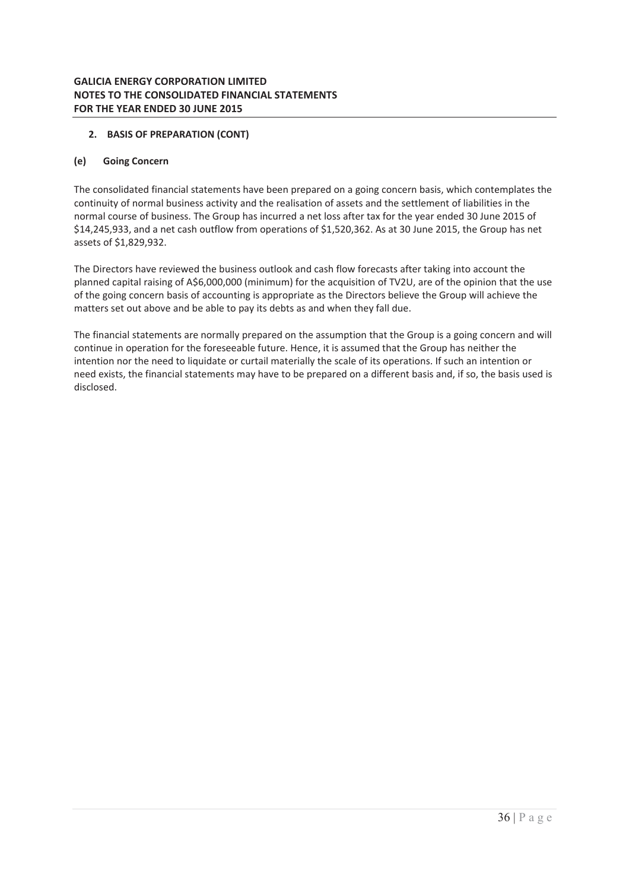# **2. BASIS OF PREPARATION (CONT)**

# **(e) Going Concern**

The consolidated financial statements have been prepared on a going concern basis, which contemplates the continuity of normal business activity and the realisation of assets and the settlement of liabilities in the normal course of business. The Group has incurred a net loss after tax for the year ended 30 June 2015 of \$14,245,933, and a net cash outflow from operations of \$1,520,362. As at 30 June 2015, the Group has net assets of \$1,829,932.

The Directors have reviewed the business outlook and cash flow forecasts after taking into account the planned capital raising of A\$6,000,000 (minimum) for the acquisition of TV2U, are of the opinion that the use of the going concern basis of accounting is appropriate as the Directors believe the Group will achieve the matters set out above and be able to pay its debts as and when they fall due.

The financial statements are normally prepared on the assumption that the Group is a going concern and will continue in operation for the foreseeable future. Hence, it is assumed that the Group has neither the intention nor the need to liquidate or curtail materially the scale of its operations. If such an intention or need exists, the financial statements may have to be prepared on a different basis and, if so, the basis used is disclosed.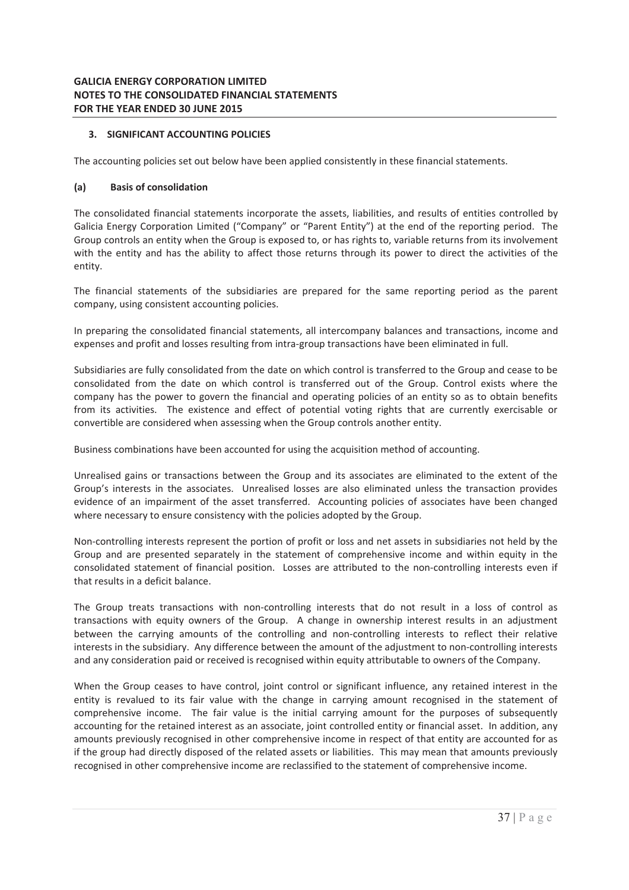The accounting policies set out below have been applied consistently in these financial statements.

# **(a) Basis of consolidation**

The consolidated financial statements incorporate the assets, liabilities, and results of entities controlled by Galicia Energy Corporation Limited ("Company" or "Parent Entity") at the end of the reporting period. The Group controls an entity when the Group is exposed to, or has rights to, variable returns from its involvement with the entity and has the ability to affect those returns through its power to direct the activities of the entity.

The financial statements of the subsidiaries are prepared for the same reporting period as the parent company, using consistent accounting policies.

In preparing the consolidated financial statements, all intercompany balances and transactions, income and expenses and profit and losses resulting from intra-group transactions have been eliminated in full.

Subsidiaries are fully consolidated from the date on which control is transferred to the Group and cease to be consolidated from the date on which control is transferred out of the Group. Control exists where the company has the power to govern the financial and operating policies of an entity so as to obtain benefits from its activities. The existence and effect of potential voting rights that are currently exercisable or convertible are considered when assessing when the Group controls another entity.

Business combinations have been accounted for using the acquisition method of accounting.

Unrealised gains or transactions between the Group and its associates are eliminated to the extent of the Group's interests in the associates. Unrealised losses are also eliminated unless the transaction provides evidence of an impairment of the asset transferred. Accounting policies of associates have been changed where necessary to ensure consistency with the policies adopted by the Group.

Non-controlling interests represent the portion of profit or loss and net assets in subsidiaries not held by the Group and are presented separately in the statement of comprehensive income and within equity in the consolidated statement of financial position. Losses are attributed to the non-controlling interests even if that results in a deficit balance.

The Group treats transactions with non-controlling interests that do not result in a loss of control as transactions with equity owners of the Group. A change in ownership interest results in an adjustment between the carrying amounts of the controlling and non-controlling interests to reflect their relative interests in the subsidiary. Any difference between the amount of the adjustment to non-controlling interests and any consideration paid or received is recognised within equity attributable to owners of the Company.

When the Group ceases to have control, joint control or significant influence, any retained interest in the entity is revalued to its fair value with the change in carrying amount recognised in the statement of comprehensive income. The fair value is the initial carrying amount for the purposes of subsequently accounting for the retained interest as an associate, joint controlled entity or financial asset. In addition, any amounts previously recognised in other comprehensive income in respect of that entity are accounted for as if the group had directly disposed of the related assets or liabilities. This may mean that amounts previously recognised in other comprehensive income are reclassified to the statement of comprehensive income.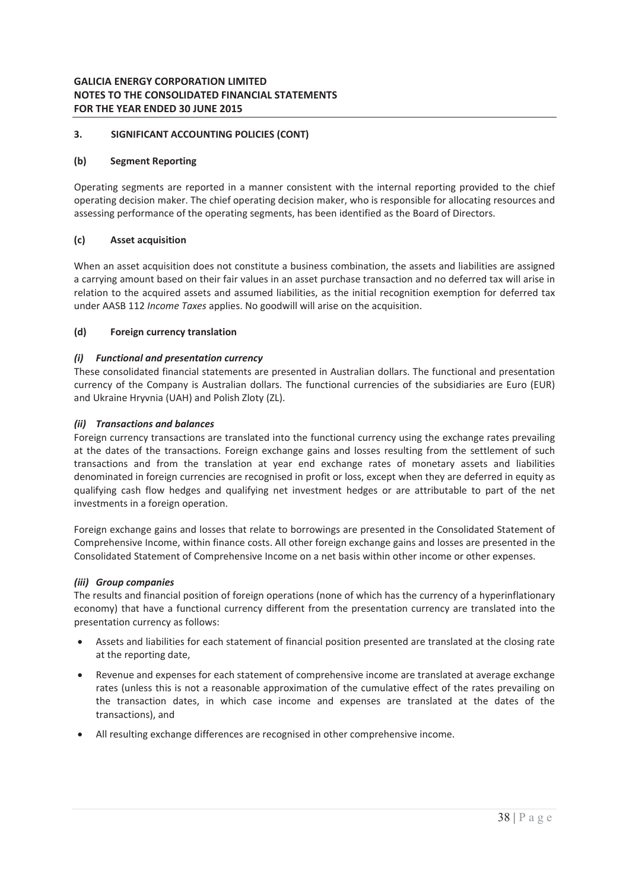# **3. SIGNIFICANT ACCOUNTING POLICIES (CONT)**

## **(b) Segment Reporting**

Operating segments are reported in a manner consistent with the internal reporting provided to the chief operating decision maker. The chief operating decision maker, who is responsible for allocating resources and assessing performance of the operating segments, has been identified as the Board of Directors.

## **(c) Asset acquisition**

When an asset acquisition does not constitute a business combination, the assets and liabilities are assigned a carrying amount based on their fair values in an asset purchase transaction and no deferred tax will arise in relation to the acquired assets and assumed liabilities, as the initial recognition exemption for deferred tax under AASB 112 *Income Taxes* applies. No goodwill will arise on the acquisition.

## **(d) Foreign currency translation**

# *(i) Functional and presentation currency*

These consolidated financial statements are presented in Australian dollars. The functional and presentation currency of the Company is Australian dollars. The functional currencies of the subsidiaries are Euro (EUR) and Ukraine Hryvnia (UAH) and Polish Zloty (ZL).

## *(ii) Transactions and balances*

Foreign currency transactions are translated into the functional currency using the exchange rates prevailing at the dates of the transactions. Foreign exchange gains and losses resulting from the settlement of such transactions and from the translation at year end exchange rates of monetary assets and liabilities denominated in foreign currencies are recognised in profit or loss, except when they are deferred in equity as qualifying cash flow hedges and qualifying net investment hedges or are attributable to part of the net investments in a foreign operation.

Foreign exchange gains and losses that relate to borrowings are presented in the Consolidated Statement of Comprehensive Income, within finance costs. All other foreign exchange gains and losses are presented in the Consolidated Statement of Comprehensive Income on a net basis within other income or other expenses.

## *(iii) Group companies*

The results and financial position of foreign operations (none of which has the currency of a hyperinflationary economy) that have a functional currency different from the presentation currency are translated into the presentation currency as follows:

- Assets and liabilities for each statement of financial position presented are translated at the closing rate at the reporting date,
- Revenue and expenses for each statement of comprehensive income are translated at average exchange rates (unless this is not a reasonable approximation of the cumulative effect of the rates prevailing on the transaction dates, in which case income and expenses are translated at the dates of the transactions), and
- All resulting exchange differences are recognised in other comprehensive income.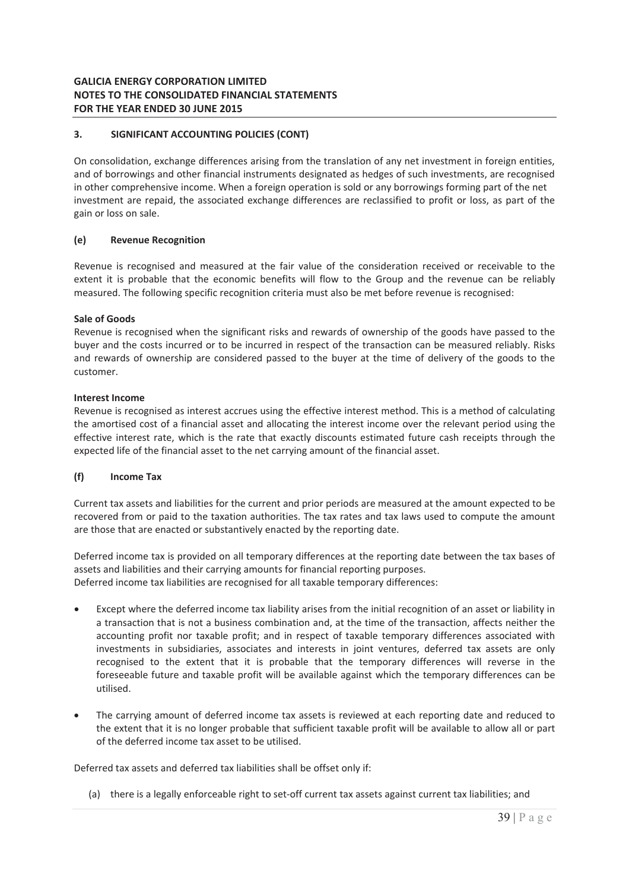# **3. SIGNIFICANT ACCOUNTING POLICIES (CONT)**

On consolidation, exchange differences arising from the translation of any net investment in foreign entities, and of borrowings and other financial instruments designated as hedges of such investments, are recognised in other comprehensive income. When a foreign operation is sold or any borrowings forming part of the net investment are repaid, the associated exchange differences are reclassified to profit or loss, as part of the gain or loss on sale.

## **(e) Revenue Recognition**

Revenue is recognised and measured at the fair value of the consideration received or receivable to the extent it is probable that the economic benefits will flow to the Group and the revenue can be reliably measured. The following specific recognition criteria must also be met before revenue is recognised:

## **Sale of Goods**

Revenue is recognised when the significant risks and rewards of ownership of the goods have passed to the buyer and the costs incurred or to be incurred in respect of the transaction can be measured reliably. Risks and rewards of ownership are considered passed to the buyer at the time of delivery of the goods to the customer.

## **Interest Income**

Revenue is recognised as interest accrues using the effective interest method. This is a method of calculating the amortised cost of a financial asset and allocating the interest income over the relevant period using the effective interest rate, which is the rate that exactly discounts estimated future cash receipts through the expected life of the financial asset to the net carrying amount of the financial asset.

# **(f) Income Tax**

Current tax assets and liabilities for the current and prior periods are measured at the amount expected to be recovered from or paid to the taxation authorities. The tax rates and tax laws used to compute the amount are those that are enacted or substantively enacted by the reporting date.

Deferred income tax is provided on all temporary differences at the reporting date between the tax bases of assets and liabilities and their carrying amounts for financial reporting purposes. Deferred income tax liabilities are recognised for all taxable temporary differences:

- x Except where the deferred income tax liability arises from the initial recognition of an asset or liability in a transaction that is not a business combination and, at the time of the transaction, affects neither the accounting profit nor taxable profit; and in respect of taxable temporary differences associated with investments in subsidiaries, associates and interests in joint ventures, deferred tax assets are only recognised to the extent that it is probable that the temporary differences will reverse in the foreseeable future and taxable profit will be available against which the temporary differences can be utilised.
- The carrying amount of deferred income tax assets is reviewed at each reporting date and reduced to the extent that it is no longer probable that sufficient taxable profit will be available to allow all or part of the deferred income tax asset to be utilised.

Deferred tax assets and deferred tax liabilities shall be offset only if:

(a) there is a legally enforceable right to set-off current tax assets against current tax liabilities; and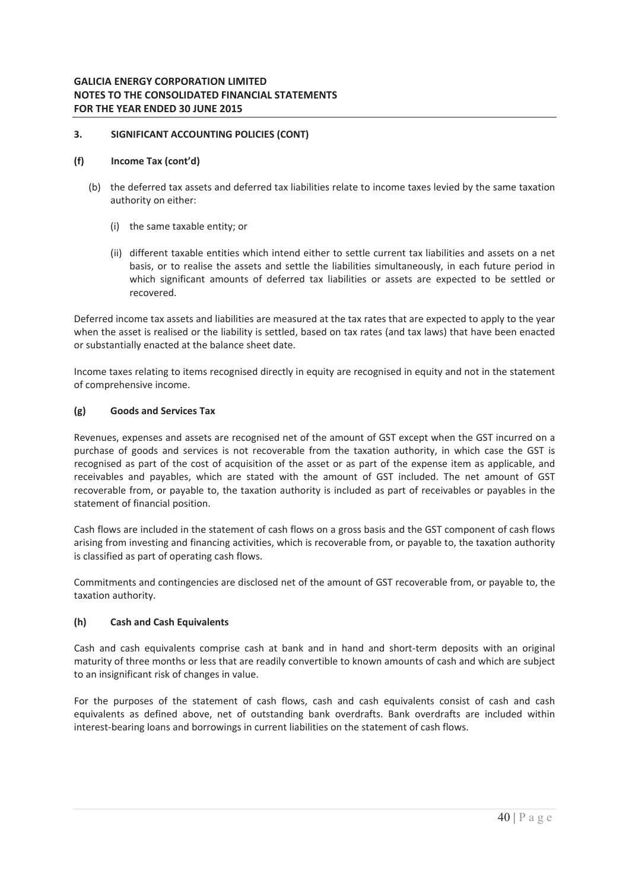## **(f) Income Tax (cont'd)**

- (b) the deferred tax assets and deferred tax liabilities relate to income taxes levied by the same taxation authority on either:
	- (i) the same taxable entity; or
	- (ii) different taxable entities which intend either to settle current tax liabilities and assets on a net basis, or to realise the assets and settle the liabilities simultaneously, in each future period in which significant amounts of deferred tax liabilities or assets are expected to be settled or recovered.

Deferred income tax assets and liabilities are measured at the tax rates that are expected to apply to the year when the asset is realised or the liability is settled, based on tax rates (and tax laws) that have been enacted or substantially enacted at the balance sheet date.

Income taxes relating to items recognised directly in equity are recognised in equity and not in the statement of comprehensive income.

## **(g) Goods and Services Tax**

Revenues, expenses and assets are recognised net of the amount of GST except when the GST incurred on a purchase of goods and services is not recoverable from the taxation authority, in which case the GST is recognised as part of the cost of acquisition of the asset or as part of the expense item as applicable, and receivables and payables, which are stated with the amount of GST included. The net amount of GST recoverable from, or payable to, the taxation authority is included as part of receivables or payables in the statement of financial position.

Cash flows are included in the statement of cash flows on a gross basis and the GST component of cash flows arising from investing and financing activities, which is recoverable from, or payable to, the taxation authority is classified as part of operating cash flows.

Commitments and contingencies are disclosed net of the amount of GST recoverable from, or payable to, the taxation authority.

## **(h) Cash and Cash Equivalents**

Cash and cash equivalents comprise cash at bank and in hand and short-term deposits with an original maturity of three months or less that are readily convertible to known amounts of cash and which are subject to an insignificant risk of changes in value.

For the purposes of the statement of cash flows, cash and cash equivalents consist of cash and cash equivalents as defined above, net of outstanding bank overdrafts. Bank overdrafts are included within interest-bearing loans and borrowings in current liabilities on the statement of cash flows.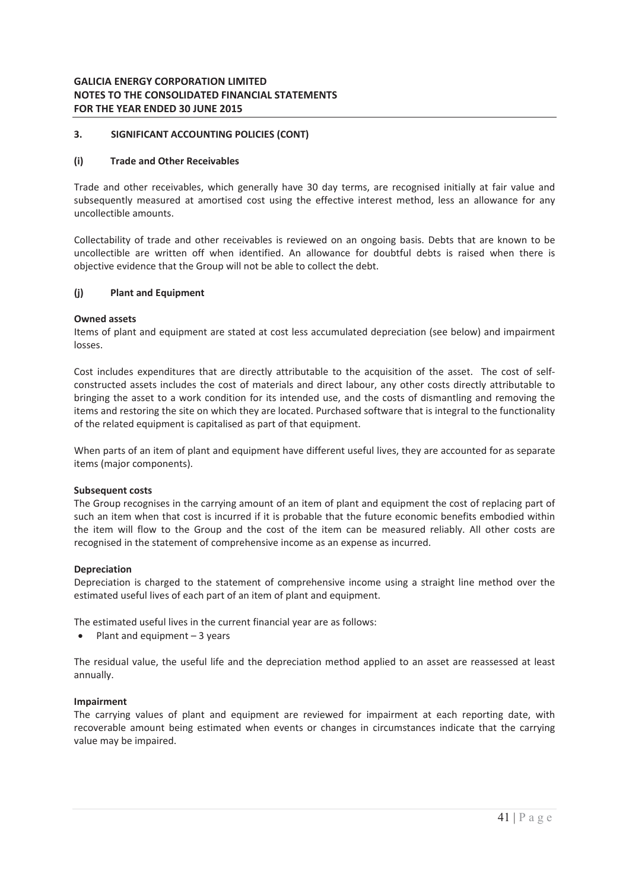# **3. SIGNIFICANT ACCOUNTING POLICIES (CONT)**

# **(i) Trade and Other Receivables**

Trade and other receivables, which generally have 30 day terms, are recognised initially at fair value and subsequently measured at amortised cost using the effective interest method, less an allowance for any uncollectible amounts.

Collectability of trade and other receivables is reviewed on an ongoing basis. Debts that are known to be uncollectible are written off when identified. An allowance for doubtful debts is raised when there is objective evidence that the Group will not be able to collect the debt.

## **(j) Plant and Equipment**

## **Owned assets**

Items of plant and equipment are stated at cost less accumulated depreciation (see below) and impairment losses.

Cost includes expenditures that are directly attributable to the acquisition of the asset. The cost of selfconstructed assets includes the cost of materials and direct labour, any other costs directly attributable to bringing the asset to a work condition for its intended use, and the costs of dismantling and removing the items and restoring the site on which they are located. Purchased software that is integral to the functionality of the related equipment is capitalised as part of that equipment.

When parts of an item of plant and equipment have different useful lives, they are accounted for as separate items (major components).

## **Subsequent costs**

The Group recognises in the carrying amount of an item of plant and equipment the cost of replacing part of such an item when that cost is incurred if it is probable that the future economic benefits embodied within the item will flow to the Group and the cost of the item can be measured reliably. All other costs are recognised in the statement of comprehensive income as an expense as incurred.

## **Depreciation**

Depreciation is charged to the statement of comprehensive income using a straight line method over the estimated useful lives of each part of an item of plant and equipment.

The estimated useful lives in the current financial year are as follows:

 $\bullet$  Plant and equipment – 3 years

The residual value, the useful life and the depreciation method applied to an asset are reassessed at least annually.

## **Impairment**

The carrying values of plant and equipment are reviewed for impairment at each reporting date, with recoverable amount being estimated when events or changes in circumstances indicate that the carrying value may be impaired.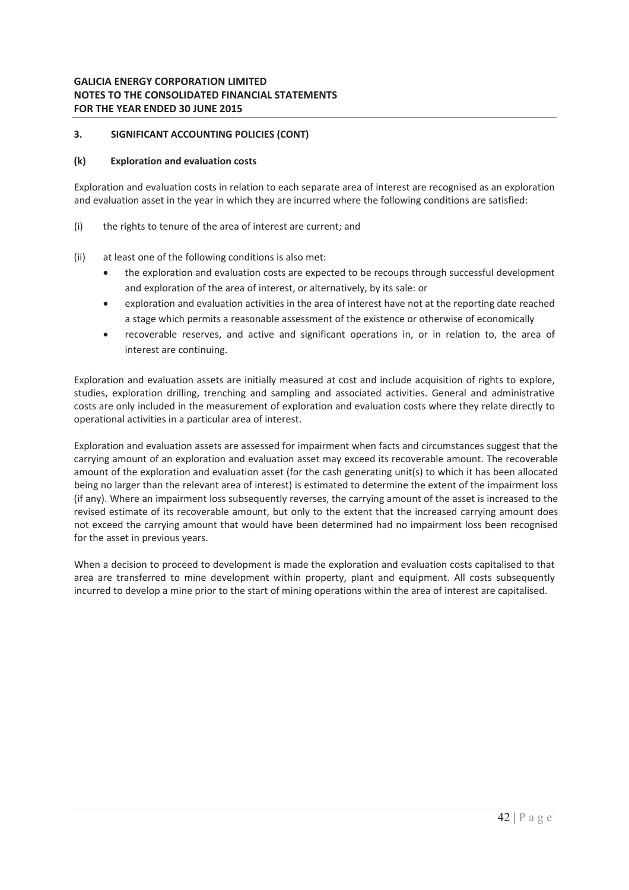# **3. SIGNIFICANT ACCOUNTING POLICIES (CONT)**

#### **(k) Exploration and evaluation costs**

Exploration and evaluation costs in relation to each separate area of interest are recognised as an exploration and evaluation asset in the year in which they are incurred where the following conditions are satisfied:

- (i) the rights to tenure of the area of interest are current; and
- (ii) at least one of the following conditions is also met:
	- the exploration and evaluation costs are expected to be recoups through successful development and exploration of the area of interest, or alternatively, by its sale: or
	- x exploration and evaluation activities in the area of interest have not at the reporting date reached a stage which permits a reasonable assessment of the existence or otherwise of economically
	- recoverable reserves, and active and significant operations in, or in relation to, the area of interest are continuing.

Exploration and evaluation assets are initially measured at cost and include acquisition of rights to explore, studies, exploration drilling, trenching and sampling and associated activities. General and administrative costs are only included in the measurement of exploration and evaluation costs where they relate directly to operational activities in a particular area of interest.

Exploration and evaluation assets are assessed for impairment when facts and circumstances suggest that the carrying amount of an exploration and evaluation asset may exceed its recoverable amount. The recoverable amount of the exploration and evaluation asset (for the cash generating unit(s) to which it has been allocated being no larger than the relevant area of interest) is estimated to determine the extent of the impairment loss (if any). Where an impairment loss subsequently reverses, the carrying amount of the asset is increased to the revised estimate of its recoverable amount, but only to the extent that the increased carrying amount does not exceed the carrying amount that would have been determined had no impairment loss been recognised for the asset in previous years.

When a decision to proceed to development is made the exploration and evaluation costs capitalised to that area are transferred to mine development within property, plant and equipment. All costs subsequently incurred to develop a mine prior to the start of mining operations within the area of interest are capitalised.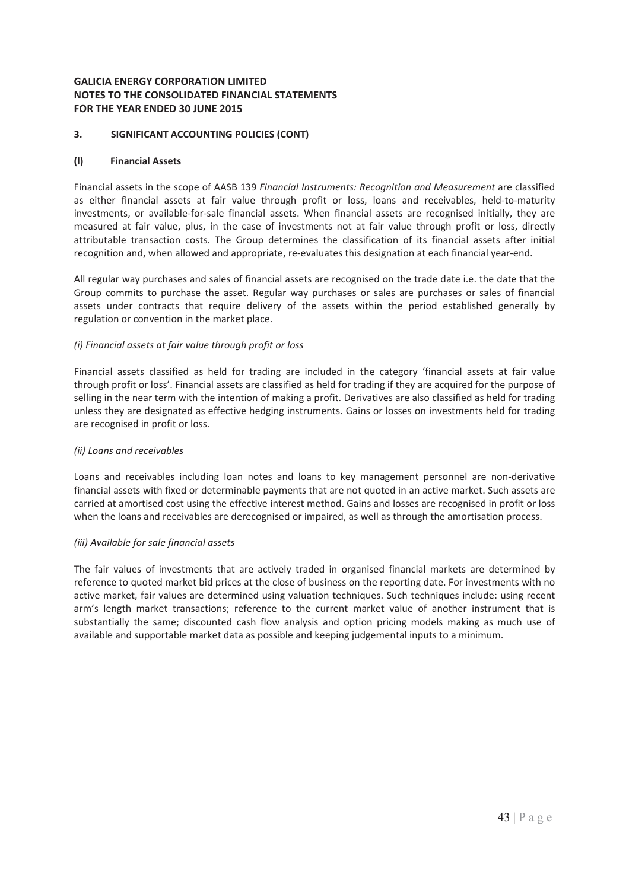#### **(l) Financial Assets**

Financial assets in the scope of AASB 139 *Financial Instruments: Recognition and Measurement* are classified as either financial assets at fair value through profit or loss, loans and receivables, held-to-maturity investments, or available-for-sale financial assets. When financial assets are recognised initially, they are measured at fair value, plus, in the case of investments not at fair value through profit or loss, directly attributable transaction costs. The Group determines the classification of its financial assets after initial recognition and, when allowed and appropriate, re-evaluates this designation at each financial year-end.

All regular way purchases and sales of financial assets are recognised on the trade date i.e. the date that the Group commits to purchase the asset. Regular way purchases or sales are purchases or sales of financial assets under contracts that require delivery of the assets within the period established generally by regulation or convention in the market place.

# *(i) Financial assets at fair value through profit or loss*

Financial assets classified as held for trading are included in the category 'financial assets at fair value through profit or loss'. Financial assets are classified as held for trading if they are acquired for the purpose of selling in the near term with the intention of making a profit. Derivatives are also classified as held for trading unless they are designated as effective hedging instruments. Gains or losses on investments held for trading are recognised in profit or loss.

## *(ii) Loans and receivables*

Loans and receivables including loan notes and loans to key management personnel are non-derivative financial assets with fixed or determinable payments that are not quoted in an active market. Such assets are carried at amortised cost using the effective interest method. Gains and losses are recognised in profit or loss when the loans and receivables are derecognised or impaired, as well as through the amortisation process.

## *(iii) Available for sale financial assets*

The fair values of investments that are actively traded in organised financial markets are determined by reference to quoted market bid prices at the close of business on the reporting date. For investments with no active market, fair values are determined using valuation techniques. Such techniques include: using recent arm's length market transactions; reference to the current market value of another instrument that is substantially the same; discounted cash flow analysis and option pricing models making as much use of available and supportable market data as possible and keeping judgemental inputs to a minimum.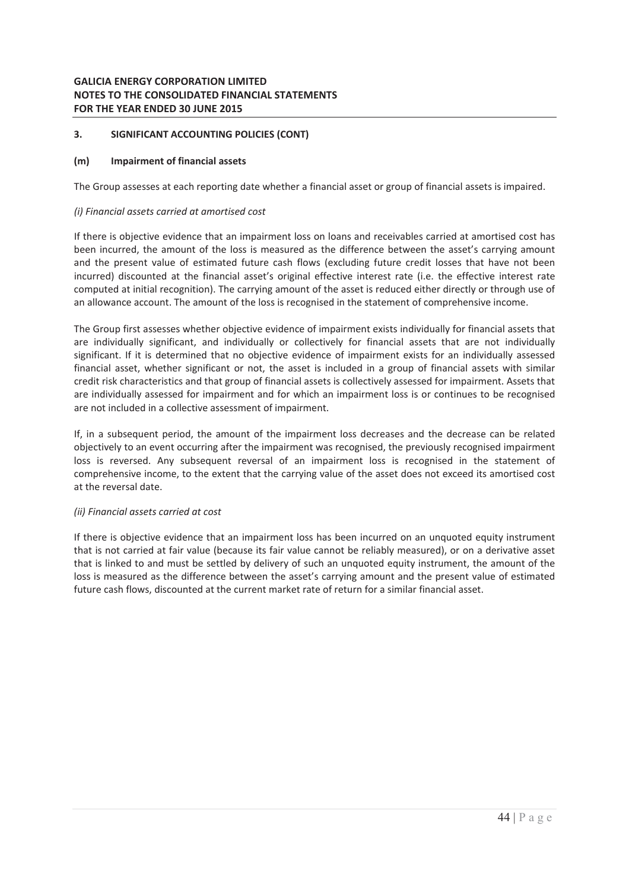#### **(m) Impairment of financial assets**

The Group assesses at each reporting date whether a financial asset or group of financial assets is impaired.

#### *(i) Financial assets carried at amortised cost*

If there is objective evidence that an impairment loss on loans and receivables carried at amortised cost has been incurred, the amount of the loss is measured as the difference between the asset's carrying amount and the present value of estimated future cash flows (excluding future credit losses that have not been incurred) discounted at the financial asset's original effective interest rate (i.e. the effective interest rate computed at initial recognition). The carrying amount of the asset is reduced either directly or through use of an allowance account. The amount of the loss is recognised in the statement of comprehensive income.

The Group first assesses whether objective evidence of impairment exists individually for financial assets that are individually significant, and individually or collectively for financial assets that are not individually significant. If it is determined that no objective evidence of impairment exists for an individually assessed financial asset, whether significant or not, the asset is included in a group of financial assets with similar credit risk characteristics and that group of financial assets is collectively assessed for impairment. Assets that are individually assessed for impairment and for which an impairment loss is or continues to be recognised are not included in a collective assessment of impairment.

If, in a subsequent period, the amount of the impairment loss decreases and the decrease can be related objectively to an event occurring after the impairment was recognised, the previously recognised impairment loss is reversed. Any subsequent reversal of an impairment loss is recognised in the statement of comprehensive income, to the extent that the carrying value of the asset does not exceed its amortised cost at the reversal date.

## *(ii) Financial assets carried at cost*

If there is objective evidence that an impairment loss has been incurred on an unquoted equity instrument that is not carried at fair value (because its fair value cannot be reliably measured), or on a derivative asset that is linked to and must be settled by delivery of such an unquoted equity instrument, the amount of the loss is measured as the difference between the asset's carrying amount and the present value of estimated future cash flows, discounted at the current market rate of return for a similar financial asset.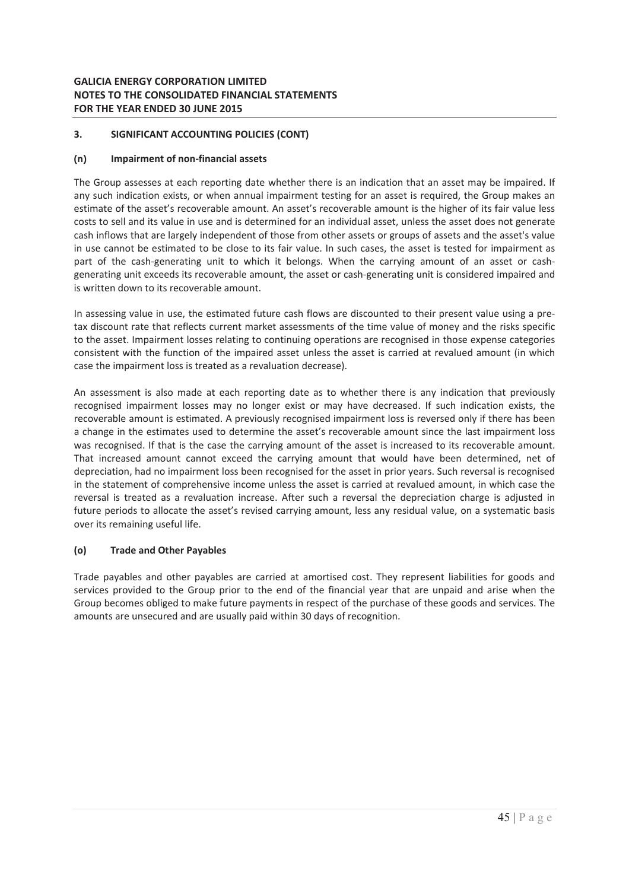## $(n)$  **Impairment of non-financial assets**

The Group assesses at each reporting date whether there is an indication that an asset may be impaired. If any such indication exists, or when annual impairment testing for an asset is required, the Group makes an estimate of the asset's recoverable amount. An asset's recoverable amount is the higher of its fair value less costs to sell and its value in use and is determined for an individual asset, unless the asset does not generate cash inflows that are largely independent of those from other assets or groups of assets and the asset's value in use cannot be estimated to be close to its fair value. In such cases, the asset is tested for impairment as part of the cash-generating unit to which it belongs. When the carrying amount of an asset or cashgenerating unit exceeds its recoverable amount, the asset or cash-generating unit is considered impaired and is written down to its recoverable amount.

In assessing value in use, the estimated future cash flows are discounted to their present value using a pretax discount rate that reflects current market assessments of the time value of money and the risks specific to the asset. Impairment losses relating to continuing operations are recognised in those expense categories consistent with the function of the impaired asset unless the asset is carried at revalued amount (in which case the impairment loss is treated as a revaluation decrease).

An assessment is also made at each reporting date as to whether there is any indication that previously recognised impairment losses may no longer exist or may have decreased. If such indication exists, the recoverable amount is estimated. A previously recognised impairment loss is reversed only if there has been a change in the estimates used to determine the asset's recoverable amount since the last impairment loss was recognised. If that is the case the carrying amount of the asset is increased to its recoverable amount. That increased amount cannot exceed the carrying amount that would have been determined, net of depreciation, had no impairment loss been recognised for the asset in prior years. Such reversal is recognised in the statement of comprehensive income unless the asset is carried at revalued amount, in which case the reversal is treated as a revaluation increase. After such a reversal the depreciation charge is adjusted in future periods to allocate the asset's revised carrying amount, less any residual value, on a systematic basis over its remaining useful life.

## **(o) Trade and Other Payables**

Trade payables and other payables are carried at amortised cost. They represent liabilities for goods and services provided to the Group prior to the end of the financial year that are unpaid and arise when the Group becomes obliged to make future payments in respect of the purchase of these goods and services. The amounts are unsecured and are usually paid within 30 days of recognition.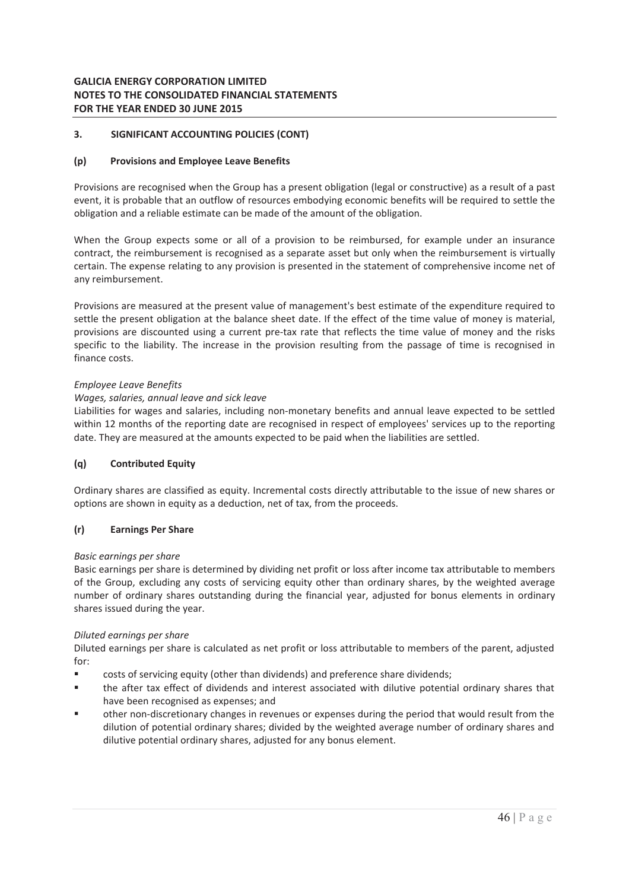## **(p) Provisions and Employee Leave Benefits**

Provisions are recognised when the Group has a present obligation (legal or constructive) as a result of a past event, it is probable that an outflow of resources embodying economic benefits will be required to settle the obligation and a reliable estimate can be made of the amount of the obligation.

When the Group expects some or all of a provision to be reimbursed, for example under an insurance contract, the reimbursement is recognised as a separate asset but only when the reimbursement is virtually certain. The expense relating to any provision is presented in the statement of comprehensive income net of any reimbursement.

Provisions are measured at the present value of management's best estimate of the expenditure required to settle the present obligation at the balance sheet date. If the effect of the time value of money is material, provisions are discounted using a current pre-tax rate that reflects the time value of money and the risks specific to the liability. The increase in the provision resulting from the passage of time is recognised in finance costs.

## *Employee Leave Benefits*

## *Wages, salaries, annual leave and sick leave*

Liabilities for wages and salaries, including non-monetary benefits and annual leave expected to be settled within 12 months of the reporting date are recognised in respect of employees' services up to the reporting date. They are measured at the amounts expected to be paid when the liabilities are settled.

## **(q) Contributed Equity**

Ordinary shares are classified as equity. Incremental costs directly attributable to the issue of new shares or options are shown in equity as a deduction, net of tax, from the proceeds.

## **(r) Earnings Per Share**

## *Basic earnings per share*

Basic earnings per share is determined by dividing net profit or loss after income tax attributable to members of the Group, excluding any costs of servicing equity other than ordinary shares, by the weighted average number of ordinary shares outstanding during the financial year, adjusted for bonus elements in ordinary shares issued during the year.

## *Diluted earnings per share*

Diluted earnings per share is calculated as net profit or loss attributable to members of the parent, adjusted for:

- costs of servicing equity (other than dividends) and preference share dividends;
- the after tax effect of dividends and interest associated with dilutive potential ordinary shares that have been recognised as expenses; and
- other non-discretionary changes in revenues or expenses during the period that would result from the dilution of potential ordinary shares; divided by the weighted average number of ordinary shares and dilutive potential ordinary shares, adjusted for any bonus element.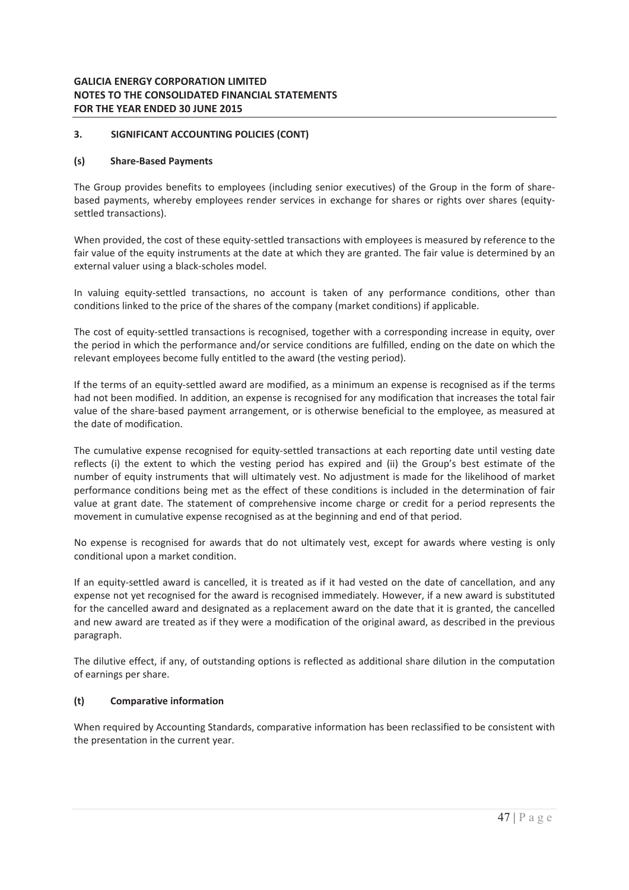# **3. SIGNIFICANT ACCOUNTING POLICIES (CONT)**

## **(s) ShareͲBased Payments**

The Group provides benefits to employees (including senior executives) of the Group in the form of sharebased payments, whereby employees render services in exchange for shares or rights over shares (equitysettled transactions).

When provided, the cost of these equity-settled transactions with employees is measured by reference to the fair value of the equity instruments at the date at which they are granted. The fair value is determined by an external valuer using a black-scholes model.

In valuing equity-settled transactions, no account is taken of any performance conditions, other than conditions linked to the price of the shares of the company (market conditions) if applicable.

The cost of equity-settled transactions is recognised, together with a corresponding increase in equity, over the period in which the performance and/or service conditions are fulfilled, ending on the date on which the relevant employees become fully entitled to the award (the vesting period).

If the terms of an equity-settled award are modified, as a minimum an expense is recognised as if the terms had not been modified. In addition, an expense is recognised for any modification that increases the total fair value of the share-based payment arrangement, or is otherwise beneficial to the employee, as measured at the date of modification.

The cumulative expense recognised for equity-settled transactions at each reporting date until vesting date reflects (i) the extent to which the vesting period has expired and (ii) the Group's best estimate of the number of equity instruments that will ultimately vest. No adjustment is made for the likelihood of market performance conditions being met as the effect of these conditions is included in the determination of fair value at grant date. The statement of comprehensive income charge or credit for a period represents the movement in cumulative expense recognised as at the beginning and end of that period.

No expense is recognised for awards that do not ultimately vest, except for awards where vesting is only conditional upon a market condition.

If an equity-settled award is cancelled, it is treated as if it had vested on the date of cancellation, and any expense not yet recognised for the award is recognised immediately. However, if a new award is substituted for the cancelled award and designated as a replacement award on the date that it is granted, the cancelled and new award are treated as if they were a modification of the original award, as described in the previous paragraph.

The dilutive effect, if any, of outstanding options is reflected as additional share dilution in the computation of earnings per share.

# **(t) Comparative information**

When required by Accounting Standards, comparative information has been reclassified to be consistent with the presentation in the current year.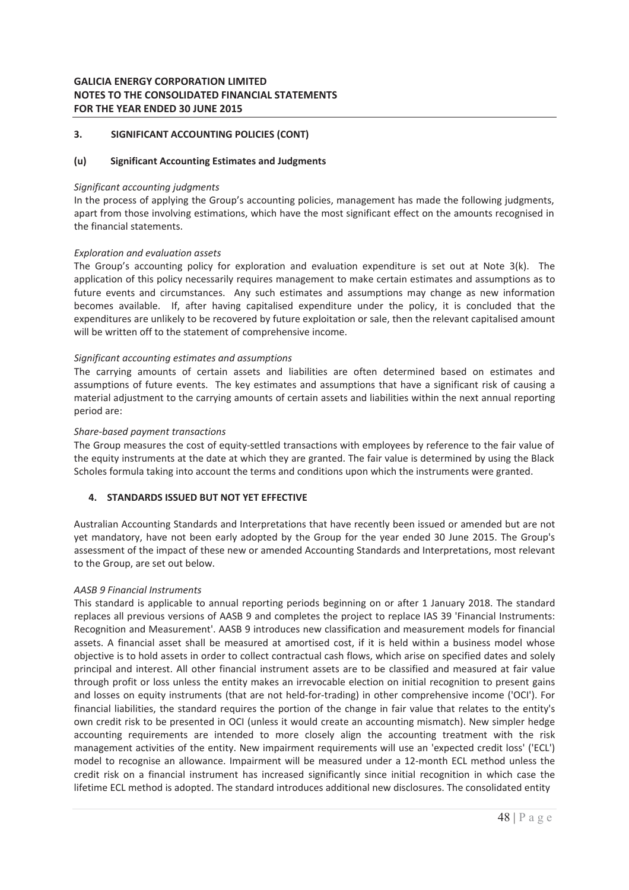# **3. SIGNIFICANT ACCOUNTING POLICIES (CONT)**

## **(u) Significant Accounting Estimates and Judgments**

#### *Significant accounting judgments*

In the process of applying the Group's accounting policies, management has made the following judgments, apart from those involving estimations, which have the most significant effect on the amounts recognised in the financial statements.

## *Exploration and evaluation assets*

The Group's accounting policy for exploration and evaluation expenditure is set out at Note 3(k). The application of this policy necessarily requires management to make certain estimates and assumptions as to future events and circumstances. Any such estimates and assumptions may change as new information becomes available. If, after having capitalised expenditure under the policy, it is concluded that the expenditures are unlikely to be recovered by future exploitation or sale, then the relevant capitalised amount will be written off to the statement of comprehensive income.

## *Significant accounting estimates and assumptions*

The carrying amounts of certain assets and liabilities are often determined based on estimates and assumptions of future events. The key estimates and assumptions that have a significant risk of causing a material adjustment to the carrying amounts of certain assets and liabilities within the next annual reporting period are:

## *ShareͲbased payment transactions*

The Group measures the cost of equity-settled transactions with employees by reference to the fair value of the equity instruments at the date at which they are granted. The fair value is determined by using the Black Scholes formula taking into account the terms and conditions upon which the instruments were granted.

# **4. STANDARDS ISSUED BUT NOT YET EFFECTIVE**

Australian Accounting Standards and Interpretations that have recently been issued or amended but are not yet mandatory, have not been early adopted by the Group for the year ended 30 June 2015. The Group's assessment of the impact of these new or amended Accounting Standards and Interpretations, most relevant to the Group, are set out below.

## *AASB 9 Financial Instruments*

This standard is applicable to annual reporting periods beginning on or after 1 January 2018. The standard replaces all previous versions of AASB 9 and completes the project to replace IAS 39 'Financial Instruments: Recognition and Measurement'. AASB 9 introduces new classification and measurement models for financial assets. A financial asset shall be measured at amortised cost, if it is held within a business model whose objective is to hold assets in order to collect contractual cash flows, which arise on specified dates and solely principal and interest. All other financial instrument assets are to be classified and measured at fair value through profit or loss unless the entity makes an irrevocable election on initial recognition to present gains and losses on equity instruments (that are not held-for-trading) in other comprehensive income ('OCI'). For financial liabilities, the standard requires the portion of the change in fair value that relates to the entity's own credit risk to be presented in OCI (unless it would create an accounting mismatch). New simpler hedge accounting requirements are intended to more closely align the accounting treatment with the risk management activities of the entity. New impairment requirements will use an 'expected credit loss' ('ECL') model to recognise an allowance. Impairment will be measured under a 12-month ECL method unless the credit risk on a financial instrument has increased significantly since initial recognition in which case the lifetime ECL method is adopted. The standard introduces additional new disclosures. The consolidated entity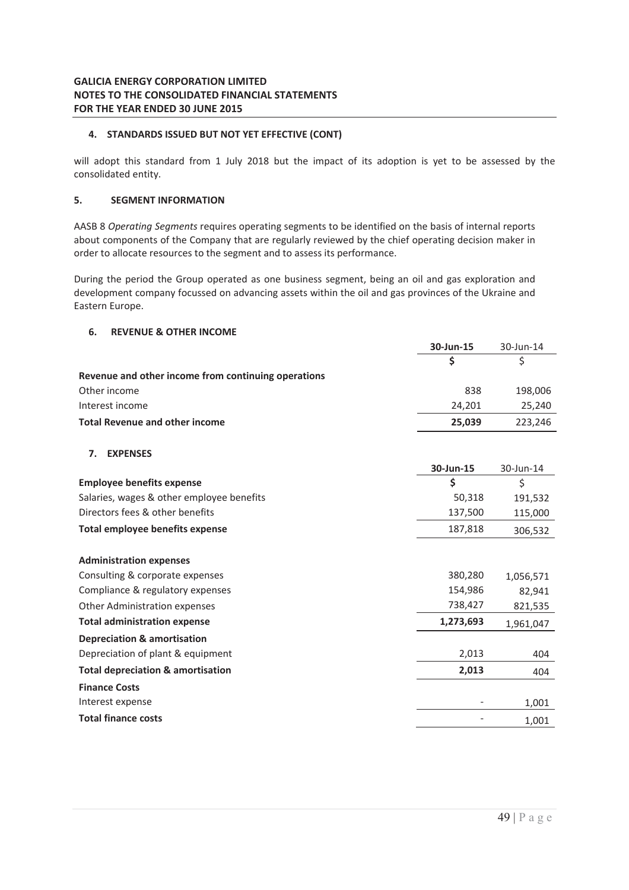# **4. STANDARDS ISSUED BUT NOT YET EFFECTIVE (CONT)**

will adopt this standard from 1 July 2018 but the impact of its adoption is yet to be assessed by the consolidated entity.

# **5. SEGMENT INFORMATION**

AASB 8 *Operating Segments* requires operating segments to be identified on the basis of internal reports about components of the Company that are regularly reviewed by the chief operating decision maker in order to allocate resources to the segment and to assess its performance.

During the period the Group operated as one business segment, being an oil and gas exploration and development company focussed on advancing assets within the oil and gas provinces of the Ukraine and Eastern Europe.

# **6. REVENUE & OTHER INCOME**

|                                                     | 30-Jun-15 | 30-Jun-14 |
|-----------------------------------------------------|-----------|-----------|
|                                                     | \$        | \$        |
| Revenue and other income from continuing operations |           |           |
| Other income                                        | 838       | 198,006   |
| Interest income                                     | 24,201    | 25,240    |
| <b>Total Revenue and other income</b>               | 25,039    | 223,246   |
| 7.<br><b>EXPENSES</b>                               |           |           |
|                                                     | 30-Jun-15 | 30-Jun-14 |
| <b>Employee benefits expense</b>                    | Ś         | \$        |
| Salaries, wages & other employee benefits           | 50,318    | 191,532   |
| Directors fees & other benefits                     | 137,500   | 115,000   |
| <b>Total employee benefits expense</b>              | 187,818   | 306,532   |
| <b>Administration expenses</b>                      |           |           |
| Consulting & corporate expenses                     | 380,280   | 1,056,571 |
| Compliance & regulatory expenses                    | 154,986   | 82,941    |
| <b>Other Administration expenses</b>                | 738,427   | 821,535   |
| <b>Total administration expense</b>                 | 1,273,693 | 1,961,047 |
| <b>Depreciation &amp; amortisation</b>              |           |           |
| Depreciation of plant & equipment                   | 2,013     | 404       |
| <b>Total depreciation &amp; amortisation</b>        | 2,013     | 404       |
| <b>Finance Costs</b>                                |           |           |
| Interest expense                                    |           | 1,001     |
| <b>Total finance costs</b>                          |           | 1,001     |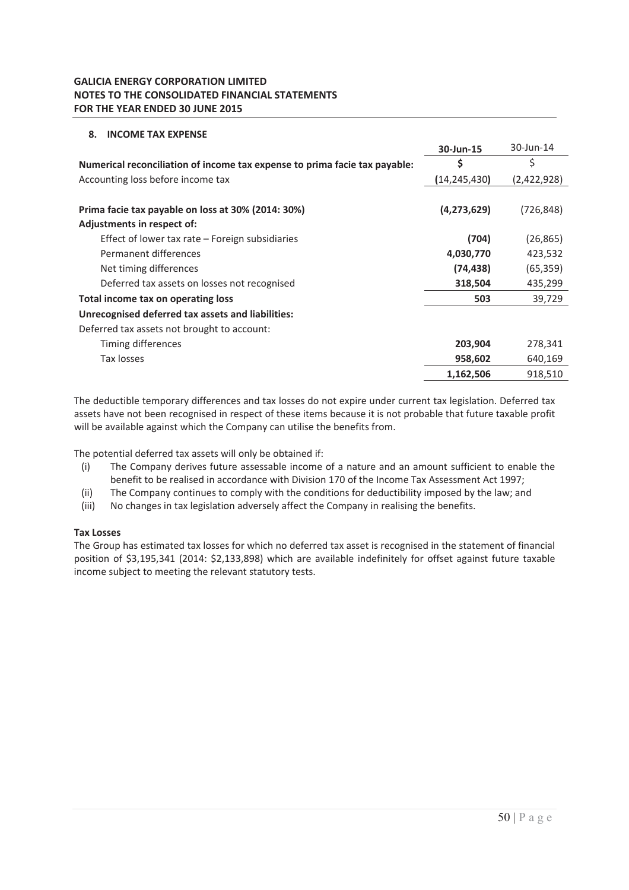# **8. INCOME TAX EXPENSE**

|                                                                            | 30-Jun-15      | 30-Jun-14   |
|----------------------------------------------------------------------------|----------------|-------------|
| Numerical reconciliation of income tax expense to prima facie tax payable: | \$             | \$          |
| Accounting loss before income tax                                          | (14, 245, 430) | (2,422,928) |
|                                                                            |                |             |
| Prima facie tax payable on loss at 30% (2014: 30%)                         | (4, 273, 629)  | (726,848)   |
| Adjustments in respect of:                                                 |                |             |
| Effect of lower tax rate $-$ Foreign subsidiaries                          | (704)          | (26, 865)   |
| Permanent differences                                                      | 4,030,770      | 423,532     |
| Net timing differences                                                     | (74, 438)      | (65, 359)   |
| Deferred tax assets on losses not recognised                               | 318,504        | 435,299     |
| Total income tax on operating loss                                         | 503            | 39,729      |
| Unrecognised deferred tax assets and liabilities:                          |                |             |
| Deferred tax assets not brought to account:                                |                |             |
| Timing differences                                                         | 203,904        | 278,341     |
| Tax losses                                                                 | 958,602        | 640,169     |
|                                                                            | 1,162,506      | 918,510     |

The deductible temporary differences and tax losses do not expire under current tax legislation. Deferred tax assets have not been recognised in respect of these items because it is not probable that future taxable profit will be available against which the Company can utilise the benefits from.

The potential deferred tax assets will only be obtained if:

- (i) The Company derives future assessable income of a nature and an amount sufficient to enable the benefit to be realised in accordance with Division 170 of the Income Tax Assessment Act 1997;
- (ii) The Company continues to comply with the conditions for deductibility imposed by the law; and
- (iii) No changes in tax legislation adversely affect the Company in realising the benefits.

## **Tax Losses**

The Group has estimated tax losses for which no deferred tax asset is recognised in the statement of financial position of \$3,195,341 (2014: \$2,133,898) which are available indefinitely for offset against future taxable income subject to meeting the relevant statutory tests.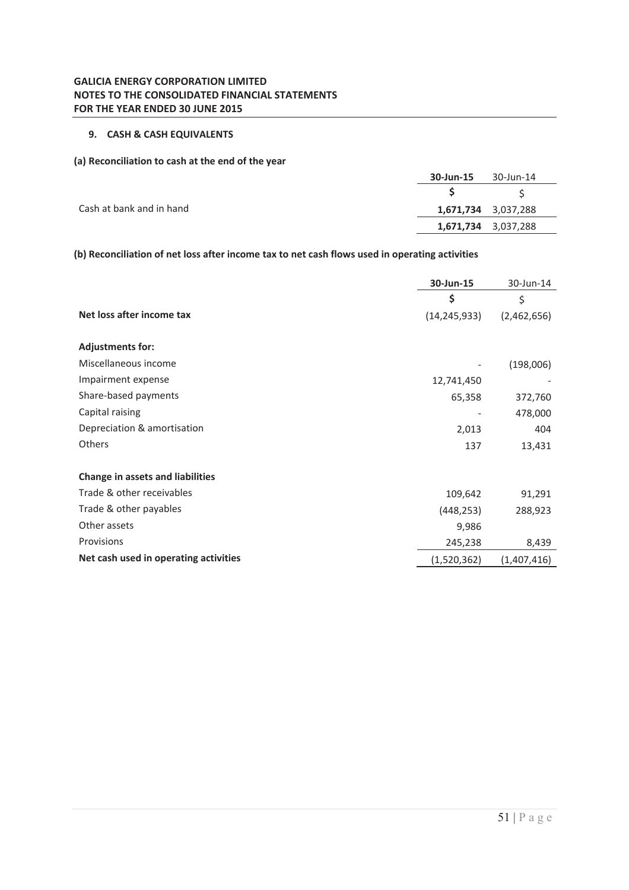# **9. CASH & CASH EQUIVALENTS**

# **(a) Reconciliation to cash at the end of the year**

|                          | 30-Jun-15 | 30-Jun-14           |
|--------------------------|-----------|---------------------|
|                          |           |                     |
| Cash at bank and in hand |           | 1,671,734 3,037,288 |
|                          |           | 1,671,734 3,037,288 |

# **(b) Reconciliation of net loss after income tax to net cash flows used in operating activities**

|                                         | 30-Jun-15      | 30-Jun-14   |
|-----------------------------------------|----------------|-------------|
|                                         | \$             | \$          |
| Net loss after income tax               | (14, 245, 933) | (2,462,656) |
|                                         |                |             |
| <b>Adjustments for:</b>                 |                |             |
| Miscellaneous income                    |                | (198,006)   |
| Impairment expense                      | 12,741,450     |             |
| Share-based payments                    | 65,358         | 372,760     |
| Capital raising                         |                | 478,000     |
| Depreciation & amortisation             | 2,013          | 404         |
| <b>Others</b>                           | 137            | 13,431      |
|                                         |                |             |
| <b>Change in assets and liabilities</b> |                |             |
| Trade & other receivables               | 109,642        | 91,291      |
| Trade & other payables                  | (448, 253)     | 288,923     |
| Other assets                            | 9,986          |             |
| Provisions                              | 245,238        | 8,439       |
| Net cash used in operating activities   | (1,520,362)    | (1,407,416) |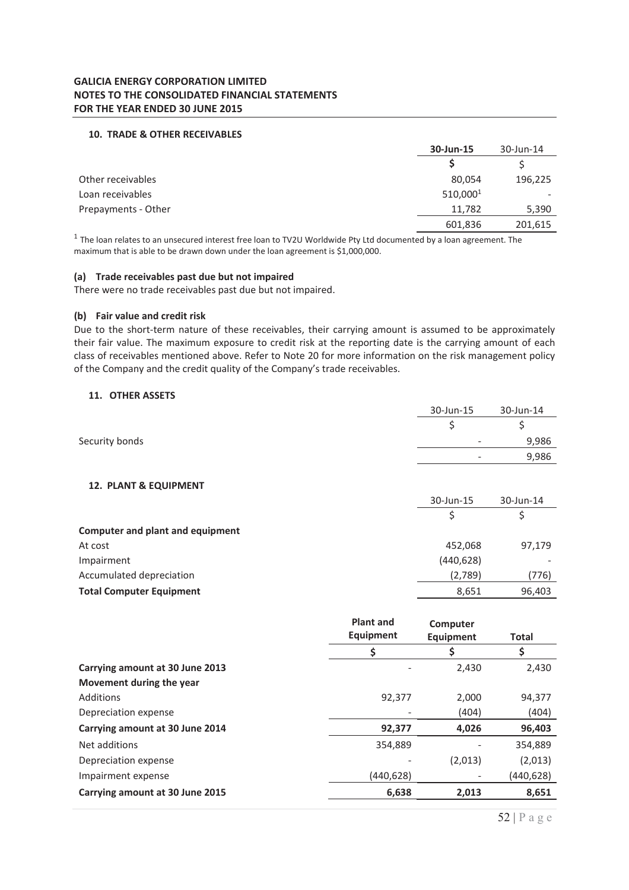# **10. TRADE & OTHER RECEIVABLES**

|                     | 30-Jun-15 | 30-Jun-14 |
|---------------------|-----------|-----------|
|                     |           |           |
| Other receivables   | 80,054    | 196,225   |
| Loan receivables    | 510,0001  |           |
| Prepayments - Other | 11,782    | 5,390     |
|                     | 601,836   | 201,615   |
|                     |           |           |

<sup>1</sup> The loan relates to an unsecured interest free loan to TV2U Worldwide Pty Ltd documented by a loan agreement. The maximum that is able to be drawn down under the loan agreement is \$1,000,000.

#### **(a) Trade receivables past due but not impaired**

There were no trade receivables past due but not impaired.

## **(b) Fair value and credit risk**

Due to the short-term nature of these receivables, their carrying amount is assumed to be approximately their fair value. The maximum exposure to credit risk at the reporting date is the carrying amount of each class of receivables mentioned above. Refer to Note 20 for more information on the risk management policy of the Company and the credit quality of the Company's trade receivables.

## **11. OTHER ASSETS**

|                | 30-Jun-15                | 30-Jun-14 |
|----------------|--------------------------|-----------|
|                |                          |           |
| Security bonds | $\overline{\phantom{a}}$ | 9,986     |
|                | -                        | 9,986     |
|                |                          |           |

## **12. PLANT & EQUIPMENT**

|                                  | 30-Jun-15  | 30-Jun-14 |
|----------------------------------|------------|-----------|
|                                  |            |           |
| Computer and plant and equipment |            |           |
| At cost                          | 452.068    | 97,179    |
| Impairment                       | (440, 628) |           |
| Accumulated depreciation         | (2,789)    | (776)     |
| <b>Total Computer Equipment</b>  | 8,651      | 96,403    |

|                                 | <b>Plant and</b><br>Equipment | Computer<br>Equipment | <b>Total</b> |
|---------------------------------|-------------------------------|-----------------------|--------------|
|                                 | \$                            | Ş                     |              |
| Carrying amount at 30 June 2013 |                               | 2,430                 | 2,430        |
| Movement during the year        |                               |                       |              |
| Additions                       | 92,377                        | 2,000                 | 94,377       |
| Depreciation expense            |                               | (404)                 | (404)        |
| Carrying amount at 30 June 2014 | 92,377                        | 4,026                 | 96,403       |
| Net additions                   | 354,889                       |                       | 354,889      |
| Depreciation expense            |                               | (2,013)               | (2,013)      |
| Impairment expense              | (440, 628)                    |                       | (440, 628)   |
| Carrying amount at 30 June 2015 | 6,638                         | 2,013                 | 8,651        |

52 | Page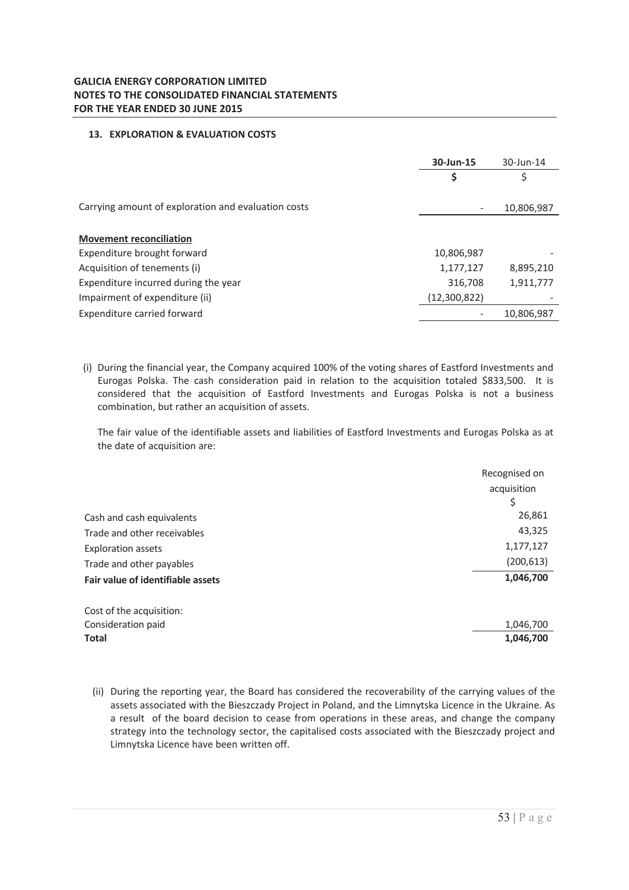# **13. EXPLORATION & EVALUATION COSTS**

|                                                     | 30-Jun-15    | 30-Jun-14  |
|-----------------------------------------------------|--------------|------------|
|                                                     | \$           | \$         |
|                                                     |              |            |
| Carrying amount of exploration and evaluation costs |              | 10,806,987 |
|                                                     |              |            |
| <b>Movement reconciliation</b>                      |              |            |
| Expenditure brought forward                         | 10,806,987   |            |
| Acquisition of tenements (i)                        | 1,177,127    | 8,895,210  |
| Expenditure incurred during the year                | 316,708      | 1,911,777  |
| Impairment of expenditure (ii)                      | (12,300,822) |            |
| Expenditure carried forward                         |              | 10,806,987 |
|                                                     |              |            |

(i) During the financial year, the Company acquired 100% of the voting shares of Eastford Investments and Eurogas Polska. The cash consideration paid in relation to the acquisition totaled \$833,500. It is considered that the acquisition of Eastford Investments and Eurogas Polska is not a business combination, but rather an acquisition of assets.

The fair value of the identifiable assets and liabilities of Eastford Investments and Eurogas Polska as at the date of acquisition are:

|                                   | Recognised on |
|-----------------------------------|---------------|
|                                   | acquisition   |
|                                   | S             |
| Cash and cash equivalents         | 26,861        |
| Trade and other receivables       | 43,325        |
| <b>Exploration assets</b>         | 1,177,127     |
| Trade and other payables          | (200, 613)    |
| Fair value of identifiable assets | 1,046,700     |
| Cost of the acquisition:          |               |
| Consideration paid                | 1,046,700     |
| Total                             | 1,046,700     |

(ii) During the reporting year, the Board has considered the recoverability of the carrying values of the assets associated with the Bieszczady Project in Poland, and the Limnytska Licence in the Ukraine. As a result of the board decision to cease from operations in these areas, and change the company strategy into the technology sector, the capitalised costs associated with the Bieszczady project and Limnytska Licence have been written off.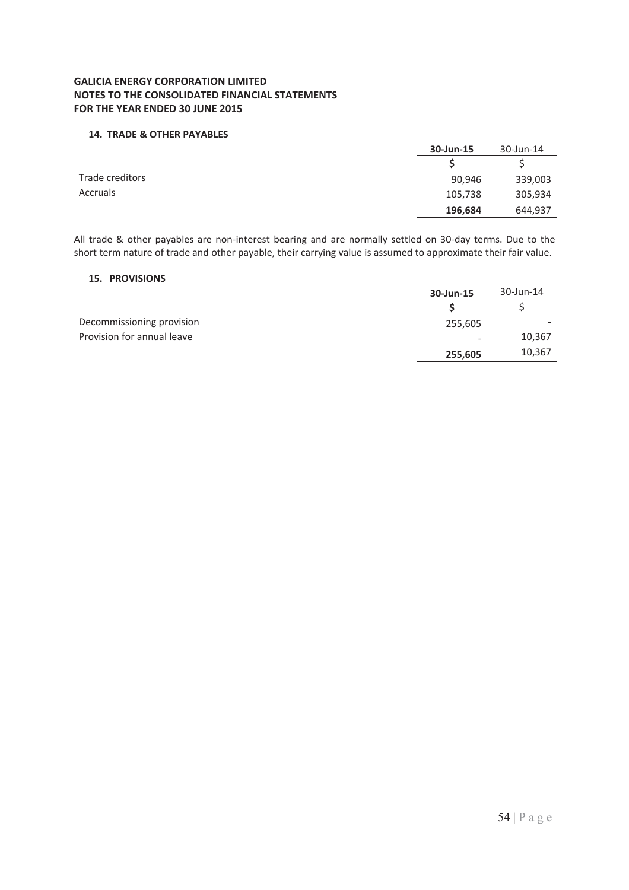# **14. TRADE & OTHER PAYABLES**

|                 | 30-Jun-15 | 30-Jun-14 |
|-----------------|-----------|-----------|
|                 |           |           |
| Trade creditors | 90,946    | 339,003   |
| Accruals        | 105,738   | 305,934   |
|                 | 196,684   | 644,937   |
|                 |           |           |

All trade & other payables are non-interest bearing and are normally settled on 30-day terms. Due to the short term nature of trade and other payable, their carrying value is assumed to approximate their fair value.

# **15. PROVISIONS**

|                            | 30-Jun-15                | 30-Jun-14 |
|----------------------------|--------------------------|-----------|
|                            |                          |           |
| Decommissioning provision  | 255,605                  |           |
| Provision for annual leave | $\overline{\phantom{a}}$ | 10,367    |
|                            | 255,605                  | 10,367    |
|                            |                          |           |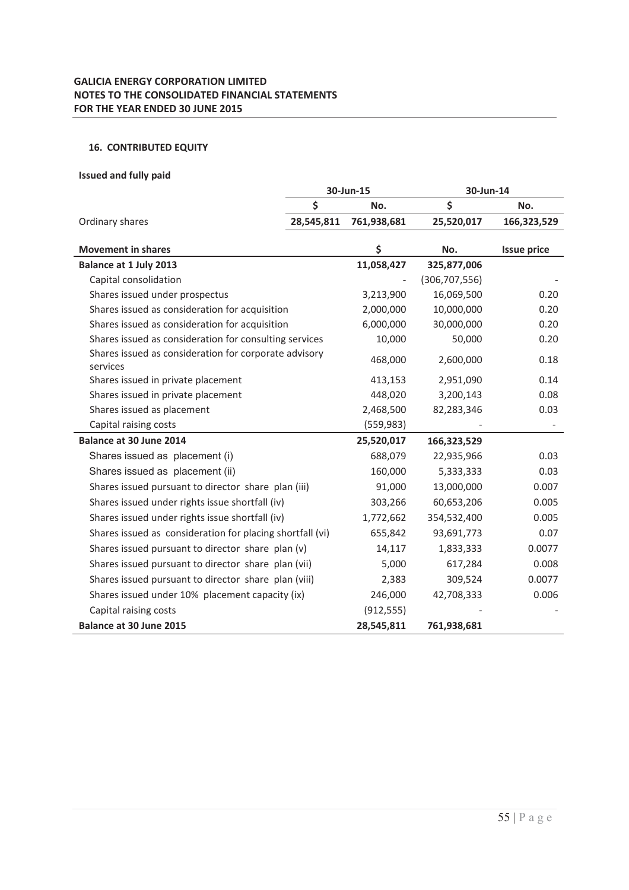# **16. CONTRIBUTED EQUITY**

# **Issued and fully paid**

|                                                                   |            | 30-Jun-15<br>30-Jun-14 |                 |                    |
|-------------------------------------------------------------------|------------|------------------------|-----------------|--------------------|
|                                                                   | \$         | No.                    | \$              | No.                |
| Ordinary shares                                                   | 28,545,811 | 761,938,681            | 25,520,017      | 166,323,529        |
| <b>Movement in shares</b>                                         |            | \$                     | No.             | <b>Issue price</b> |
| Balance at 1 July 2013                                            |            | 11,058,427             | 325,877,006     |                    |
| Capital consolidation                                             |            |                        | (306, 707, 556) |                    |
| Shares issued under prospectus                                    |            | 3,213,900              | 16,069,500      | 0.20               |
| Shares issued as consideration for acquisition                    |            | 2,000,000              | 10,000,000      | 0.20               |
| Shares issued as consideration for acquisition                    |            | 6,000,000              | 30,000,000      | 0.20               |
| Shares issued as consideration for consulting services            |            | 10,000                 | 50,000          | 0.20               |
| Shares issued as consideration for corporate advisory<br>services |            | 468,000                | 2,600,000       | 0.18               |
| Shares issued in private placement                                |            | 413,153                | 2,951,090       | 0.14               |
| Shares issued in private placement                                |            | 448,020                | 3,200,143       | 0.08               |
| Shares issued as placement                                        |            | 2,468,500              | 82,283,346      | 0.03               |
| Capital raising costs                                             |            | (559, 983)             |                 |                    |
| Balance at 30 June 2014                                           |            | 25,520,017             | 166,323,529     |                    |
| Shares issued as placement (i)                                    |            | 688,079                | 22,935,966      | 0.03               |
| Shares issued as placement (ii)                                   |            | 160,000                | 5,333,333       | 0.03               |
| Shares issued pursuant to director share plan (iii)               |            | 91,000                 | 13,000,000      | 0.007              |
| Shares issued under rights issue shortfall (iv)                   |            | 303,266                | 60,653,206      | 0.005              |
| Shares issued under rights issue shortfall (iv)                   |            | 1,772,662              | 354,532,400     | 0.005              |
| Shares issued as consideration for placing shortfall (vi)         |            | 655,842                | 93,691,773      | 0.07               |
| Shares issued pursuant to director share plan (v)                 |            | 14,117                 | 1,833,333       | 0.0077             |
| Shares issued pursuant to director share plan (vii)               |            | 5,000                  | 617,284         | 0.008              |
| Shares issued pursuant to director share plan (viii)              |            | 2,383                  | 309,524         | 0.0077             |
| Shares issued under 10% placement capacity (ix)                   |            | 246,000                | 42,708,333      | 0.006              |
| Capital raising costs                                             |            | (912, 555)             |                 |                    |
| Balance at 30 June 2015                                           |            | 28,545,811             | 761,938,681     |                    |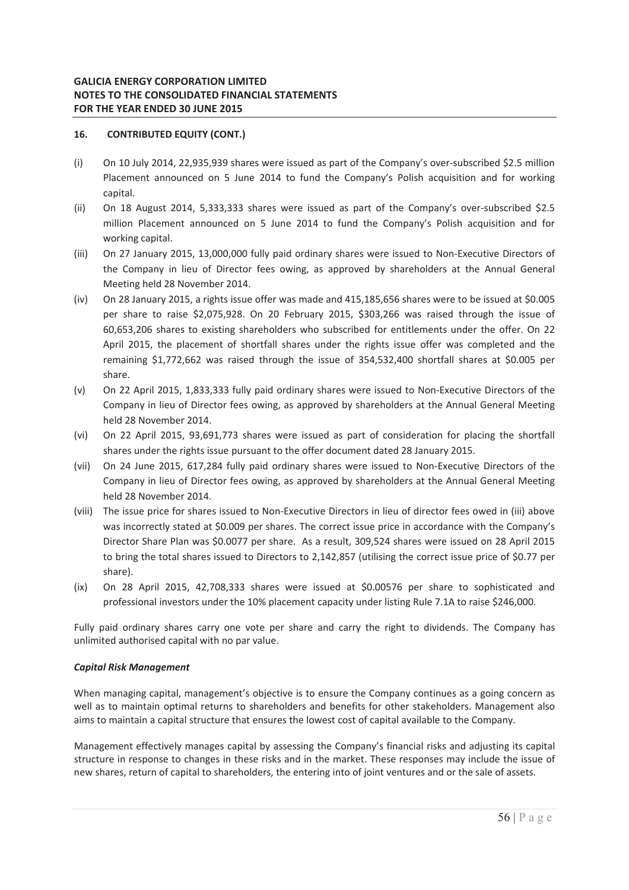# **16. CONTRIBUTED EQUITY (CONT.)**

- (i) On 10 July 2014, 22,935,939 shares were issued as part of the Company's over-subscribed \$2.5 million Placement announced on 5 June 2014 to fund the Company's Polish acquisition and for working capital.
- (ii) On 18 August 2014, 5,333,333 shares were issued as part of the Company's over-subscribed \$2.5 million Placement announced on 5 June 2014 to fund the Company's Polish acquisition and for working capital.
- (iii) On 27 January 2015, 13,000,000 fully paid ordinary shares were issued to Non-Executive Directors of the Company in lieu of Director fees owing, as approved by shareholders at the Annual General Meeting held 28 November 2014.
- (iv) On 28 January 2015, a rights issue offer was made and 415,185,656 shares were to be issued at \$0.005 per share to raise \$2,075,928. On 20 February 2015, \$303,266 was raised through the issue of 60,653,206 shares to existing shareholders who subscribed for entitlements under the offer. On 22 April 2015, the placement of shortfall shares under the rights issue offer was completed and the remaining \$1,772,662 was raised through the issue of 354,532,400 shortfall shares at \$0.005 per share.
- (v) On 22 April 2015, 1,833,333 fully paid ordinary shares were issued to Non-Executive Directors of the Company in lieu of Director fees owing, as approved by shareholders at the Annual General Meeting held 28 November 2014.
- (vi) On 22 April 2015, 93,691,773 shares were issued as part of consideration for placing the shortfall shares under the rights issue pursuant to the offer document dated 28 January 2015.
- (vii) On 24 June 2015, 617,284 fully paid ordinary shares were issued to Non-Executive Directors of the Company in lieu of Director fees owing, as approved by shareholders at the Annual General Meeting held 28 November 2014.
- (viii) The issue price for shares issued to Non-Executive Directors in lieu of director fees owed in (iii) above was incorrectly stated at \$0.009 per shares. The correct issue price in accordance with the Company's Director Share Plan was \$0.0077 per share. As a result, 309,524 shares were issued on 28 April 2015 to bring the total shares issued to Directors to 2,142,857 (utilising the correct issue price of \$0.77 per share).
- (ix) On 28 April 2015, 42,708,333 shares were issued at \$0.00576 per share to sophisticated and professional investors under the 10% placement capacity under listing Rule 7.1A to raise \$246,000.

Fully paid ordinary shares carry one vote per share and carry the right to dividends. The Company has unlimited authorised capital with no par value.

## *Capital Risk Management*

When managing capital, management's objective is to ensure the Company continues as a going concern as well as to maintain optimal returns to shareholders and benefits for other stakeholders. Management also aims to maintain a capital structure that ensures the lowest cost of capital available to the Company.

Management effectively manages capital by assessing the Company's financial risks and adjusting its capital structure in response to changes in these risks and in the market. These responses may include the issue of new shares, return of capital to shareholders, the entering into of joint ventures and or the sale of assets.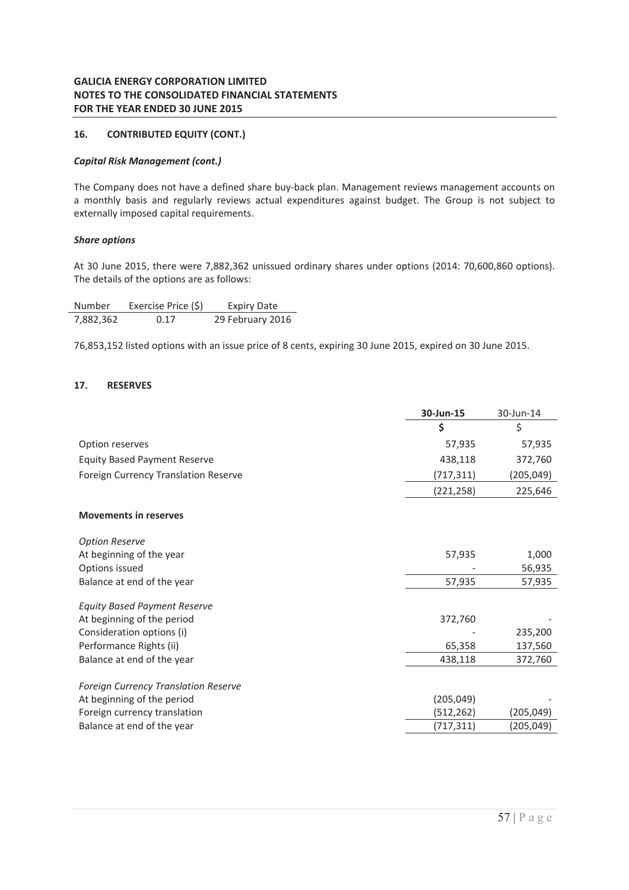# **16. CONTRIBUTED EQUITY (CONT.)**

#### *Capital Risk Management (cont.)*

The Company does not have a defined share buy-back plan. Management reviews management accounts on a monthly basis and regularly reviews actual expenditures against budget. The Group is not subject to externally imposed capital requirements.

#### *Share options*

At 30 June 2015, there were 7,882,362 unissued ordinary shares under options (2014: 70,600,860 options). The details of the options are as follows:

| Number    | Exercise Price (\$) | <b>Expiry Date</b> |
|-----------|---------------------|--------------------|
| 7,882,362 | 0.17                | 29 February 2016   |

76,853,152 listed options with an issue price of 8 cents, expiring 30 June 2015, expired on 30 June 2015.

## **17. RESERVES**

|                                             | 30-Jun-15  | 30-Jun-14 |
|---------------------------------------------|------------|-----------|
|                                             | \$         | \$        |
| Option reserves                             | 57,935     | 57,935    |
| <b>Equity Based Payment Reserve</b>         | 438,118    | 372,760   |
| Foreign Currency Translation Reserve        | (717, 311) | (205,049) |
|                                             | (221, 258) | 225,646   |
| <b>Movements in reserves</b>                |            |           |
| <b>Option Reserve</b>                       |            |           |
| At beginning of the year                    | 57,935     | 1,000     |
| Options issued                              |            | 56,935    |
| Balance at end of the year                  | 57,935     | 57,935    |
| <b>Equity Based Payment Reserve</b>         |            |           |
| At beginning of the period                  | 372,760    |           |
| Consideration options (i)                   |            | 235,200   |
| Performance Rights (ii)                     | 65,358     | 137,560   |
| Balance at end of the year                  | 438,118    | 372,760   |
| <b>Foreign Currency Translation Reserve</b> |            |           |
| At beginning of the period                  | (205, 049) |           |
| Foreign currency translation                | (512, 262) | (205,049) |
| Balance at end of the year                  | (717,311)  | (205,049) |
|                                             |            |           |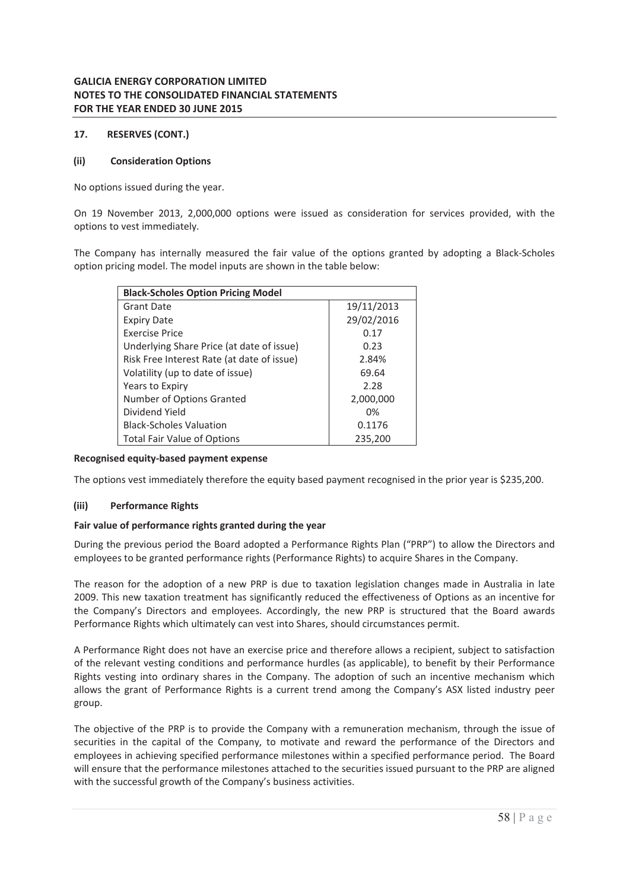# **17. RESERVES (CONT.)**

# **(ii) Consideration Options**

No options issued during the year.

On 19 November 2013, 2,000,000 options were issued as consideration for services provided, with the options to vest immediately.

The Company has internally measured the fair value of the options granted by adopting a Black-Scholes option pricing model. The model inputs are shown in the table below:

| <b>Black-Scholes Option Pricing Model</b>  |            |
|--------------------------------------------|------------|
| <b>Grant Date</b>                          | 19/11/2013 |
| <b>Expiry Date</b>                         | 29/02/2016 |
| Exercise Price                             | 0.17       |
| Underlying Share Price (at date of issue)  | 0.23       |
| Risk Free Interest Rate (at date of issue) | 2.84%      |
| Volatility (up to date of issue)           | 69.64      |
| <b>Years to Expiry</b>                     | 2.28       |
| Number of Options Granted                  | 2,000,000  |
| Dividend Yield                             | 0%         |
| <b>Black-Scholes Valuation</b>             | 0.1176     |
| <b>Total Fair Value of Options</b>         | 235,200    |

## **Recognised equity-based payment expense**

The options vest immediately therefore the equity based payment recognised in the prior year is \$235,200.

## **(iii) Performance Rights**

## **Fair value of performance rights granted during the year**

During the previous period the Board adopted a Performance Rights Plan ("PRP") to allow the Directors and employees to be granted performance rights (Performance Rights) to acquire Shares in the Company.

The reason for the adoption of a new PRP is due to taxation legislation changes made in Australia in late 2009. This new taxation treatment has significantly reduced the effectiveness of Options as an incentive for the Company's Directors and employees. Accordingly, the new PRP is structured that the Board awards Performance Rights which ultimately can vest into Shares, should circumstances permit.

A Performance Right does not have an exercise price and therefore allows a recipient, subject to satisfaction of the relevant vesting conditions and performance hurdles (as applicable), to benefit by their Performance Rights vesting into ordinary shares in the Company. The adoption of such an incentive mechanism which allows the grant of Performance Rights is a current trend among the Company's ASX listed industry peer group.

The objective of the PRP is to provide the Company with a remuneration mechanism, through the issue of securities in the capital of the Company, to motivate and reward the performance of the Directors and employees in achieving specified performance milestones within a specified performance period. The Board will ensure that the performance milestones attached to the securities issued pursuant to the PRP are aligned with the successful growth of the Company's business activities.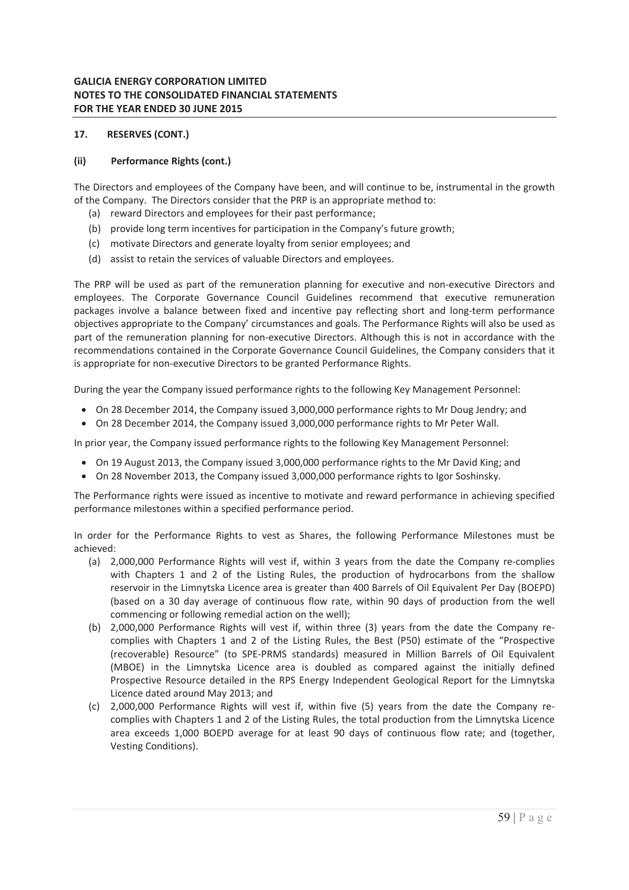# **17. RESERVES (CONT.)**

# **(ii) Performance Rights (cont.)**

The Directors and employees of the Company have been, and will continue to be, instrumental in the growth of the Company. The Directors consider that the PRP is an appropriate method to:

- (a) reward Directors and employees for their past performance;
- (b) provide long term incentives for participation in the Company's future growth;
- (c) motivate Directors and generate loyalty from senior employees; and
- (d) assist to retain the services of valuable Directors and employees.

The PRP will be used as part of the remuneration planning for executive and non-executive Directors and employees. The Corporate Governance Council Guidelines recommend that executive remuneration packages involve a balance between fixed and incentive pay reflecting short and long-term performance objectives appropriate to the Company' circumstances and goals. The Performance Rights will also be used as part of the remuneration planning for non-executive Directors. Although this is not in accordance with the recommendations contained in the Corporate Governance Council Guidelines, the Company considers that it is appropriate for non-executive Directors to be granted Performance Rights.

During the year the Company issued performance rights to the following Key Management Personnel:

- On 28 December 2014, the Company issued 3,000,000 performance rights to Mr Doug Jendry; and
- On 28 December 2014, the Company issued 3,000,000 performance rights to Mr Peter Wall.

In prior year, the Company issued performance rights to the following Key Management Personnel:

- On 19 August 2013, the Company issued 3,000,000 performance rights to the Mr David King; and
- On 28 November 2013, the Company issued 3,000,000 performance rights to Igor Soshinsky.

The Performance rights were issued as incentive to motivate and reward performance in achieving specified performance milestones within a specified performance period.

In order for the Performance Rights to vest as Shares, the following Performance Milestones must be achieved:

- (a) 2,000,000 Performance Rights will vest if, within 3 years from the date the Company re-complies with Chapters 1 and 2 of the Listing Rules, the production of hydrocarbons from the shallow reservoir in the Limnytska Licence area is greater than 400 Barrels of Oil Equivalent Per Day (BOEPD) (based on a 30 day average of continuous flow rate, within 90 days of production from the well commencing or following remedial action on the well);
- (b) 2,000,000 Performance Rights will vest if, within three (3) years from the date the Company recomplies with Chapters 1 and 2 of the Listing Rules, the Best (P50) estimate of the "Prospective (recoverable) Resource" (to SPE-PRMS standards) measured in Million Barrels of Oil Equivalent (MBOE) in the Limnytska Licence area is doubled as compared against the initially defined Prospective Resource detailed in the RPS Energy Independent Geological Report for the Limnytska Licence dated around May 2013; and
- (c) 2,000,000 Performance Rights will vest if, within five (5) years from the date the Company recomplies with Chapters 1 and 2 of the Listing Rules, the total production from the Limnytska Licence area exceeds 1,000 BOEPD average for at least 90 days of continuous flow rate; and (together, Vesting Conditions).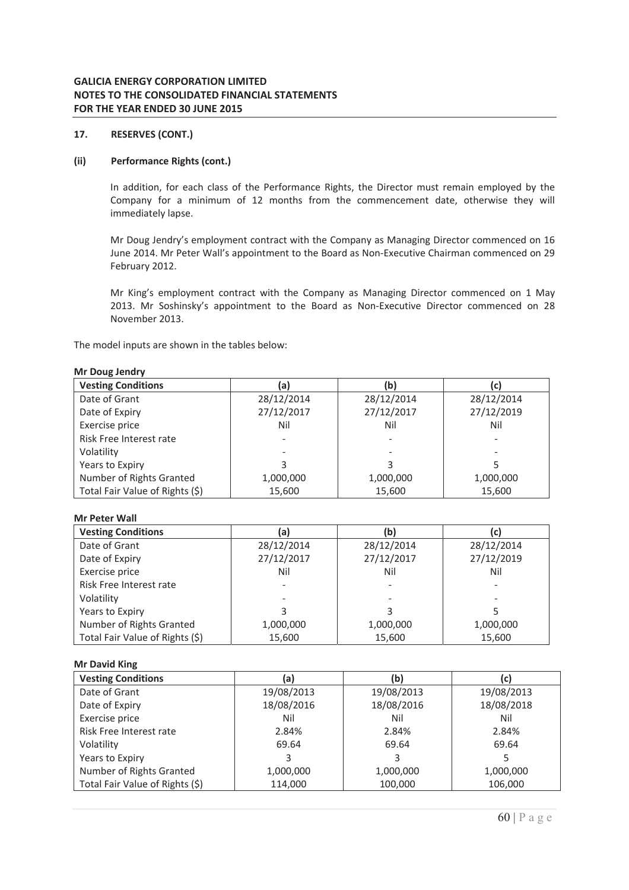# **17. RESERVES (CONT.)**

# **(ii) Performance Rights (cont.)**

In addition, for each class of the Performance Rights, the Director must remain employed by the Company for a minimum of 12 months from the commencement date, otherwise they will immediately lapse.

Mr Doug Jendry's employment contract with the Company as Managing Director commenced on 16 June 2014. Mr Peter Wall's appointment to the Board as Non-Executive Chairman commenced on 29 February 2012.

Mr King's employment contract with the Company as Managing Director commenced on 1 May 2013. Mr Soshinsky's appointment to the Board as Non-Executive Director commenced on 28 November 2013.

The model inputs are shown in the tables below:

# **Mr Doug Jendry**

| <b>Vesting Conditions</b>       | (a)        | (b)        | $\mathsf{C}$ |
|---------------------------------|------------|------------|--------------|
| Date of Grant                   | 28/12/2014 | 28/12/2014 | 28/12/2014   |
| Date of Expiry                  | 27/12/2017 | 27/12/2017 | 27/12/2019   |
| Exercise price                  | Nil        | Nil        | Nil          |
| Risk Free Interest rate         |            |            |              |
| Volatility                      |            |            |              |
| Years to Expiry                 |            | 3          |              |
| Number of Rights Granted        | 1,000,000  | 1,000,000  | 1,000,000    |
| Total Fair Value of Rights (\$) | 15,600     | 15,600     | 15,600       |

## **Mr Peter Wall**

| <b>Vesting Conditions</b>       | 'a)        | (b)        | lC)        |
|---------------------------------|------------|------------|------------|
| Date of Grant                   | 28/12/2014 | 28/12/2014 | 28/12/2014 |
| Date of Expiry                  | 27/12/2017 | 27/12/2017 | 27/12/2019 |
| Exercise price                  | Nil        | Nil        | Nil        |
| Risk Free Interest rate         |            |            |            |
| Volatility                      |            |            |            |
| Years to Expiry                 |            |            |            |
| Number of Rights Granted        | 1,000,000  | 1,000,000  | 1,000,000  |
| Total Fair Value of Rights (\$) | 15,600     | 15,600     | 15,600     |

# **Mr David King**

| <b>Vesting Conditions</b>       | (a)        | (b)        | (c)        |
|---------------------------------|------------|------------|------------|
| Date of Grant                   | 19/08/2013 | 19/08/2013 | 19/08/2013 |
| Date of Expiry                  | 18/08/2016 | 18/08/2016 | 18/08/2018 |
| Exercise price                  | Nil        | Nil        | Nil        |
| Risk Free Interest rate         | 2.84%      | 2.84%      | 2.84%      |
| Volatility                      | 69.64      | 69.64      | 69.64      |
| Years to Expiry                 | ς          |            |            |
| Number of Rights Granted        | 1,000,000  | 1,000,000  | 1,000,000  |
| Total Fair Value of Rights (\$) | 114,000    | 100,000    | 106,000    |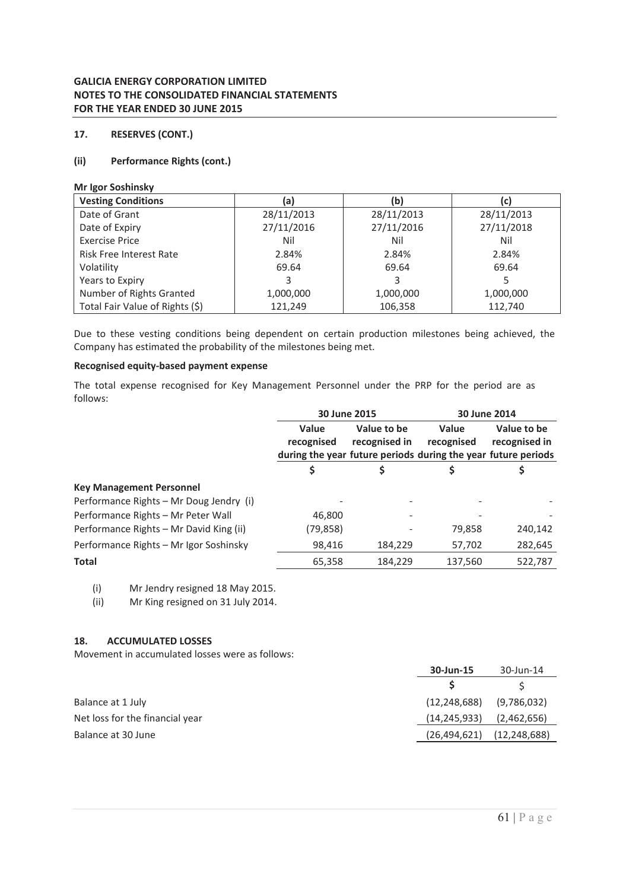# **17. RESERVES (CONT.)**

# **(ii) Performance Rights (cont.)**

**Mr Igor Soshinsky**

| <b>Vesting Conditions</b>       | (a)        | (b)        | (C)        |
|---------------------------------|------------|------------|------------|
| Date of Grant                   | 28/11/2013 | 28/11/2013 | 28/11/2013 |
| Date of Expiry                  | 27/11/2016 | 27/11/2016 | 27/11/2018 |
| <b>Exercise Price</b>           | Nil        | Nil        | Nil        |
| <b>Risk Free Interest Rate</b>  | 2.84%      | 2.84%      | 2.84%      |
| Volatility                      | 69.64      | 69.64      | 69.64      |
| Years to Expiry                 | 3          |            |            |
| Number of Rights Granted        | 1,000,000  | 1,000,000  | 1,000,000  |
| Total Fair Value of Rights (\$) | 121,249    | 106,358    | 112,740    |

Due to these vesting conditions being dependent on certain production milestones being achieved, the Company has estimated the probability of the milestones being met.

# **Recognised equity-based payment expense**

The total expense recognised for Key Management Personnel under the PRP for the period are as follows:

|                                         |                     | 30 June 2015                 |                                                                                             | 30 June 2014                 |
|-----------------------------------------|---------------------|------------------------------|---------------------------------------------------------------------------------------------|------------------------------|
|                                         | Value<br>recognised | Value to be<br>recognised in | <b>Value</b><br>recognised<br>during the year future periods during the year future periods | Value to be<br>recognised in |
|                                         | \$                  | S                            | S                                                                                           |                              |
| <b>Key Management Personnel</b>         |                     |                              |                                                                                             |                              |
| Performance Rights - Mr Doug Jendry (i) |                     |                              |                                                                                             |                              |
| Performance Rights - Mr Peter Wall      | 46,800              |                              |                                                                                             |                              |
| Performance Rights - Mr David King (ii) | (79,858)            |                              | 79,858                                                                                      | 240,142                      |
| Performance Rights - Mr Igor Soshinsky  | 98,416              | 184,229                      | 57,702                                                                                      | 282,645                      |
| <b>Total</b>                            | 65,358              | 184,229                      | 137,560                                                                                     | 522,787                      |
|                                         |                     |                              |                                                                                             |                              |

(i) Mr Jendry resigned 18 May 2015.

(ii) Mr King resigned on 31 July 2014.

# **18. ACCUMULATED LOSSES**

Movement in accumulated losses were as follows:

|                                 | 30-Jun-15      | 30-Jun-14      |
|---------------------------------|----------------|----------------|
|                                 |                |                |
| Balance at 1 July               | (12, 248, 688) | (9,786,032)    |
| Net loss for the financial year | (14, 245, 933) | (2,462,656)    |
| Balance at 30 June              | (26, 494, 621) | (12, 248, 688) |
|                                 |                |                |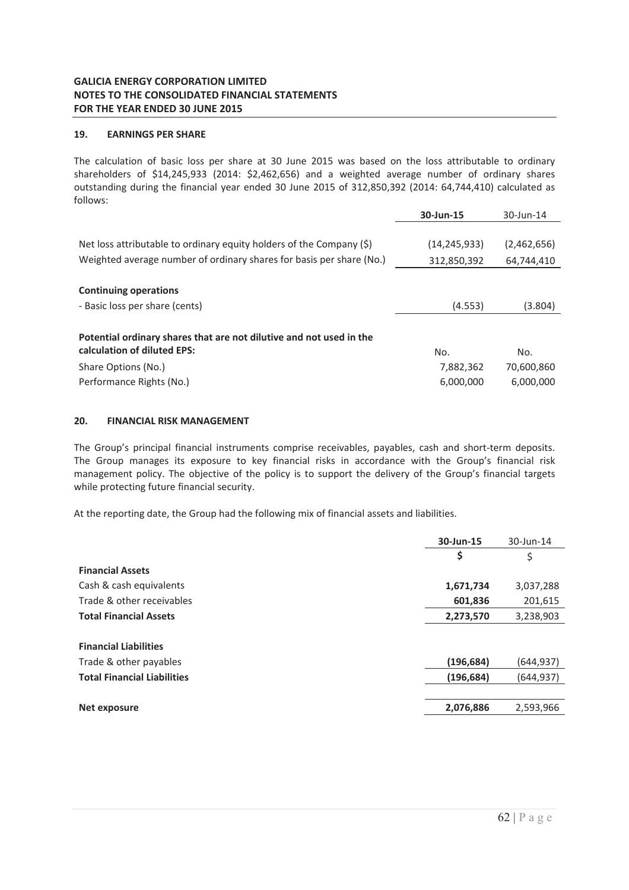# **19. EARNINGS PER SHARE**

The calculation of basic loss per share at 30 June 2015 was based on the loss attributable to ordinary shareholders of \$14,245,933 (2014: \$2,462,656) and a weighted average number of ordinary shares outstanding during the financial year ended 30 June 2015 of 312,850,392 (2014: 64,744,410) calculated as follows:

|                                                                      | 30-Jun-15      | 30-Jun-14   |
|----------------------------------------------------------------------|----------------|-------------|
|                                                                      |                |             |
| Net loss attributable to ordinary equity holders of the Company (\$) | (14, 245, 933) | (2,462,656) |
| Weighted average number of ordinary shares for basis per share (No.) | 312,850,392    | 64,744,410  |
|                                                                      |                |             |
| <b>Continuing operations</b>                                         |                |             |
| - Basic loss per share (cents)                                       | (4.553)        | (3.804)     |
|                                                                      |                |             |
| Potential ordinary shares that are not dilutive and not used in the  |                |             |
| calculation of diluted EPS:                                          | No.            | No.         |
| Share Options (No.)                                                  | 7,882,362      | 70,600,860  |
| Performance Rights (No.)                                             | 6,000,000      | 6,000,000   |

## **20. FINANCIAL RISK MANAGEMENT**

The Group's principal financial instruments comprise receivables, payables, cash and short-term deposits. The Group manages its exposure to key financial risks in accordance with the Group's financial risk management policy. The objective of the policy is to support the delivery of the Group's financial targets while protecting future financial security.

At the reporting date, the Group had the following mix of financial assets and liabilities.

|                                    | 30-Jun-15  | 30-Jun-14 |
|------------------------------------|------------|-----------|
|                                    | \$         | \$        |
| <b>Financial Assets</b>            |            |           |
| Cash & cash equivalents            | 1,671,734  | 3,037,288 |
| Trade & other receivables          | 601,836    | 201,615   |
| <b>Total Financial Assets</b>      | 2,273,570  | 3,238,903 |
|                                    |            |           |
| <b>Financial Liabilities</b>       |            |           |
| Trade & other payables             | (196, 684) | (644,937) |
| <b>Total Financial Liabilities</b> | (196, 684) | (644,937) |
|                                    |            |           |
| Net exposure                       | 2,076,886  | 2,593,966 |
|                                    |            |           |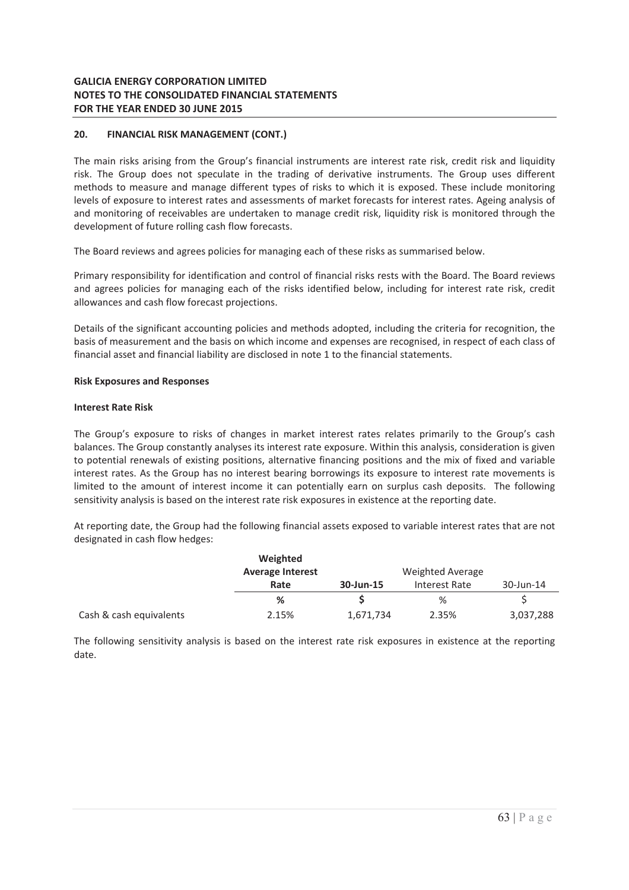# **20. FINANCIAL RISK MANAGEMENT (CONT.)**

The main risks arising from the Group's financial instruments are interest rate risk, credit risk and liquidity risk. The Group does not speculate in the trading of derivative instruments. The Group uses different methods to measure and manage different types of risks to which it is exposed. These include monitoring levels of exposure to interest rates and assessments of market forecasts for interest rates. Ageing analysis of and monitoring of receivables are undertaken to manage credit risk, liquidity risk is monitored through the development of future rolling cash flow forecasts.

The Board reviews and agrees policies for managing each of these risks as summarised below.

Primary responsibility for identification and control of financial risks rests with the Board. The Board reviews and agrees policies for managing each of the risks identified below, including for interest rate risk, credit allowances and cash flow forecast projections.

Details of the significant accounting policies and methods adopted, including the criteria for recognition, the basis of measurement and the basis on which income and expenses are recognised, in respect of each class of financial asset and financial liability are disclosed in note 1 to the financial statements.

## **Risk Exposures and Responses**

## **Interest Rate Risk**

The Group's exposure to risks of changes in market interest rates relates primarily to the Group's cash balances. The Group constantly analyses its interest rate exposure. Within this analysis, consideration is given to potential renewals of existing positions, alternative financing positions and the mix of fixed and variable interest rates. As the Group has no interest bearing borrowings its exposure to interest rate movements is limited to the amount of interest income it can potentially earn on surplus cash deposits. The following sensitivity analysis is based on the interest rate risk exposures in existence at the reporting date.

At reporting date, the Group had the following financial assets exposed to variable interest rates that are not designated in cash flow hedges:

|                         | Weighted                |           |                  |           |
|-------------------------|-------------------------|-----------|------------------|-----------|
|                         | <b>Average Interest</b> |           | Weighted Average |           |
|                         | Rate                    | 30-Jun-15 | Interest Rate    | 30-Jun-14 |
|                         | ℅                       |           | %                |           |
| Cash & cash equivalents | 2.15%                   | 1,671,734 | 2.35%            | 3,037,288 |

The following sensitivity analysis is based on the interest rate risk exposures in existence at the reporting date.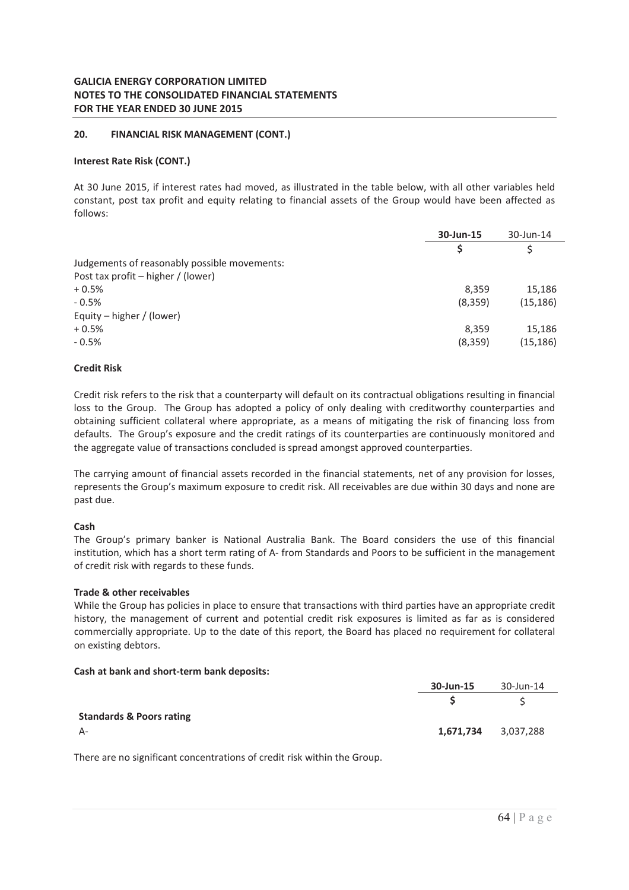# **20. FINANCIAL RISK MANAGEMENT (CONT.)**

#### **Interest Rate Risk (CONT.)**

At 30 June 2015, if interest rates had moved, as illustrated in the table below, with all other variables held constant, post tax profit and equity relating to financial assets of the Group would have been affected as follows:

|                                              | 30-Jun-15 | 30-Jun-14 |
|----------------------------------------------|-----------|-----------|
|                                              |           | S         |
| Judgements of reasonably possible movements: |           |           |
| Post tax profit – higher / (lower)           |           |           |
| $+0.5%$                                      | 8,359     | 15,186    |
| $-0.5%$                                      | (8,359)   | (15, 186) |
| Equity - higher / (lower)                    |           |           |
| $+0.5%$                                      | 8.359     | 15,186    |
| $-0.5%$                                      | (8, 359)  | (15, 186) |

#### **Credit Risk**

Credit risk refers to the risk that a counterparty will default on its contractual obligations resulting in financial loss to the Group. The Group has adopted a policy of only dealing with creditworthy counterparties and obtaining sufficient collateral where appropriate, as a means of mitigating the risk of financing loss from defaults. The Group's exposure and the credit ratings of its counterparties are continuously monitored and the aggregate value of transactions concluded is spread amongst approved counterparties.

The carrying amount of financial assets recorded in the financial statements, net of any provision for losses, represents the Group's maximum exposure to credit risk. All receivables are due within 30 days and none are past due.

## **Cash**

The Group's primary banker is National Australia Bank. The Board considers the use of this financial institution, which has a short term rating of A- from Standards and Poors to be sufficient in the management of credit risk with regards to these funds.

#### **Trade & other receivables**

While the Group has policies in place to ensure that transactions with third parties have an appropriate credit history, the management of current and potential credit risk exposures is limited as far as is considered commercially appropriate. Up to the date of this report, the Board has placed no requirement for collateral on existing debtors.

## $\textsf{Cash at bank and short-term bank deposits:}$

|                                     | 30-Jun-15 | 30-Jun-14 |
|-------------------------------------|-----------|-----------|
|                                     |           | S         |
| <b>Standards &amp; Poors rating</b> |           |           |
| A-                                  | 1,671,734 | 3,037,288 |
|                                     |           |           |

There are no significant concentrations of credit risk within the Group.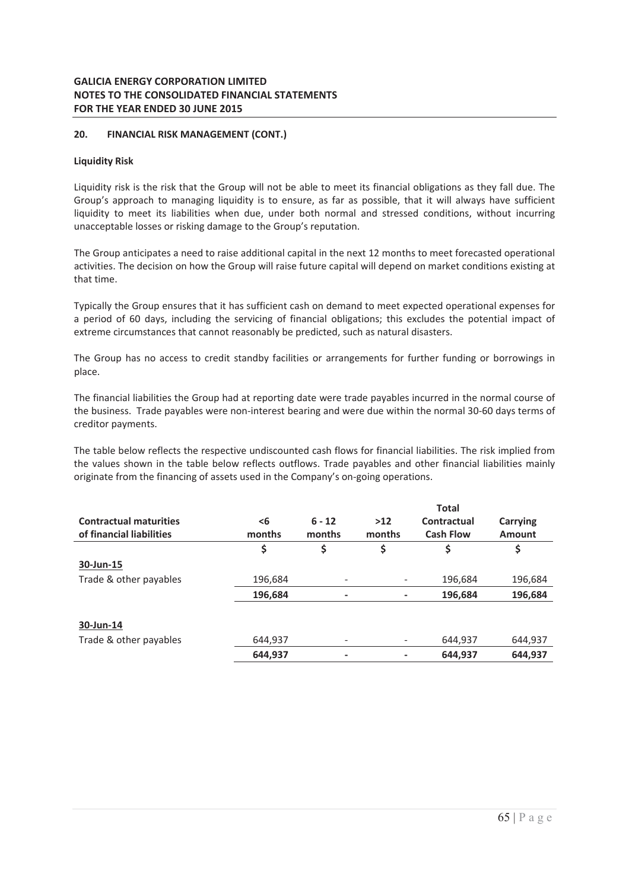# **20. FINANCIAL RISK MANAGEMENT (CONT.)**

## **Liquidity Risk**

Liquidity risk is the risk that the Group will not be able to meet its financial obligations as they fall due. The Group's approach to managing liquidity is to ensure, as far as possible, that it will always have sufficient liquidity to meet its liabilities when due, under both normal and stressed conditions, without incurring unacceptable losses or risking damage to the Group's reputation.

The Group anticipates a need to raise additional capital in the next 12 months to meet forecasted operational activities. The decision on how the Group will raise future capital will depend on market conditions existing at that time.

Typically the Group ensures that it has sufficient cash on demand to meet expected operational expenses for a period of 60 days, including the servicing of financial obligations; this excludes the potential impact of extreme circumstances that cannot reasonably be predicted, such as natural disasters.

The Group has no access to credit standby facilities or arrangements for further funding or borrowings in place.

The financial liabilities the Group had at reporting date were trade payables incurred in the normal course of the business. Trade payables were non-interest bearing and were due within the normal 30-60 days terms of creditor payments.

The table below reflects the respective undiscounted cash flows for financial liabilities. The risk implied from the values shown in the table below reflects outflows. Trade payables and other financial liabilities mainly originate from the financing of assets used in the Company's on-going operations.

|                               |         |                          |                          | <b>Total</b>     |                 |
|-------------------------------|---------|--------------------------|--------------------------|------------------|-----------------|
| <b>Contractual maturities</b> | $6$     | $6 - 12$                 | $>12$                    | Contractual      | <b>Carrying</b> |
| of financial liabilities      | months  | months                   | months                   | <b>Cash Flow</b> | Amount          |
|                               | \$      | \$                       | \$                       | \$               | \$              |
| 30-Jun-15                     |         |                          |                          |                  |                 |
| Trade & other payables        | 196,684 | -                        | $\overline{\phantom{a}}$ | 196,684          | 196,684         |
|                               | 196,684 | ٠                        | ٠                        | 196,684          | 196,684         |
|                               |         |                          |                          |                  |                 |
| 30-Jun-14                     |         |                          |                          |                  |                 |
| Trade & other payables        | 644,937 | $\overline{\phantom{a}}$ | -                        | 644,937          | 644,937         |
|                               | 644,937 | ٠                        |                          | 644,937          | 644.937         |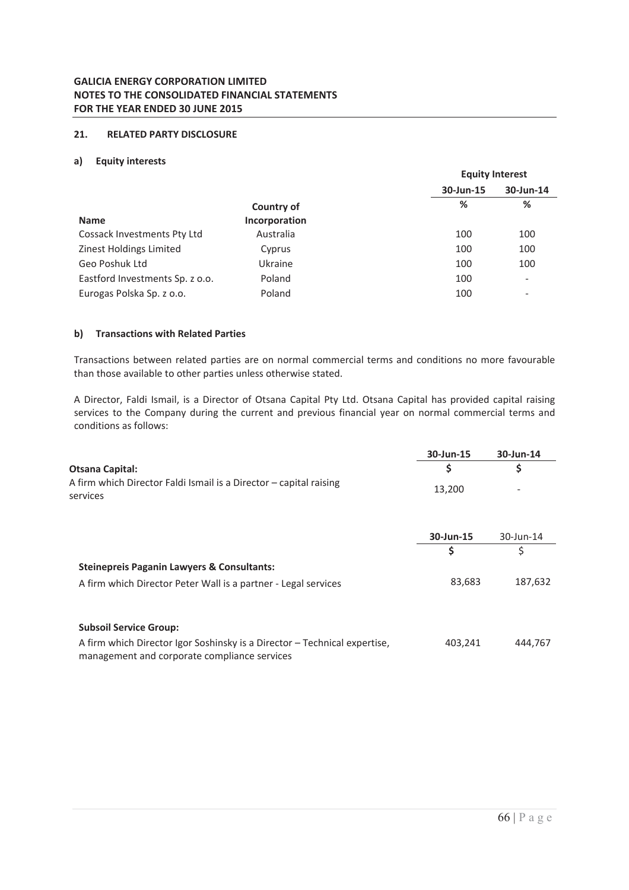# **21. RELATED PARTY DISCLOSURE**

#### **a) Equity interests**

|                                 |               | <b>Equity Interest</b> |                          |
|---------------------------------|---------------|------------------------|--------------------------|
|                                 |               | 30-Jun-15              | 30-Jun-14                |
|                                 | Country of    | %                      | %                        |
| <b>Name</b>                     | Incorporation |                        |                          |
| Cossack Investments Pty Ltd     | Australia     | 100                    | 100                      |
| Zinest Holdings Limited         | Cyprus        | 100                    | 100                      |
| Geo Poshuk Ltd                  | Ukraine       | 100                    | 100                      |
| Eastford Investments Sp. z o.o. | Poland        | 100                    | $\overline{\phantom{a}}$ |
| Eurogas Polska Sp. z o.o.       | Poland        | 100                    | -                        |

## **b) Transactions with Related Parties**

Transactions between related parties are on normal commercial terms and conditions no more favourable than those available to other parties unless otherwise stated.

A Director, Faldi Ismail, is a Director of Otsana Capital Pty Ltd. Otsana Capital has provided capital raising services to the Company during the current and previous financial year on normal commercial terms and conditions as follows:

|                                                                                                                           | 30-Jun-15 | 30-Jun-14 |
|---------------------------------------------------------------------------------------------------------------------------|-----------|-----------|
| <b>Otsana Capital:</b>                                                                                                    | \$        | \$        |
| A firm which Director Faldi Ismail is a Director - capital raising<br>services                                            | 13,200    |           |
|                                                                                                                           | 30-Jun-15 | 30-Jun-14 |
|                                                                                                                           | \$        | \$        |
| <b>Steinepreis Paganin Lawyers &amp; Consultants:</b>                                                                     |           |           |
| A firm which Director Peter Wall is a partner - Legal services                                                            | 83,683    | 187,632   |
| <b>Subsoil Service Group:</b>                                                                                             |           |           |
| A firm which Director Igor Soshinsky is a Director – Technical expertise,<br>management and corporate compliance services | 403,241   | 444.767   |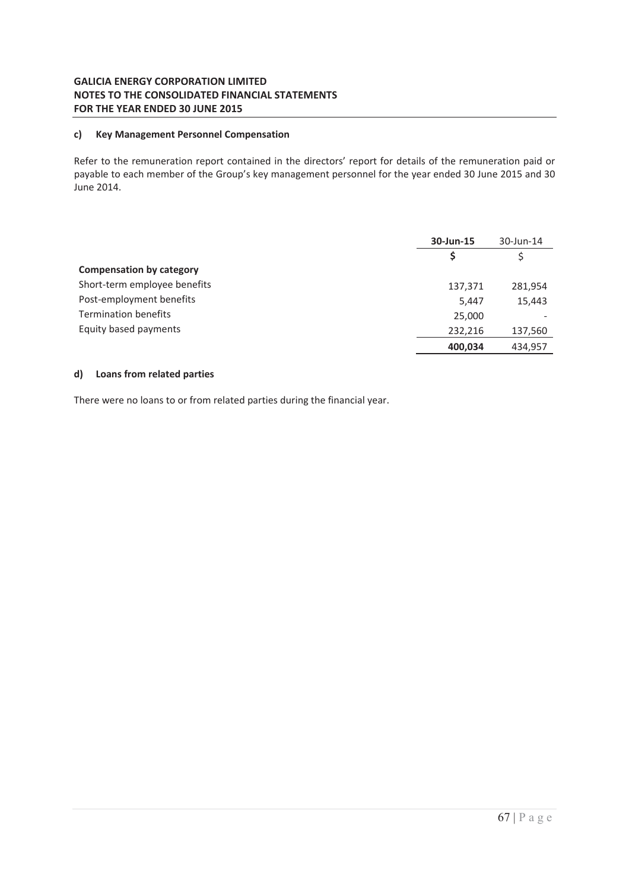# **c) Key Management Personnel Compensation**

Refer to the remuneration report contained in the directors' report for details of the remuneration paid or payable to each member of the Group's key management personnel for the year ended 30 June 2015 and 30 June 2014.

|                                 | 30-Jun-15 | 30-Jun-14 |
|---------------------------------|-----------|-----------|
|                                 |           |           |
| <b>Compensation by category</b> |           |           |
| Short-term employee benefits    | 137,371   | 281,954   |
| Post-employment benefits        | 5,447     | 15,443    |
| <b>Termination benefits</b>     | 25,000    |           |
| Equity based payments           | 232,216   | 137,560   |
|                                 | 400,034   | 434,957   |

# **d) Loans from related parties**

There were no loans to or from related parties during the financial year.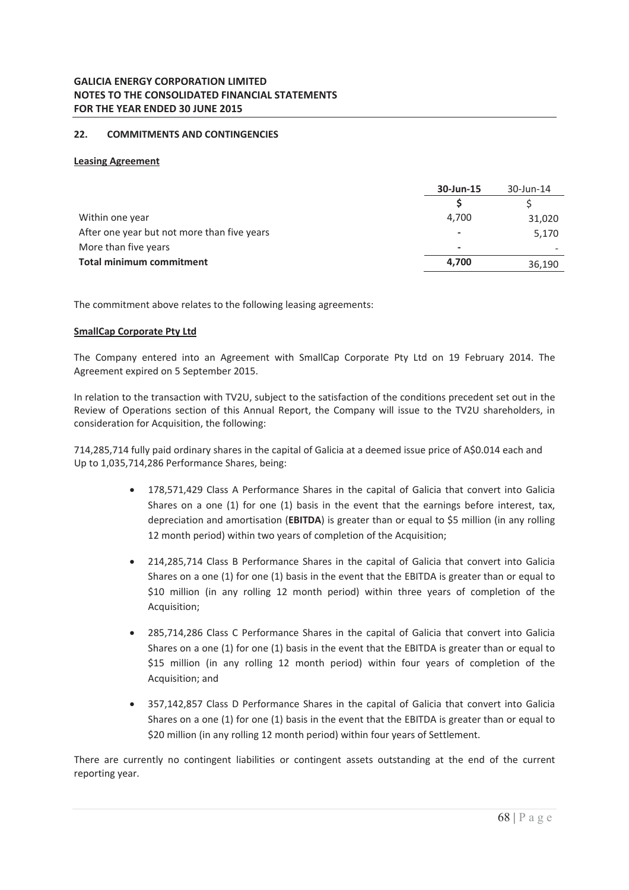# **22. COMMITMENTS AND CONTINGENCIES**

#### **Leasing Agreement**

|                                             | 30-Jun-15 | 30-Jun-14 |
|---------------------------------------------|-----------|-----------|
|                                             |           |           |
| Within one year                             | 4,700     | 31,020    |
| After one year but not more than five years | -         | 5,170     |
| More than five years                        | -         |           |
| <b>Total minimum commitment</b>             | 4.700     | 36,190    |

The commitment above relates to the following leasing agreements:

#### **SmallCap Corporate Pty Ltd**

The Company entered into an Agreement with SmallCap Corporate Pty Ltd on 19 February 2014. The Agreement expired on 5 September 2015.

In relation to the transaction with TV2U, subject to the satisfaction of the conditions precedent set out in the Review of Operations section of this Annual Report, the Company will issue to the TV2U shareholders, in consideration for Acquisition, the following:

714,285,714 fully paid ordinary shares in the capital of Galicia at a deemed issue price of A\$0.014 each and Up to 1,035,714,286 Performance Shares, being:

- 178,571,429 Class A Performance Shares in the capital of Galicia that convert into Galicia Shares on a one (1) for one (1) basis in the event that the earnings before interest, tax, depreciation and amortisation (**EBITDA**) is greater than or equal to \$5 million (in any rolling 12 month period) within two years of completion of the Acquisition;
- 214,285,714 Class B Performance Shares in the capital of Galicia that convert into Galicia Shares on a one (1) for one (1) basis in the event that the EBITDA is greater than or equal to \$10 million (in any rolling 12 month period) within three years of completion of the Acquisition;
- 285,714,286 Class C Performance Shares in the capital of Galicia that convert into Galicia Shares on a one (1) for one (1) basis in the event that the EBITDA is greater than or equal to \$15 million (in any rolling 12 month period) within four years of completion of the Acquisition; and
- 357,142,857 Class D Performance Shares in the capital of Galicia that convert into Galicia Shares on a one (1) for one (1) basis in the event that the EBITDA is greater than or equal to \$20 million (in any rolling 12 month period) within four years of Settlement.

There are currently no contingent liabilities or contingent assets outstanding at the end of the current reporting year.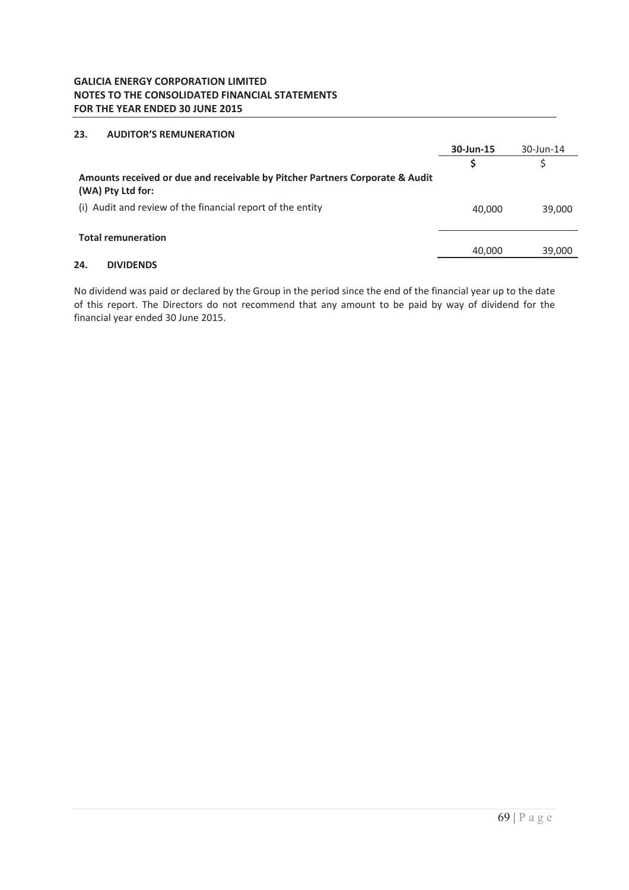# **23. AUDITOR'S REMUNERATION**

|                                                                                                   | 30-Jun-15 | 30-Jun-14 |
|---------------------------------------------------------------------------------------------------|-----------|-----------|
|                                                                                                   |           |           |
| Amounts received or due and receivable by Pitcher Partners Corporate & Audit<br>(WA) Pty Ltd for: |           |           |
| (i) Audit and review of the financial report of the entity                                        | 40.000    | 39,000    |
| <b>Total remuneration</b>                                                                         | 40.000    | 39,000    |

# **24. DIVIDENDS**

No dividend was paid or declared by the Group in the period since the end of the financial year up to the date of this report. The Directors do not recommend that any amount to be paid by way of dividend for the financial year ended 30 June 2015.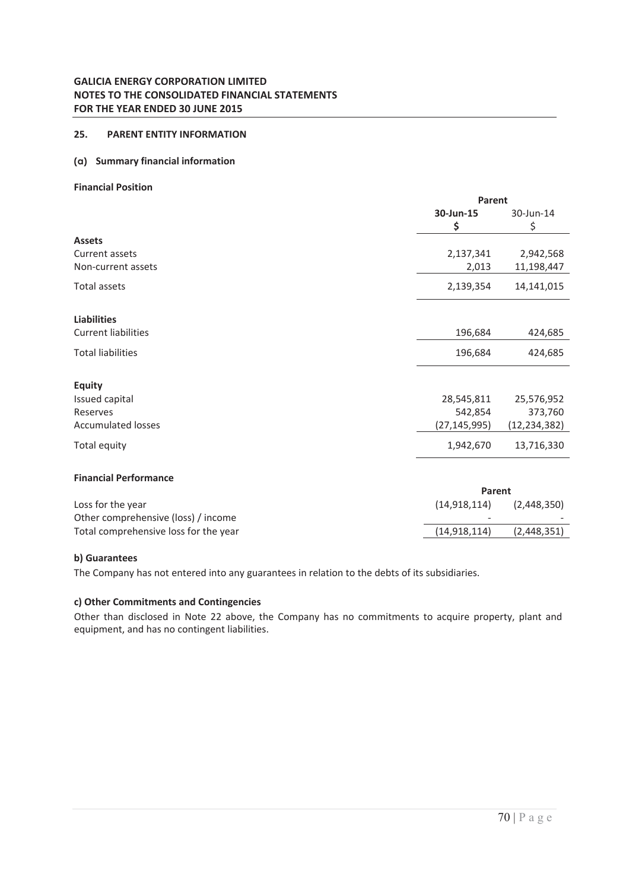# **25. PARENT ENTITY INFORMATION**

#### **(a) Summary financial information**

**Financial Position**

|                              |                | Parent         |  |
|------------------------------|----------------|----------------|--|
|                              | 30-Jun-15      | 30-Jun-14      |  |
|                              | \$             | \$             |  |
| <b>Assets</b>                |                |                |  |
| Current assets               | 2,137,341      | 2,942,568      |  |
| Non-current assets           | 2,013          | 11,198,447     |  |
| Total assets                 | 2,139,354      | 14,141,015     |  |
| <b>Liabilities</b>           |                |                |  |
| <b>Current liabilities</b>   | 196,684        | 424,685        |  |
| <b>Total liabilities</b>     | 196,684        | 424,685        |  |
| <b>Equity</b>                |                |                |  |
| Issued capital               | 28,545,811     | 25,576,952     |  |
| Reserves                     | 542,854        | 373,760        |  |
| <b>Accumulated losses</b>    | (27, 145, 995) | (12, 234, 382) |  |
| Total equity                 | 1,942,670      | 13,716,330     |  |
| <b>Financial Performance</b> | Parent         |                |  |

|                                       | <b>Parent</b>  |             |
|---------------------------------------|----------------|-------------|
| Loss for the year                     | (14.918.114)   | (2,448,350) |
| Other comprehensive (loss) / income   |                |             |
| Total comprehensive loss for the year | (14, 918, 114) | (2,448,351) |

## **b) Guarantees**

The Company has not entered into any guarantees in relation to the debts of its subsidiaries.

# **c) Other Commitments and Contingencies**

Other than disclosed in Note 22 above, the Company has no commitments to acquire property, plant and equipment, and has no contingent liabilities.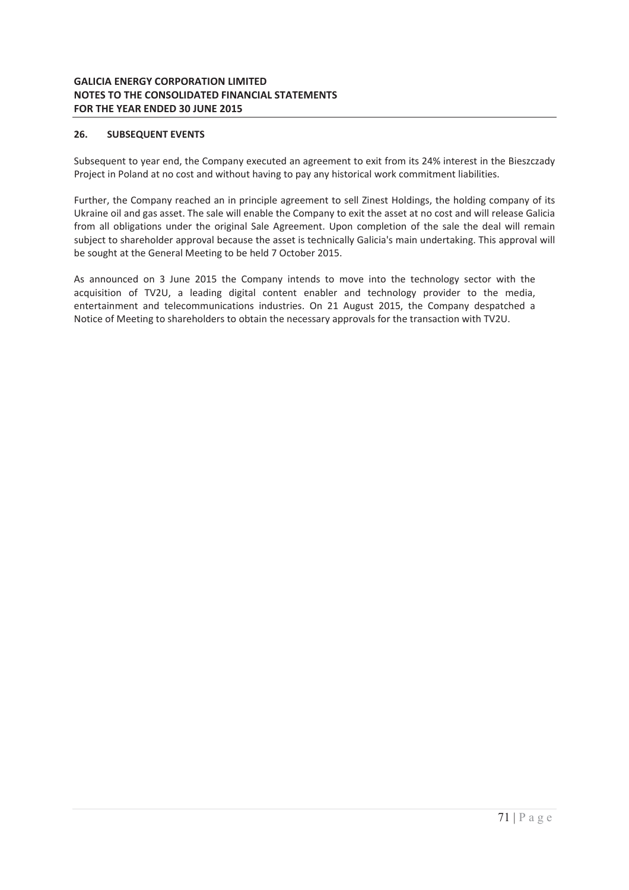#### **GALICIA ENERGY CORPORATION LIMITED NOTES TO THE CONSOLIDATED FINANCIAL STATEMENTS FOR THE YEAR ENDED 30 JUNE 2015**

## **26. SUBSEQUENT EVENTS**

Subsequent to year end, the Company executed an agreement to exit from its 24% interest in the Bieszczady Project in Poland at no cost and without having to pay any historical work commitment liabilities.

Further, the Company reached an in principle agreement to sell Zinest Holdings, the holding company of its Ukraine oil and gas asset. The sale will enable the Company to exit the asset at no cost and will release Galicia from all obligations under the original Sale Agreement. Upon completion of the sale the deal will remain subject to shareholder approval because the asset is technically Galicia's main undertaking. This approval will be sought at the General Meeting to be held 7 October 2015.

As announced on 3 June 2015 the Company intends to move into the technology sector with the acquisition of TV2U, a leading digital content enabler and technology provider to the media, entertainment and telecommunications industries. On 21 August 2015, the Company despatched a Notice of Meeting to shareholders to obtain the necessary approvals for the transaction with TV2U.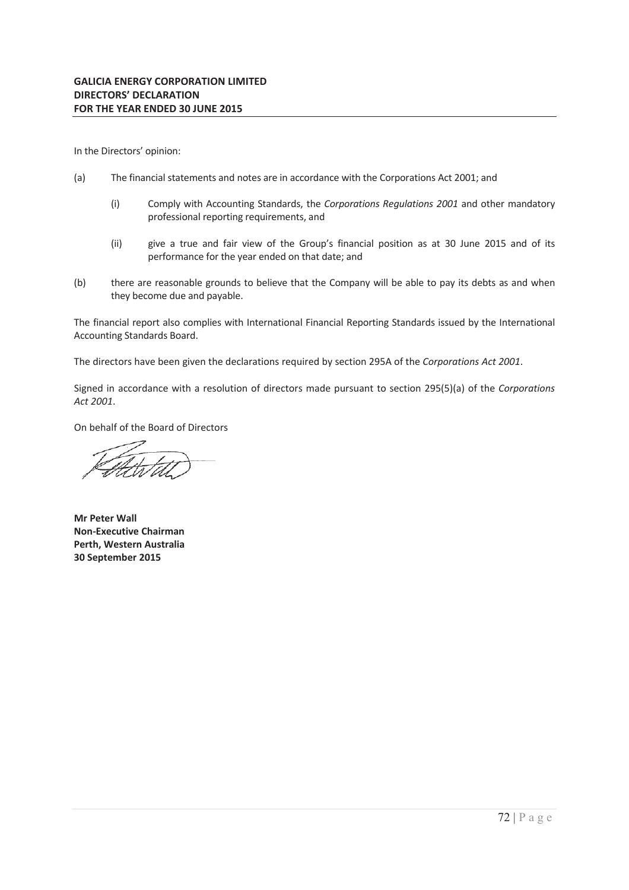In the Directors' opinion:

- (a) The financial statements and notes are in accordance with the Corporations Act 2001; and
	- (i) Comply with Accounting Standards, the *Corporations Regulations 2001* and other mandatory professional reporting requirements, and
	- (ii) give a true and fair view of the Group's financial position as at 30 June 2015 and of its performance for the year ended on that date; and
- (b) there are reasonable grounds to believe that the Company will be able to pay its debts as and when they become due and payable.

The financial report also complies with International Financial Reporting Standards issued by the International Accounting Standards Board.

The directors have been given the declarations required by section 295A of the *Corporations Act 2001*.

Signed in accordance with a resolution of directors made pursuant to section 295(5)(a) of the *Corporations Act 2001*.

On behalf of the Board of Directors

**Mr Peter Wall Non-Executive Chairman Perth, Western Australia 30 September 2015**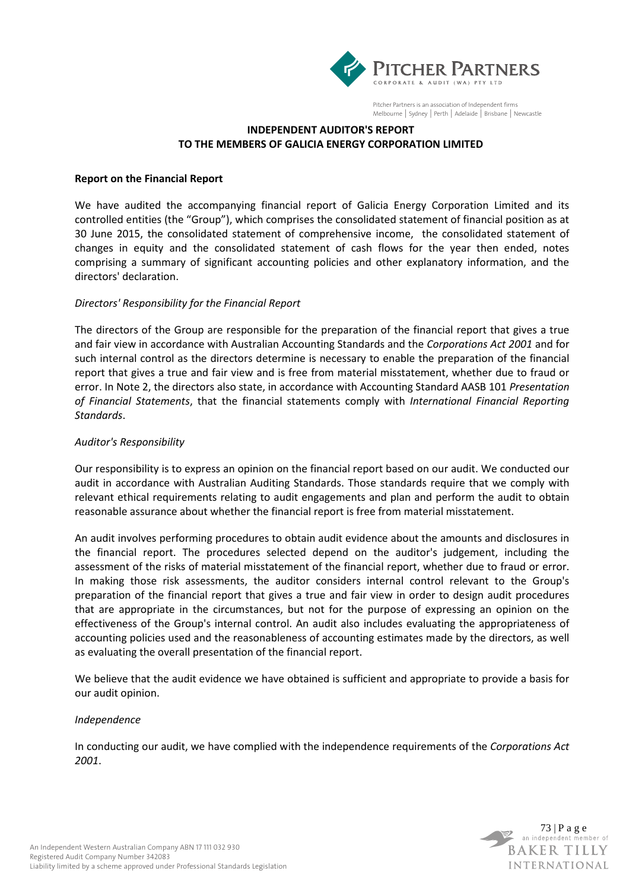

Pitcher Partners is an association of Independent firms Melbourne | Sydney | Perth | Adelaide | Brisbane | Newcastle

# **INDEPENDENT AUDITOR'S REPORT TO THE MEMBERS OF GALICIA ENERGY CORPORATION LIMITED**

#### **Report on the Financial Report**

We have audited the accompanying financial report of Galicia Energy Corporation Limited and its controlled entities (the "Group"), which comprises the consolidated statement of financial position as at 30 June 2015, the consolidated statement of comprehensive income, the consolidated statement of changes in equity and the consolidated statement of cash flows for the year then ended, notes comprising a summary of significant accounting policies and other explanatory information, and the directors' declaration.

### *Directors' Responsibility for the Financial Report*

The directors of the Group are responsible for the preparation of the financial report that gives a true and fair view in accordance with Australian Accounting Standards and the *Corporations Act 2001* and for such internal control as the directors determine is necessary to enable the preparation of the financial report that gives a true and fair view and is free from material misstatement, whether due to fraud or error. In Note 2, the directors also state, in accordance with Accounting Standard AASB 101 *Presentation of Financial Statements*, that the financial statements comply with *International Financial Reporting Standards*.

#### *Auditor's Responsibility*

Our responsibility is to express an opinion on the financial report based on our audit. We conducted our audit in accordance with Australian Auditing Standards. Those standards require that we comply with relevant ethical requirements relating to audit engagements and plan and perform the audit to obtain reasonable assurance about whether the financial report is free from material misstatement.

An audit involves performing procedures to obtain audit evidence about the amounts and disclosures in the financial report. The procedures selected depend on the auditor's judgement, including the assessment of the risks of material misstatement of the financial report, whether due to fraud or error. In making those risk assessments, the auditor considers internal control relevant to the Group's preparation of the financial report that gives a true and fair view in order to design audit procedures that are appropriate in the circumstances, but not for the purpose of expressing an opinion on the effectiveness of the Group's internal control. An audit also includes evaluating the appropriateness of accounting policies used and the reasonableness of accounting estimates made by the directors, as well as evaluating the overall presentation of the financial report.

We believe that the audit evidence we have obtained is sufficient and appropriate to provide a basis for our audit opinion.

#### *Independence*

In conducting our audit, we have complied with the independence requirements of the *Corporations Act 2001*.

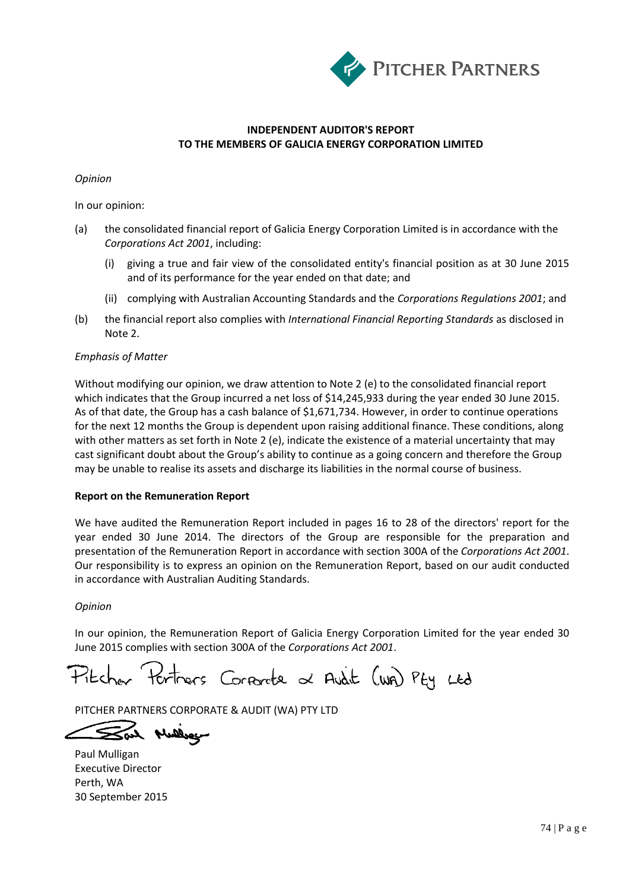

# **INDEPENDENT AUDITOR'S REPORT TO THE MEMBERS OF GALICIA ENERGY CORPORATION LIMITED**

## *Opinion*

In our opinion:

- (a) the consolidated financial report of Galicia Energy Corporation Limited is in accordance with the *Corporations Act 2001*, including:
	- (i) giving a true and fair view of the consolidated entity's financial position as at 30 June 2015 and of its performance for the year ended on that date; and
	- (ii) complying with Australian Accounting Standards and the *Corporations Regulations 2001*; and
- (b) the financial report also complies with *International Financial Reporting Standards* as disclosed in Note 2.

## *Emphasis of Matter*

Without modifying our opinion, we draw attention to Note 2 (e) to the consolidated financial report which indicates that the Group incurred a net loss of \$14,245,933 during the year ended 30 June 2015. As of that date, the Group has a cash balance of \$1,671,734. However, in order to continue operations for the next 12 months the Group is dependent upon raising additional finance. These conditions, along with other matters as set forth in Note 2 (e), indicate the existence of a material uncertainty that may cast significant doubt about the Group's ability to continue as a going concern and therefore the Group may be unable to realise its assets and discharge its liabilities in the normal course of business.

### **Report on the Remuneration Report**

We have audited the Remuneration Report included in pages 16 to 28 of the directors' report for the year ended 30 June 2014. The directors of the Group are responsible for the preparation and presentation of the Remuneration Report in accordance with section 300A of the *Corporations Act 2001*. Our responsibility is to express an opinion on the Remuneration Report, based on our audit conducted in accordance with Australian Auditing Standards.

### *Opinion*

In our opinion, the Remuneration Report of Galicia Energy Corporation Limited for the year ended 30 June 2015 complies with section 300A of the *Corporations Act 2001*.

Pitcher Partners Corporate at Audit (wa) Pty Ltd

PITCHER PARTNERS CORPORATE & AUDIT (WA) PTY LTD

in Nulley

Paul Mulligan Executive Director Perth, WA 30 September 2015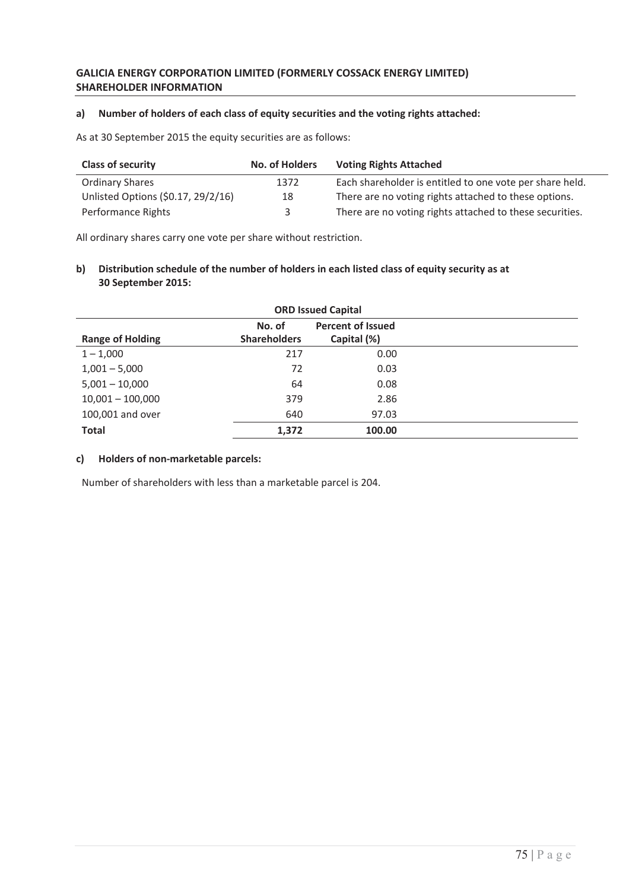# **GALICIA ENERGY CORPORATION LIMITED (FORMERLY COSSACK ENERGY LIMITED) SHAREHOLDER INFORMATION**

#### **a) Number of holders of each class of equity securities and the voting rights attached:**

As at 30 September 2015 the equity securities are as follows:

| No. of Holders<br><b>Class of security</b> |      | <b>Voting Rights Attached</b>                            |  |
|--------------------------------------------|------|----------------------------------------------------------|--|
| <b>Ordinary Shares</b>                     | 1372 | Each shareholder is entitled to one vote per share held. |  |
| Unlisted Options (\$0.17, 29/2/16)         | 18   | There are no voting rights attached to these options.    |  |
| Performance Rights                         | ₹    | There are no voting rights attached to these securities. |  |

All ordinary shares carry one vote per share without restriction.

## **b) Distribution schedule of the number of holders in each listed class of equity security as at 30 September 2015:**

| <b>ORD Issued Capital</b> |                     |             |  |
|---------------------------|---------------------|-------------|--|
|                           |                     |             |  |
| <b>Range of Holding</b>   | <b>Shareholders</b> | Capital (%) |  |
| $1 - 1,000$               | 217                 | 0.00        |  |
| $1,001 - 5,000$           | 72                  | 0.03        |  |
| $5,001 - 10,000$          | 64                  | 0.08        |  |
| $10,001 - 100,000$        | 379                 | 2.86        |  |
| 100,001 and over          | 640                 | 97.03       |  |
| <b>Total</b>              | 1,372               | 100.00      |  |

### $c)$  Holders of non-marketable parcels:

Number of shareholders with less than a marketable parcel is 204.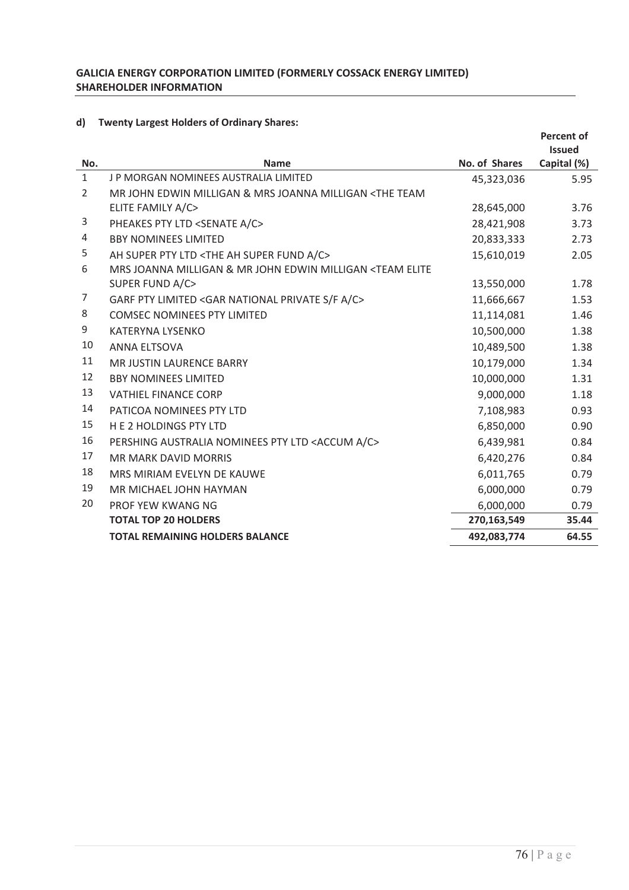# **GALICIA ENERGY CORPORATION LIMITED (FORMERLY COSSACK ENERGY LIMITED) SHAREHOLDER INFORMATION**

# **d) Twenty Largest Holders of Ordinary Shares:**

|              |                                                                                              |               | <b>Percent of</b> |
|--------------|----------------------------------------------------------------------------------------------|---------------|-------------------|
|              |                                                                                              |               | <b>Issued</b>     |
| No.          | <b>Name</b>                                                                                  | No. of Shares | Capital (%)       |
| $\mathbf{1}$ | <b>J P MORGAN NOMINEES AUSTRALIA LIMITED</b>                                                 | 45,323,036    | 5.95              |
| 2            | MR JOHN EDWIN MILLIGAN & MRS JOANNA MILLIGAN <the td="" team<=""><td></td><td></td></the>    |               |                   |
|              | ELITE FAMILY A/C>                                                                            | 28,645,000    | 3.76              |
| 3            | PHEAKES PTY LTD <senate a="" c=""></senate>                                                  | 28,421,908    | 3.73              |
| 4            | <b>BBY NOMINEES LIMITED</b>                                                                  | 20,833,333    | 2.73              |
| 5            | AH SUPER PTY LTD <the a="" ah="" c="" fund="" super=""></the>                                | 15,610,019    | 2.05              |
| 6            | MRS JOANNA MILLIGAN & MR JOHN EDWIN MILLIGAN <team elite<="" td=""><td></td><td></td></team> |               |                   |
|              | SUPER FUND A/C>                                                                              | 13,550,000    | 1.78              |
| 7            | GARF PTY LIMITED <gar a="" c="" f="" national="" private="" s=""></gar>                      | 11,666,667    | 1.53              |
| 8            | <b>COMSEC NOMINEES PTY LIMITED</b>                                                           | 11,114,081    | 1.46              |
| 9            | <b>KATERYNA LYSENKO</b>                                                                      | 10,500,000    | 1.38              |
| 10           | <b>ANNA ELTSOVA</b>                                                                          | 10,489,500    | 1.38              |
| 11           | <b>MR JUSTIN LAURENCE BARRY</b>                                                              | 10,179,000    | 1.34              |
| 12           | <b>BBY NOMINEES LIMITED</b>                                                                  | 10,000,000    | 1.31              |
| 13           | <b>VATHIEL FINANCE CORP</b>                                                                  | 9,000,000     | 1.18              |
| 14           | PATICOA NOMINEES PTY LTD                                                                     | 7,108,983     | 0.93              |
| 15           | H E 2 HOLDINGS PTY LTD                                                                       | 6,850,000     | 0.90              |
| 16           | PERSHING AUSTRALIA NOMINEES PTY LTD <accum a="" c=""></accum>                                | 6,439,981     | 0.84              |
| 17           | <b>MR MARK DAVID MORRIS</b>                                                                  | 6,420,276     | 0.84              |
| 18           | MRS MIRIAM EVELYN DE KAUWE                                                                   | 6,011,765     | 0.79              |
| 19           | MR MICHAEL JOHN HAYMAN                                                                       | 6,000,000     | 0.79              |
| 20           | PROF YFW KWANG NG                                                                            | 6,000,000     | 0.79              |
|              | <b>TOTAL TOP 20 HOLDERS</b>                                                                  | 270,163,549   | 35.44             |
|              | <b>TOTAL REMAINING HOLDERS BALANCE</b>                                                       | 492,083,774   | 64.55             |
|              |                                                                                              |               |                   |